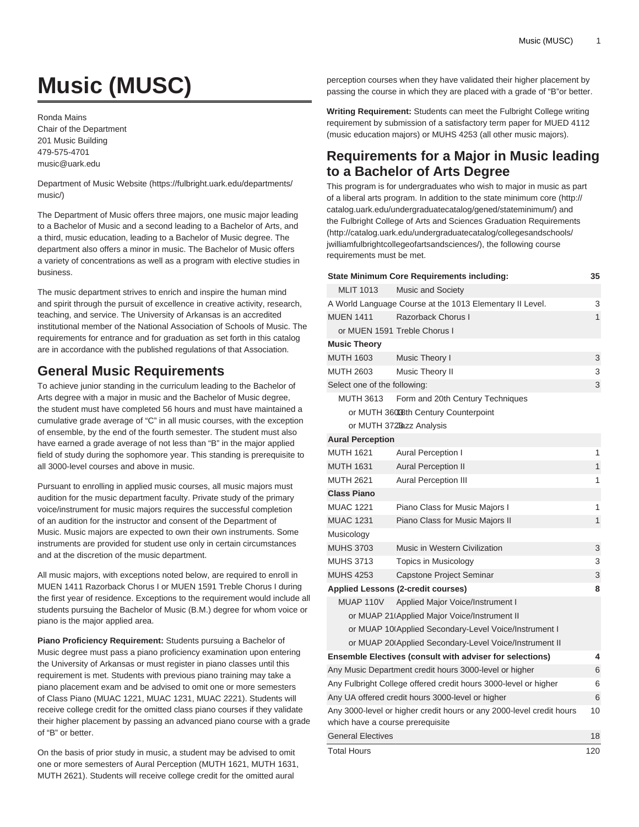# **Music (MUSC)**

Ronda Mains Chair of the Department 201 Music Building 479-575-4701 [music@uark.edu](mailto:music@uark.edu)

[Department of Music Website](https://fulbright.uark.edu/departments/music/) ([https://fulbright.uark.edu/departments/](https://fulbright.uark.edu/departments/music/) [music/](https://fulbright.uark.edu/departments/music/))

The Department of Music offers three majors, one music major leading to a Bachelor of Music and a second leading to a Bachelor of Arts, and a third, music education, leading to a Bachelor of Music degree. The department also offers a minor in music. The Bachelor of Music offers a variety of concentrations as well as a program with elective studies in business.

The music department strives to enrich and inspire the human mind and spirit through the pursuit of excellence in creative activity, research, teaching, and service. The University of Arkansas is an accredited institutional member of the National Association of Schools of Music. The requirements for entrance and for graduation as set forth in this catalog are in accordance with the published regulations of that Association.

# **General Music Requirements**

To achieve junior standing in the curriculum leading to the Bachelor of Arts degree with a major in music and the Bachelor of Music degree, the student must have completed 56 hours and must have maintained a cumulative grade average of "C" in all music courses, with the exception of ensemble, by the end of the fourth semester. The student must also have earned a grade average of not less than "B" in the major applied field of study during the sophomore year. This standing is prerequisite to all 3000-level courses and above in music.

Pursuant to enrolling in applied music courses, all music majors must audition for the music department faculty. Private study of the primary voice/instrument for music majors requires the successful completion of an audition for the instructor and consent of the Department of Music. Music majors are expected to own their own instruments. Some instruments are provided for student use only in certain circumstances and at the discretion of the music department.

All music majors, with exceptions noted below, are required to enroll in MUEN 1411 Razorback Chorus I or MUEN 1591 Treble Chorus I during the first year of residence. Exceptions to the requirement would include all students pursuing the Bachelor of Music (B.M.) degree for whom voice or piano is the major applied area.

**Piano Proficiency Requirement:** Students pursuing a Bachelor of Music degree must pass a piano proficiency examination upon entering the University of Arkansas or must register in piano classes until this requirement is met. Students with previous piano training may take a piano placement exam and be advised to omit one or more semesters of Class Piano (MUAC 1221, MUAC 1231, MUAC 2221). Students will receive college credit for the omitted class piano courses if they validate their higher placement by passing an advanced piano course with a grade of "B" or better.

On the basis of prior study in music, a student may be advised to omit one or more semesters of Aural Perception (MUTH 1621, MUTH 1631, MUTH 2621). Students will receive college credit for the omitted aural

perception courses when they have validated their higher placement by passing the course in which they are placed with a grade of "B"or better.

**Writing Requirement:** Students can meet the Fulbright College writing requirement by submission of a satisfactory term paper for MUED 4112 (music education majors) or MUHS 4253 (all other music majors).

# **Requirements for a Major in Music leading to a Bachelor of Arts Degree**

This program is for undergraduates who wish to major in music as part of a liberal arts program. In addition to the [state minimum core](http://catalog.uark.edu/undergraduatecatalog/gened/stateminimum/) [\(http://](http://catalog.uark.edu/undergraduatecatalog/gened/stateminimum/) [catalog.uark.edu/undergraduatecatalog/gened/stateminimum/](http://catalog.uark.edu/undergraduatecatalog/gened/stateminimum/)) and the [Fulbright College of Arts and Sciences Graduation Requirements](http://catalog.uark.edu/undergraduatecatalog/collegesandschools/jwilliamfulbrightcollegeofartsandsciences/) ([http://catalog.uark.edu/undergraduatecatalog/collegesandschools/](http://catalog.uark.edu/undergraduatecatalog/collegesandschools/jwilliamfulbrightcollegeofartsandsciences/) [jwilliamfulbrightcollegeofartsandsciences/](http://catalog.uark.edu/undergraduatecatalog/collegesandschools/jwilliamfulbrightcollegeofartsandsciences/)), the following course requirements must be met.

|                                  | <b>State Minimum Core Requirements including:</b>                    | 35           |
|----------------------------------|----------------------------------------------------------------------|--------------|
| <b>MLIT 1013</b>                 | <b>Music and Society</b>                                             |              |
|                                  | A World Language Course at the 1013 Elementary II Level.             | 3            |
| <b>MUEN 1411</b>                 | Razorback Chorus I                                                   | 1            |
|                                  | or MUEN 1591 Treble Chorus I                                         |              |
| <b>Music Theory</b>              |                                                                      |              |
| <b>MUTH 1603</b>                 | Music Theory I                                                       | 3            |
| MUTH 2603                        | Music Theory II                                                      | 3            |
| Select one of the following:     |                                                                      | 3            |
| <b>MUTH 3613</b>                 | Form and 20th Century Techniques                                     |              |
|                                  | or MUTH 36008th Century Counterpoint                                 |              |
|                                  | or MUTH 372Bazz Analysis                                             |              |
| <b>Aural Perception</b>          |                                                                      |              |
| <b>MUTH 1621</b>                 | Aural Perception I                                                   | 1            |
| <b>MUTH 1631</b>                 | <b>Aural Perception II</b>                                           | 1            |
| <b>MUTH 2621</b>                 | <b>Aural Perception III</b>                                          | 1            |
| <b>Class Piano</b>               |                                                                      |              |
| <b>MUAC 1221</b>                 | Piano Class for Music Majors I                                       | 1            |
| <b>MUAC 1231</b>                 | Piano Class for Music Majors II                                      | $\mathbf{1}$ |
| Musicology                       |                                                                      |              |
| <b>MUHS 3703</b>                 | Music in Western Civilization                                        | 3            |
| <b>MUHS 3713</b>                 | <b>Topics in Musicology</b>                                          | 3            |
| <b>MUHS 4253</b>                 | Capstone Project Seminar                                             | 3            |
|                                  | <b>Applied Lessons (2-credit courses)</b>                            | 8            |
| <b>MUAP 110V</b>                 | Applied Major Voice/Instrument I                                     |              |
|                                  | or MUAP 21 Applied Major Voice/Instrument II                         |              |
|                                  | or MUAP 10 Applied Secondary-Level Voice/Instrument I                |              |
|                                  | or MUAP 20 Applied Secondary-Level Voice/Instrument II               |              |
|                                  | Ensemble Electives (consult with adviser for selections)             | 4            |
|                                  | Any Music Department credit hours 3000-level or higher               | 6            |
|                                  | Any Fulbright College offered credit hours 3000-level or higher      | 6            |
|                                  | Any UA offered credit hours 3000-level or higher                     | 6            |
| which have a course prerequisite | Any 3000-level or higher credit hours or any 2000-level credit hours | 10           |
| <b>General Electives</b>         |                                                                      | 18           |
| Total Hours                      |                                                                      | 120          |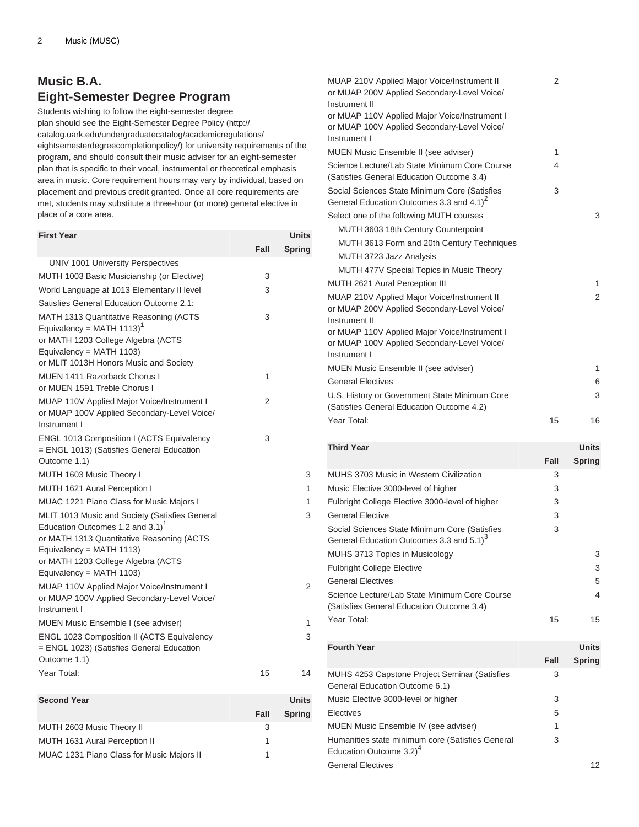# **Music B.A. Eight-Semester Degree Program**

Students wishing to follow the eight-semester degree plan should see the [Eight-Semester Degree Policy](http://catalog.uark.edu/undergraduatecatalog/academicregulations/eightsemesterdegreecompletionpolicy/) ([http://](http://catalog.uark.edu/undergraduatecatalog/academicregulations/eightsemesterdegreecompletionpolicy/) [catalog.uark.edu/undergraduatecatalog/academicregulations/](http://catalog.uark.edu/undergraduatecatalog/academicregulations/eightsemesterdegreecompletionpolicy/) [eightsemesterdegreecompletionpolicy/](http://catalog.uark.edu/undergraduatecatalog/academicregulations/eightsemesterdegreecompletionpolicy/)) for university requirements of the program, and should consult their music adviser for an eight-semester plan that is specific to their vocal, instrumental or theoretical emphasis area in music. Core requirement hours may vary by individual, based on placement and previous credit granted. Once all core requirements are met, students may substitute a three-hour (or more) general elective in place of a core area.

| <b>First Year</b>                                                                                                                                                                                                                               |      | Units          |
|-------------------------------------------------------------------------------------------------------------------------------------------------------------------------------------------------------------------------------------------------|------|----------------|
|                                                                                                                                                                                                                                                 | Fall | <b>Spring</b>  |
| UNIV 1001 University Perspectives                                                                                                                                                                                                               |      |                |
| MUTH 1003 Basic Musicianship (or Elective)                                                                                                                                                                                                      | 3    |                |
| World Language at 1013 Elementary II level                                                                                                                                                                                                      | 3    |                |
| Satisfies General Education Outcome 2.1:                                                                                                                                                                                                        |      |                |
| MATH 1313 Quantitative Reasoning (ACTS<br>Equivalency = MATH $1113$ <sup>1</sup>                                                                                                                                                                | 3    |                |
| or MATH 1203 College Algebra (ACTS<br>Equivalency = MATH $1103$ )                                                                                                                                                                               |      |                |
| or MLIT 1013H Honors Music and Society                                                                                                                                                                                                          |      |                |
| MUEN 1411 Razorback Chorus I                                                                                                                                                                                                                    | 1    |                |
| or MUEN 1591 Treble Chorus I                                                                                                                                                                                                                    |      |                |
| MUAP 110V Applied Major Voice/Instrument I<br>or MUAP 100V Applied Secondary-Level Voice/<br>Instrument I                                                                                                                                       | 2    |                |
| <b>ENGL 1013 Composition I (ACTS Equivalency</b><br>= ENGL 1013) (Satisfies General Education<br>Outcome 1.1)                                                                                                                                   | 3    |                |
| MUTH 1603 Music Theory I                                                                                                                                                                                                                        |      | 3              |
| MUTH 1621 Aural Perception I                                                                                                                                                                                                                    |      | 1              |
| MUAC 1221 Piano Class for Music Majors I                                                                                                                                                                                                        |      | 1              |
| MLIT 1013 Music and Society (Satisfies General<br>Education Outcomes 1.2 and 3.1) <sup>1</sup><br>or MATH 1313 Quantitative Reasoning (ACTS<br>Equivalency = MATH $1113$ )<br>or MATH 1203 College Algebra (ACTS<br>Equivalency = MATH $1103$ ) |      | 3              |
| MUAP 110V Applied Major Voice/Instrument I<br>or MUAP 100V Applied Secondary-Level Voice/<br>Instrument I                                                                                                                                       |      | $\overline{2}$ |
| MUEN Music Ensemble I (see adviser)                                                                                                                                                                                                             |      | 1              |
| <b>ENGL 1023 Composition II (ACTS Equivalency</b><br>= ENGL 1023) (Satisfies General Education<br>Outcome 1.1)                                                                                                                                  |      | 3              |
| Year Total:                                                                                                                                                                                                                                     | 15   | 14             |
| <b>Second Year</b>                                                                                                                                                                                                                              |      | <b>Units</b>   |
|                                                                                                                                                                                                                                                 | Fall | <b>Spring</b>  |
| MUTH 2603 Music Theory II                                                                                                                                                                                                                       | 3    |                |

MUTH 1631 Aural Perception II 1 MUAC 1231 Piano Class for Music Majors II 1

| or MUAP 200V Applied Secondary-Level Voice/                                                                 | 2    |               |
|-------------------------------------------------------------------------------------------------------------|------|---------------|
| Instrument II                                                                                               |      |               |
| or MUAP 110V Applied Major Voice/Instrument I                                                               |      |               |
| or MUAP 100V Applied Secondary-Level Voice/                                                                 |      |               |
| Instrument I                                                                                                |      |               |
| MUEN Music Ensemble II (see adviser)                                                                        | 1    |               |
| Science Lecture/Lab State Minimum Core Course<br>(Satisfies General Education Outcome 3.4)                  | 4    |               |
| Social Sciences State Minimum Core (Satisfies<br>General Education Outcomes 3.3 and 4.1) <sup>2</sup>       | 3    |               |
| Select one of the following MUTH courses                                                                    |      | 3             |
| MUTH 3603 18th Century Counterpoint                                                                         |      |               |
| MUTH 3613 Form and 20th Century Techniques                                                                  |      |               |
| MUTH 3723 Jazz Analysis                                                                                     |      |               |
| MUTH 477V Special Topics in Music Theory                                                                    |      |               |
| <b>MUTH 2621 Aural Perception III</b>                                                                       |      | 1             |
| MUAP 210V Applied Major Voice/Instrument II<br>or MUAP 200V Applied Secondary-Level Voice/<br>Instrument II |      | 2             |
| or MUAP 110V Applied Major Voice/Instrument I                                                               |      |               |
| or MUAP 100V Applied Secondary-Level Voice/                                                                 |      |               |
| Instrument I                                                                                                |      |               |
| MUEN Music Ensemble II (see adviser)                                                                        |      | 1             |
| <b>General Electives</b>                                                                                    |      | 6             |
| U.S. History or Government State Minimum Core<br>(Satisfies General Education Outcome 4.2)                  |      | 3             |
| Year Total:                                                                                                 | 15   | 16            |
|                                                                                                             |      |               |
|                                                                                                             |      |               |
| <b>Third Year</b>                                                                                           | Fall | Units         |
| <b>MUHS 3703 Music in Western Civilization</b>                                                              |      | <b>Spring</b> |
|                                                                                                             | 3    |               |
| Music Elective 3000-level of higher                                                                         | 3    |               |
| Fulbright College Elective 3000-level of higher                                                             | 3    |               |
| <b>General Elective</b>                                                                                     | 3    |               |
| Social Sciences State Minimum Core (Satisfies                                                               | 3    |               |
| General Education Outcomes 3.3 and 5.1) $^3$                                                                |      |               |
| MUHS 3713 Topics in Musicology                                                                              |      | 3             |
| <b>Fulbright College Elective</b>                                                                           |      | 3             |
| <b>General Electives</b><br>Science Lecture/Lab State Minimum Core Course                                   |      | 5<br>4        |
| (Satisfies General Education Outcome 3.4)                                                                   |      |               |
| Year Total:                                                                                                 | 15   | 15            |
| <b>Fourth Year</b>                                                                                          |      | Units         |
|                                                                                                             | Fall | <b>Spring</b> |
| MUHS 4253 Capstone Project Seminar (Satisfies<br>General Education Outcome 6.1)                             | 3    |               |
| Music Elective 3000-level or higher                                                                         | 3    |               |
| Electives                                                                                                   | 5    |               |
| MUEN Music Ensemble IV (see adviser)                                                                        | 1    |               |

General Electives 12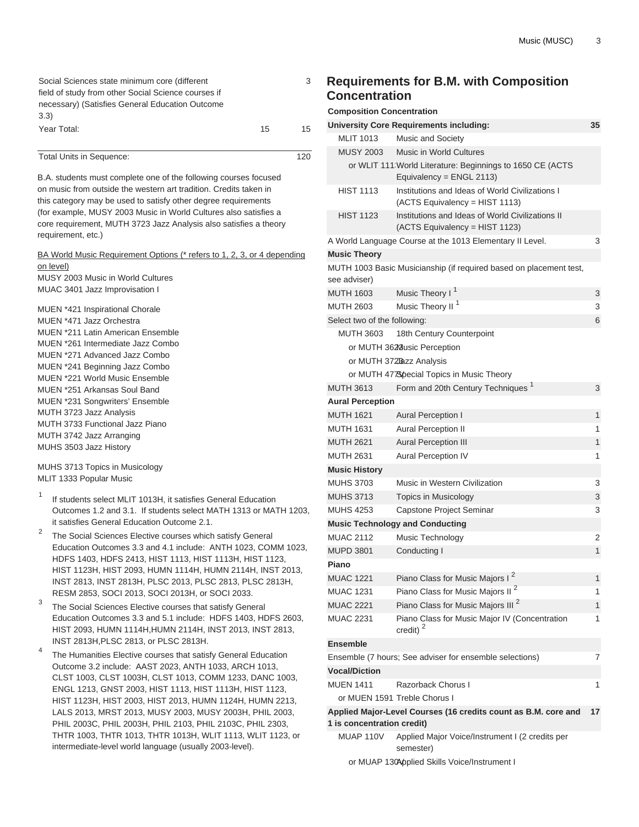| Social Sciences state minimum core (different       |    | 3  |
|-----------------------------------------------------|----|----|
| field of study from other Social Science courses if |    |    |
| necessary) (Satisfies General Education Outcome     |    |    |
| 3.3)                                                |    |    |
| Year Total:                                         | 15 | 15 |

Total Units in Sequence: 120

B.A. students must complete one of the following courses focused on music from outside the western art tradition. Credits taken in this category may be used to satisfy other degree requirements (for example, MUSY 2003 Music in World Cultures also satisfies a core requirement, MUTH 3723 Jazz Analysis also satisfies a theory requirement, etc.)

BA World Music Requirement Options (\* refers to 1, 2, 3, or 4 depending on level)

MUSY 2003 Music in World Cultures MUAC 3401 Jazz Improvisation I

MUEN \*421 Inspirational Chorale MUEN \*471 Jazz Orchestra MUEN \*211 Latin American Ensemble MUEN \*261 Intermediate Jazz Combo MUEN \*271 Advanced Jazz Combo MUEN \*241 Beginning Jazz Combo MUEN \*221 World Music Ensemble MUEN \*251 Arkansas Soul Band MUEN \*231 Songwriters' Ensemble MUTH 3723 Jazz Analysis MUTH 3733 Functional Jazz Piano MUTH 3742 Jazz Arranging MUHS 3503 Jazz History

MUHS 3713 Topics in Musicology MLIT 1333 Popular Music

- 1 If students select MLIT 1013H, it satisfies General Education Outcomes 1.2 and 3.1. If students select MATH 1313 or MATH 1203, it satisfies General Education Outcome 2.1.
- 2 The Social Sciences Elective courses which satisfy General Education Outcomes 3.3 and 4.1 include: [ANTH 1023,](/search/?P=ANTH%201023) [COMM 1023](/search/?P=COMM%201023), [HDFS 1403,](/search/?P=HDFS%201403) [HDFS 2413](/search/?P=HDFS%202413), [HIST 1113,](/search/?P=HIST%201113) [HIST 1113H](/search/?P=HIST%201113H), [HIST 1123](/search/?P=HIST%201123), [HIST 1123H](/search/?P=HIST%201123H), [HIST 2093,](/search/?P=HIST%202093) [HUMN 1114H](/search/?P=HUMN%201114H), [HUMN 2114H](/search/?P=HUMN%202114H), [INST 2013,](/search/?P=INST%202013) [INST 2813](/search/?P=INST%202813), [INST 2813H,](/search/?P=INST%202813H) [PLSC 2013](/search/?P=PLSC%202013), [PLSC 2813,](/search/?P=PLSC%202813) [PLSC 2813H,](/search/?P=PLSC%202813H) [RESM 2853](/search/?P=RESM%202853), [SOCI 2013](/search/?P=SOCI%202013), [SOCI 2013H](/search/?P=SOCI%202013H), or [SOCI 2033](/search/?P=SOCI%202033).
- 3 The Social Sciences Elective courses that satisfy General Education Outcomes 3.3 and 5.1 include: [HDFS 1403,](/search/?P=HDFS%201403) [HDFS 2603,](/search/?P=HDFS%202603) [HIST 2093](/search/?P=HIST%202093), [HUMN 1114H,](/search/?P=HUMN%201114H)[HUMN 2114H,](/search/?P=HUMN%202114H) [INST 2013](/search/?P=INST%202013), [INST 2813,](/search/?P=INST%202813) [INST 2813H](/search/?P=INST%202813H)[,PLSC 2813](/search/?P=PLSC%202813), or [PLSC 2813H.](/search/?P=PLSC%202813H)
- 4 The Humanities Elective courses that satisfy General Education Outcome 3.2 include: AAST 2023, ANTH 1033, ARCH 1013, CLST 1003, CLST 1003H, CLST 1013, COMM 1233, DANC 1003, ENGL 1213, GNST 2003, HIST 1113, HIST 1113H, HIST 1123, HIST 1123H, HIST 2003, HIST 2013, HUMN 1124H, HUMN 2213, LALS 2013, MRST 2013, MUSY 2003, MUSY 2003H, PHIL 2003, PHIL 2003C, PHIL 2003H, PHIL 2103, PHIL 2103C, PHIL 2303, THTR 1003, THTR 1013, THTR 1013H, WLIT 1113, WLIT 1123, or intermediate-level world language (usually 2003-level).

### **Requirements for B.M. with Composition Concentration**

3

|                              | <b>University Core Requirements including:</b>                                        | 35 |
|------------------------------|---------------------------------------------------------------------------------------|----|
| <b>MLIT 1013</b>             | <b>Music and Society</b>                                                              |    |
| <b>MUSY 2003</b>             | <b>Music in World Cultures</b>                                                        |    |
|                              | or WLIT 111 World Literature: Beginnings to 1650 CE (ACTS<br>Equivalency = ENGL 2113) |    |
| <b>HIST 1113</b>             | Institutions and Ideas of World Civilizations I<br>(ACTS Equivalency = HIST 1113)     |    |
| <b>HIST 1123</b>             | Institutions and Ideas of World Civilizations II<br>(ACTS Equivalency = HIST 1123)    |    |
|                              | A World Language Course at the 1013 Elementary II Level.                              | 3  |
| <b>Music Theory</b>          |                                                                                       |    |
|                              | MUTH 1003 Basic Musicianship (if required based on placement test,                    |    |
| see adviser)                 |                                                                                       |    |
| <b>MUTH 1603</b>             | Music Theory I <sup>1</sup>                                                           | 3  |
| <b>MUTH 2603</b>             | Music Theory II <sup>1</sup>                                                          | 3  |
| Select two of the following: |                                                                                       | 6  |
| <b>MUTH 3603</b>             | 18th Century Counterpoint                                                             |    |
|                              | or MUTH 3628 usic Perception                                                          |    |
|                              | or MUTH 372Bazz Analysis                                                              |    |
|                              | or MUTH 47 Special Topics in Music Theory                                             |    |
| <b>MUTH 3613</b>             | Form and 20th Century Techniques <sup>1</sup>                                         | 3  |
| <b>Aural Perception</b>      |                                                                                       |    |
| <b>MUTH 1621</b>             | <b>Aural Perception I</b>                                                             | 1  |
| <b>MUTH 1631</b>             | <b>Aural Perception II</b>                                                            | 1  |
| <b>MUTH 2621</b>             | <b>Aural Perception III</b>                                                           | 1  |
| <b>MUTH 2631</b>             | <b>Aural Perception IV</b>                                                            | 1  |
| <b>Music History</b>         |                                                                                       |    |
| <b>MUHS 3703</b>             | Music in Western Civilization                                                         | 3  |
| <b>MUHS 3713</b>             |                                                                                       | 3  |
|                              | Topics in Musicology                                                                  |    |
| <b>MUHS 4253</b>             | Capstone Project Seminar                                                              | 3  |
|                              | <b>Music Technology and Conducting</b>                                                |    |
| <b>MUAC 2112</b>             | Music Technology                                                                      | 2  |
| <b>MUPD 3801</b>             | Conducting I                                                                          | 1  |
| Piano                        |                                                                                       |    |
| <b>MUAC 1221</b>             | Piano Class for Music Majors I <sup>2</sup>                                           | 1  |
| MUAC 1231                    | Piano Class for Music Majors II <sup>2</sup>                                          | 1  |
| <b>MUAC 2221</b>             | Piano Class for Music Majors III <sup>2</sup>                                         | 1  |
| <b>MUAC 2231</b>             | Piano Class for Music Major IV (Concentration<br>credit) $^{2}$                       | 1  |
| <b>Ensemble</b>              |                                                                                       |    |
|                              | Ensemble (7 hours; See adviser for ensemble selections)                               | 7  |
| <b>Vocal/Diction</b>         |                                                                                       |    |
| <b>MUEN 1411</b>             | Razorback Chorus I                                                                    | 1  |
|                              | or MUEN 1591 Treble Chorus I                                                          |    |
|                              | Applied Major-Level Courses (16 credits count as B.M. core and                        | 17 |
| 1 is concentration credit)   |                                                                                       |    |
| MUAP 110V                    | Applied Major Voice/Instrument I (2 credits per<br>semester)                          |    |

or MUAP 130Applied Skills Voice/Instrument I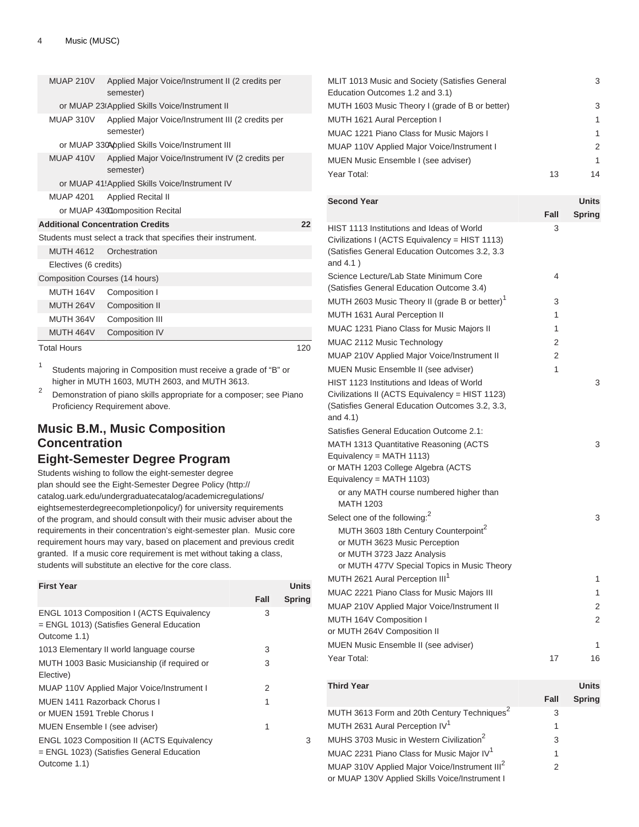| MUAP 210V          | semester)                               | Applied Major Voice/Instrument II (2 credits per              |     |
|--------------------|-----------------------------------------|---------------------------------------------------------------|-----|
|                    |                                         | or MUAP 23(Applied Skills Voice/Instrument II                 |     |
| MUAP 310V          | semester)                               | Applied Major Voice/Instrument III (2 credits per             |     |
|                    |                                         | or MUAP 330Applied Skills Voice/Instrument III                |     |
| MUAP 410V          | semester)                               | Applied Major Voice/Instrument IV (2 credits per              |     |
|                    |                                         | or MUAP 41: Applied Skills Voice/Instrument IV                |     |
| <b>MUAP 4201</b>   | <b>Applied Recital II</b>               |                                                               |     |
|                    | or MUAP 43000mposition Recital          |                                                               |     |
|                    | <b>Additional Concentration Credits</b> |                                                               | 22  |
|                    |                                         | Students must select a track that specifies their instrument. |     |
| <b>MUTH 4612</b>   | Orchestration                           |                                                               |     |
|                    | Electives (6 credits)                   |                                                               |     |
|                    | Composition Courses (14 hours)          |                                                               |     |
| MUTH 164V          | Composition I                           |                                                               |     |
|                    | MUTH 264V Composition II                |                                                               |     |
| MUTH 364V          | Composition III                         |                                                               |     |
| MUTH 464V          | Composition IV                          |                                                               |     |
| <b>Total Hours</b> |                                         |                                                               | 120 |

1 Students majoring in Composition must receive a grade of "B" or higher in MUTH 1603, MUTH 2603, and MUTH 3613.

2 Demonstration of piano skills appropriate for a composer; see Piano Proficiency Requirement above.

# **Music B.M., Music Composition Concentration Eight-Semester Degree Program**

Students wishing to follow the eight-semester degree plan should see the [Eight-Semester Degree Policy](http://catalog.uark.edu/undergraduatecatalog/academicregulations/eightsemesterdegreecompletionpolicy/) ([http://](http://catalog.uark.edu/undergraduatecatalog/academicregulations/eightsemesterdegreecompletionpolicy/) [catalog.uark.edu/undergraduatecatalog/academicregulations/](http://catalog.uark.edu/undergraduatecatalog/academicregulations/eightsemesterdegreecompletionpolicy/) [eightsemesterdegreecompletionpolicy/](http://catalog.uark.edu/undergraduatecatalog/academicregulations/eightsemesterdegreecompletionpolicy/)) for university requirements of the program, and should consult with their music adviser about the requirements in their concentration's eight-semester plan. Music core requirement hours may vary, based on placement and previous credit granted. If a music core requirement is met without taking a class, students will substitute an elective for the core class.

| <b>First Year</b>                                                                                              |      | <b>Units</b>  |
|----------------------------------------------------------------------------------------------------------------|------|---------------|
|                                                                                                                | Fall | <b>Spring</b> |
| ENGL 1013 Composition I (ACTS Equivalency<br>= ENGL 1013) (Satisfies General Education<br>Outcome 1.1)         | 3    |               |
| 1013 Elementary II world language course                                                                       | 3    |               |
| MUTH 1003 Basic Musicianship (if required or<br>Elective)                                                      | 3    |               |
| MUAP 110V Applied Major Voice/Instrument I                                                                     | 2    |               |
| MUEN 1411 Razorback Chorus I<br>or MUEN 1591 Treble Chorus I                                                   | 1    |               |
| MUEN Ensemble I (see adviser)                                                                                  | 1    |               |
| <b>ENGL 1023 Composition II (ACTS Equivalency</b><br>= ENGL 1023) (Satisfies General Education<br>Outcome 1.1) |      | 3             |

| MLIT 1013 Music and Society (Satisfies General<br>Education Outcomes 1.2 and 3.1) | 3  |
|-----------------------------------------------------------------------------------|----|
| MUTH 1603 Music Theory I (grade of B or better)                                   | 3  |
| MUTH 1621 Aural Perception I                                                      | 1  |
| MUAC 1221 Piano Class for Music Majors I                                          |    |
| MUAP 110V Applied Major Voice/Instrument I                                        | 2  |
| MUEN Music Ensemble I (see adviser)                                               | 1  |
| Year Total:<br>13                                                                 | 14 |

| <b>Second Year</b>                                                                                                                                             |                | Units        |
|----------------------------------------------------------------------------------------------------------------------------------------------------------------|----------------|--------------|
|                                                                                                                                                                | Fall           | Spring       |
| HIST 1113 Institutions and Ideas of World<br>Civilizations I (ACTS Equivalency = HIST 1113)<br>(Satisfies General Education Outcomes 3.2, 3.3<br>and 4.1)      | 3              |              |
| Science Lecture/Lab State Minimum Core<br>(Satisfies General Education Outcome 3.4)                                                                            | 4              |              |
| MUTH 2603 Music Theory II (grade B or better) <sup>1</sup>                                                                                                     | 3              |              |
| MUTH 1631 Aural Perception II                                                                                                                                  | 1              |              |
| MUAC 1231 Piano Class for Music Majors II                                                                                                                      | 1              |              |
| MUAC 2112 Music Technology                                                                                                                                     | $\overline{2}$ |              |
| MUAP 210V Applied Major Voice/Instrument II                                                                                                                    | $\mathfrak{p}$ |              |
| MUEN Music Ensemble II (see adviser)                                                                                                                           | 1              |              |
| HIST 1123 Institutions and Ideas of World<br>Civilizations II (ACTS Equivalency = HIST 1123)<br>(Satisfies General Education Outcomes 3.2, 3.3,<br>and 4.1)    |                | 3            |
| Satisfies General Education Outcome 2.1:                                                                                                                       |                |              |
| MATH 1313 Quantitative Reasoning (ACTS<br>Equivalency = MATH 1113)<br>or MATH 1203 College Algebra (ACTS                                                       |                | 3            |
| Equivalency = MATH 1103)                                                                                                                                       |                |              |
| or any MATH course numbered higher than<br><b>MATH 1203</b>                                                                                                    |                |              |
| Select one of the following: <sup>2</sup>                                                                                                                      |                | 3            |
| MUTH 3603 18th Century Counterpoint <sup>2</sup><br>or MUTH 3623 Music Perception<br>or MUTH 3723 Jazz Analysis<br>or MUTH 477V Special Topics in Music Theory |                |              |
| MUTH 2621 Aural Perception III <sup>1</sup>                                                                                                                    |                | 1            |
| MUAC 2221 Piano Class for Music Majors III                                                                                                                     |                | 1            |
| MUAP 210V Applied Major Voice/Instrument II                                                                                                                    |                | 2            |
| MUTH 164V Composition I<br>or MUTH 264V Composition II                                                                                                         |                | 2            |
| MUEN Music Ensemble II (see adviser)                                                                                                                           |                | 1            |
| Year Total:                                                                                                                                                    | 17             | 16           |
| <b>Third Year</b>                                                                                                                                              |                | <b>Units</b> |

|                                                           | Fall | <b>Spring</b> |
|-----------------------------------------------------------|------|---------------|
| MUTH 3613 Form and 20th Century Techniques <sup>2</sup>   | 3    |               |
| MUTH 2631 Aural Perception IV <sup>1</sup>                |      |               |
| MUHS 3703 Music in Western Civilization <sup>2</sup>      | 3    |               |
| MUAC 2231 Piano Class for Music Major IV <sup>1</sup>     |      |               |
| MUAP 310V Applied Major Voice/Instrument III <sup>2</sup> | 2    |               |
| or MUAP 130V Applied Skills Voice/Instrument I            |      |               |
|                                                           |      |               |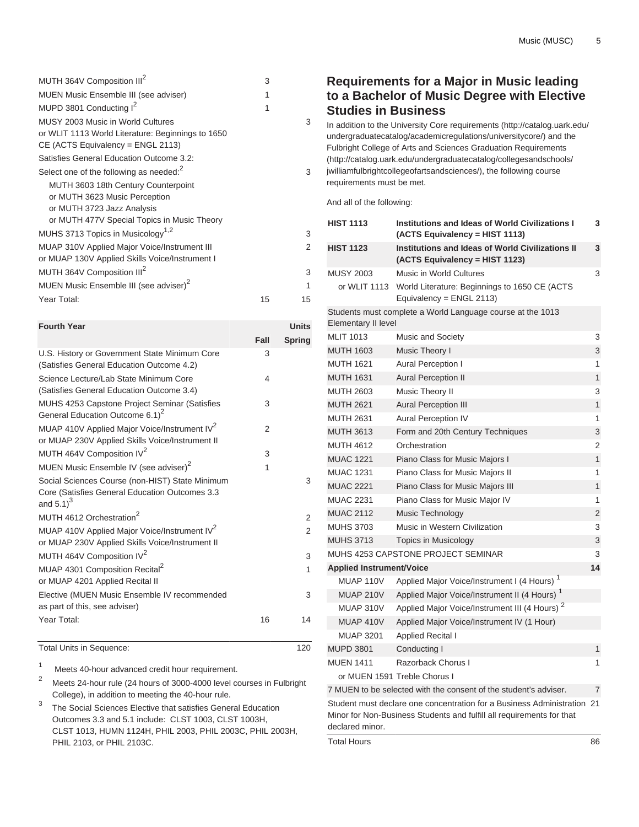| MUTH 364V Composition III <sup>2</sup>                                                                                        | 3  |               |
|-------------------------------------------------------------------------------------------------------------------------------|----|---------------|
| <b>MUEN Music Ensemble III (see adviser)</b>                                                                                  | 1  |               |
| MUPD 3801 Conducting I <sup>2</sup>                                                                                           | 1  |               |
| MUSY 2003 Music in World Cultures<br>or WLIT 1113 World Literature: Beginnings to 1650<br>$CE$ (ACTS Equivalency = ENGL 2113) |    | 3             |
| Satisfies General Education Outcome 3.2:                                                                                      |    |               |
| Select one of the following as needed: <sup>2</sup>                                                                           |    | 3             |
| MUTH 3603 18th Century Counterpoint                                                                                           |    |               |
| or MUTH 3623 Music Perception                                                                                                 |    |               |
| or MUTH 3723 Jazz Analysis                                                                                                    |    |               |
| or MUTH 477V Special Topics in Music Theory                                                                                   |    |               |
| MUHS 3713 Topics in Musicology <sup>1,2</sup>                                                                                 |    | 3             |
| MUAP 310V Applied Major Voice/Instrument III<br>or MUAP 130V Applied Skills Voice/Instrument I                                |    | $\mathcal{P}$ |
| MUTH 364V Composition III <sup>2</sup>                                                                                        |    | 3             |
| MUEN Music Ensemble III (see adviser) <sup>2</sup>                                                                            |    | 1             |
| Year Total:                                                                                                                   | 15 | 15            |
|                                                                                                                               |    |               |

| <b>Fourth Year</b>                                                                                                          |      | <b>Units</b>   |
|-----------------------------------------------------------------------------------------------------------------------------|------|----------------|
|                                                                                                                             | Fall | <b>Spring</b>  |
| U.S. History or Government State Minimum Core<br>(Satisfies General Education Outcome 4.2)                                  | 3    |                |
| Science Lecture/Lab State Minimum Core<br>(Satisfies General Education Outcome 3.4)                                         | 4    |                |
| MUHS 4253 Capstone Project Seminar (Satisfies<br>General Education Outcome 6.1) <sup>2</sup>                                | 3    |                |
| MUAP 410V Applied Major Voice/Instrument IV <sup>2</sup><br>or MUAP 230V Applied Skills Voice/Instrument II                 | 2    |                |
| MUTH 464V Composition IV <sup>2</sup>                                                                                       | 3    |                |
| MUEN Music Ensemble IV (see adviser) <sup>2</sup>                                                                           | 1    |                |
| Social Sciences Course (non-HIST) State Minimum<br>Core (Satisfies General Education Outcomes 3.3<br>and $5.1$ <sup>3</sup> |      | 3              |
| MUTH 4612 Orchestration <sup>2</sup>                                                                                        |      | $\overline{2}$ |
| MUAP 410V Applied Major Voice/Instrument IV <sup>2</sup><br>or MUAP 230V Applied Skills Voice/Instrument II                 |      | $\mathcal{P}$  |
| MUTH 464V Composition IV <sup>2</sup>                                                                                       |      | 3              |
| MUAP 4301 Composition Recital <sup>2</sup><br>or MUAP 4201 Applied Recital II                                               |      | 1              |
| Elective (MUEN Music Ensemble IV recommended<br>as part of this, see adviser)                                               |      | 3              |
| Year Total:                                                                                                                 | 16   | 14             |

Total Units in Sequence: 120

1 Meets 40-hour advanced credit hour requirement.

<sup>2</sup> Meets 24-hour rule (24 hours of 3000-4000 level courses in Fulbright College), in addition to meeting the 40-hour rule.

3 The Social Sciences Elective that satisfies General Education Outcomes 3.3 and 5.1 include: [CLST 1003,](/search/?P=CLST%201003) [CLST 1003H](/search/?P=CLST%201003H), [CLST 1013,](/search/?P=CLST%201013) [HUMN 1124H,](/search/?P=HUMN%201124H) [PHIL 2003](/search/?P=PHIL%202003), [PHIL 2003C](/search/?P=PHIL%202003C), [PHIL 2003H](/search/?P=PHIL%202003H), [PHIL 2103,](/search/?P=PHIL%202103) or [PHIL 2103C](/search/?P=PHIL%202103C).

# **Requirements for a Major in Music leading to a Bachelor of Music Degree with Elective Studies in Business**

In addition to the [University Core requirements](http://catalog.uark.edu/undergraduatecatalog/academicregulations/universitycore/) [\(http://catalog.uark.edu/](http://catalog.uark.edu/undergraduatecatalog/academicregulations/universitycore/) [undergraduatecatalog/academicregulations/universitycore/](http://catalog.uark.edu/undergraduatecatalog/academicregulations/universitycore/)) and the [Fulbright College of Arts and Sciences Graduation Requirements](http://catalog.uark.edu/undergraduatecatalog/collegesandschools/jwilliamfulbrightcollegeofartsandsciences/) ([http://catalog.uark.edu/undergraduatecatalog/collegesandschools/](http://catalog.uark.edu/undergraduatecatalog/collegesandschools/jwilliamfulbrightcollegeofartsandsciences/) [jwilliamfulbrightcollegeofartsandsciences/](http://catalog.uark.edu/undergraduatecatalog/collegesandschools/jwilliamfulbrightcollegeofartsandsciences/)), the following course requirements must be met.

And all of the following:

| <b>HIST 1113</b>                | <b>Institutions and Ideas of World Civilizations I</b><br>(ACTS Equivalency = HIST 1113)                                                         | 3              |
|---------------------------------|--------------------------------------------------------------------------------------------------------------------------------------------------|----------------|
| <b>HIST 1123</b>                | <b>Institutions and Ideas of World Civilizations II</b><br>(ACTS Equivalency = HIST 1123)                                                        | 3              |
| <b>MUSY 2003</b>                | Music in World Cultures                                                                                                                          | 3              |
| or WLIT 1113                    | World Literature: Beginnings to 1650 CE (ACTS<br>Equivalency = $ENGL$ 2113)                                                                      |                |
| Elementary II level             | Students must complete a World Language course at the 1013                                                                                       |                |
| <b>MLIT 1013</b>                | <b>Music and Society</b>                                                                                                                         | 3              |
| <b>MUTH 1603</b>                | Music Theory I                                                                                                                                   | 3              |
| <b>MUTH 1621</b>                | <b>Aural Perception I</b>                                                                                                                        | 1              |
| <b>MUTH 1631</b>                | <b>Aural Perception II</b>                                                                                                                       | 1              |
| <b>MUTH 2603</b>                | Music Theory II                                                                                                                                  | 3              |
| <b>MUTH 2621</b>                | <b>Aural Perception III</b>                                                                                                                      | $\overline{1}$ |
| <b>MUTH 2631</b>                | <b>Aural Perception IV</b>                                                                                                                       | 1              |
| <b>MUTH 3613</b>                | Form and 20th Century Techniques                                                                                                                 | 3              |
| <b>MUTH 4612</b>                | Orchestration                                                                                                                                    | 2              |
| <b>MUAC 1221</b>                | Piano Class for Music Majors I                                                                                                                   | 1              |
| <b>MUAC 1231</b>                | Piano Class for Music Majors II                                                                                                                  | 1              |
| <b>MUAC 2221</b>                | Piano Class for Music Majors III                                                                                                                 | $\overline{1}$ |
| <b>MUAC 2231</b>                | Piano Class for Music Major IV                                                                                                                   | 1              |
| <b>MUAC 2112</b>                | Music Technology                                                                                                                                 | $\overline{2}$ |
| <b>MUHS 3703</b>                | Music in Western Civilization                                                                                                                    | 3              |
| <b>MUHS 3713</b>                | <b>Topics in Musicology</b>                                                                                                                      | 3              |
|                                 | MUHS 4253 CAPSTONE PROJECT SEMINAR                                                                                                               | 3              |
| <b>Applied Instrument/Voice</b> |                                                                                                                                                  | 14             |
| MUAP 110V                       | Applied Major Voice/Instrument I (4 Hours) <sup>1</sup>                                                                                          |                |
| <b>MUAP 210V</b>                | Applied Major Voice/Instrument II (4 Hours) <sup>1</sup>                                                                                         |                |
| MUAP 310V                       | Applied Major Voice/Instrument III (4 Hours) <sup>2</sup>                                                                                        |                |
| <b>MUAP 410V</b>                | Applied Major Voice/Instrument IV (1 Hour)                                                                                                       |                |
| <b>MUAP 3201</b>                | <b>Applied Recital I</b>                                                                                                                         |                |
| <b>MUPD 3801</b>                | Conducting I                                                                                                                                     | 1              |
| <b>MUEN 1411</b>                | Razorback Chorus I                                                                                                                               | 1              |
|                                 | or MUEN 1591 Treble Chorus I                                                                                                                     |                |
|                                 | 7 MUEN to be selected with the consent of the student's adviser.                                                                                 | $\overline{7}$ |
| declared minor.                 | Student must declare one concentration for a Business Administration 21<br>Minor for Non-Business Students and fulfill all requirements for that |                |
| <b>Total Hours</b>              |                                                                                                                                                  | 86             |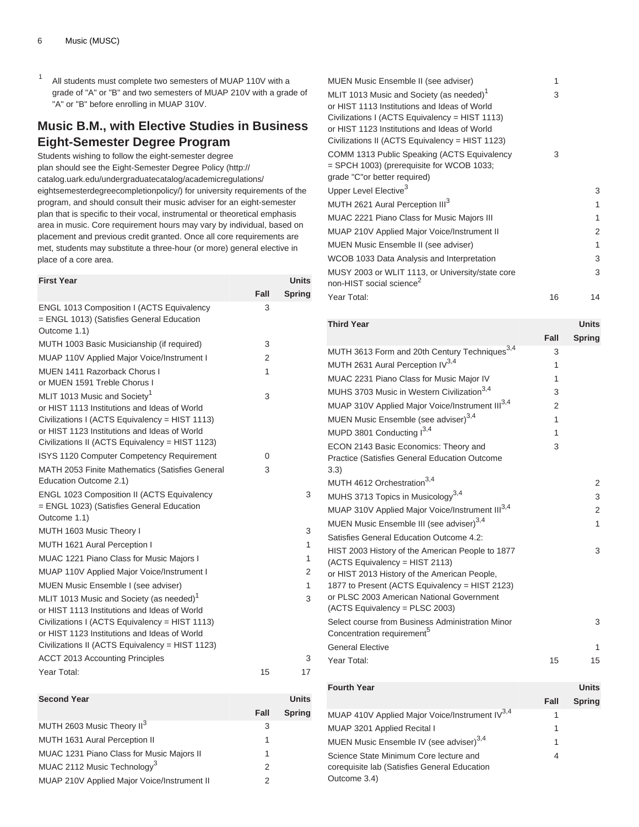1 All students must complete two semesters of MUAP 110V with a grade of "A" or "B" and two semesters of MUAP 210V with a grade of "A" or "B" before enrolling in MUAP 310V.

# **Music B.M., with Elective Studies in Business Eight-Semester Degree Program**

Students wishing to follow the eight-semester degree plan should see the [Eight-Semester Degree Policy](http://catalog.uark.edu/undergraduatecatalog/academicregulations/eightsemesterdegreecompletionpolicy/) ([http://](http://catalog.uark.edu/undergraduatecatalog/academicregulations/eightsemesterdegreecompletionpolicy/) [catalog.uark.edu/undergraduatecatalog/academicregulations/](http://catalog.uark.edu/undergraduatecatalog/academicregulations/eightsemesterdegreecompletionpolicy/) [eightsemesterdegreecompletionpolicy/](http://catalog.uark.edu/undergraduatecatalog/academicregulations/eightsemesterdegreecompletionpolicy/)) for university requirements of the program, and should consult their music adviser for an eight-semester plan that is specific to their vocal, instrumental or theoretical emphasis area in music. Core requirement hours may vary by individual, based on placement and previous credit granted. Once all core requirements are met, students may substitute a three-hour (or more) general elective in place of a core area.

| <b>First Year</b>                                                                                                                                                                                                                                         |                | Units         |
|-----------------------------------------------------------------------------------------------------------------------------------------------------------------------------------------------------------------------------------------------------------|----------------|---------------|
|                                                                                                                                                                                                                                                           | Fall           | <b>Spring</b> |
| ENGL 1013 Composition I (ACTS Equivalency<br>= ENGL 1013) (Satisfies General Education<br>Outcome 1.1)                                                                                                                                                    | 3              |               |
| MUTH 1003 Basic Musicianship (if required)                                                                                                                                                                                                                | 3              |               |
| MUAP 110V Applied Major Voice/Instrument I                                                                                                                                                                                                                | $\overline{2}$ |               |
| MUEN 1411 Razorback Chorus I<br>or MUEN 1591 Treble Chorus I                                                                                                                                                                                              | 1              |               |
| MLIT 1013 Music and Society <sup>1</sup><br>or HIST 1113 Institutions and Ideas of World<br>Civilizations I (ACTS Equivalency = HIST 1113)<br>or HIST 1123 Institutions and Ideas of World<br>Civilizations II (ACTS Equivalency = HIST 1123)             | 3              |               |
| ISYS 1120 Computer Competency Requirement                                                                                                                                                                                                                 | 0              |               |
| MATH 2053 Finite Mathematics (Satisfies General<br>Education Outcome 2.1)                                                                                                                                                                                 | 3              |               |
| <b>ENGL 1023 Composition II (ACTS Equivalency</b><br>= ENGL 1023) (Satisfies General Education<br>Outcome 1.1)                                                                                                                                            |                | 3             |
| MUTH 1603 Music Theory I                                                                                                                                                                                                                                  |                | 3             |
| MUTH 1621 Aural Perception I                                                                                                                                                                                                                              |                | 1             |
| MUAC 1221 Piano Class for Music Majors I                                                                                                                                                                                                                  |                | 1             |
| MUAP 110V Applied Major Voice/Instrument I                                                                                                                                                                                                                |                | 2             |
| MUEN Music Ensemble I (see adviser)                                                                                                                                                                                                                       |                | 1             |
| MLIT 1013 Music and Society (as needed) <sup>1</sup><br>or HIST 1113 Institutions and Ideas of World<br>Civilizations I (ACTS Equivalency = HIST 1113)<br>or HIST 1123 Institutions and Ideas of World<br>Civilizations II (ACTS Equivalency = HIST 1123) |                | 3             |
| <b>ACCT 2013 Accounting Principles</b>                                                                                                                                                                                                                    |                | 3             |
| Year Total:                                                                                                                                                                                                                                               | 15             | 17            |

| <b>Second Year</b>                          |      | Units         |
|---------------------------------------------|------|---------------|
|                                             | Fall | <b>Spring</b> |
| MUTH 2603 Music Theory II <sup>3</sup>      | 3    |               |
| MUTH 1631 Aural Perception II               |      |               |
| MUAC 1231 Piano Class for Music Majors II   | 1    |               |
| MUAC 2112 Music Technology <sup>3</sup>     | 2    |               |
| MUAP 210V Applied Major Voice/Instrument II |      |               |

| 3  |
|----|
| 1  |
| 1  |
| 2  |
| 1  |
| 3  |
| 3  |
| 14 |
|    |

| <b>Third Year</b>                                                                              |      | <b>Units</b>  |
|------------------------------------------------------------------------------------------------|------|---------------|
|                                                                                                | Fall | <b>Spring</b> |
| MUTH 3613 Form and 20th Century Techniques <sup>3,4</sup>                                      | 3    |               |
| MUTH 2631 Aural Perception IV <sup>3,4</sup>                                                   | 1    |               |
| MUAC 2231 Piano Class for Music Major IV                                                       | 1    |               |
| MUHS 3703 Music in Western Civilization <sup>3,4</sup>                                         | 3    |               |
| MUAP 310V Applied Major Voice/Instrument III <sup>3,4</sup>                                    | 2    |               |
| MUEN Music Ensemble (see adviser) <sup>3,4</sup>                                               | 1    |               |
| MUPD 3801 Conducting I <sup>3,4</sup>                                                          | 1    |               |
| ECON 2143 Basic Economics: Theory and                                                          | 3    |               |
| Practice (Satisfies General Education Outcome                                                  |      |               |
| 3.3)                                                                                           |      |               |
| MUTH 4612 Orchestration <sup>3,4</sup>                                                         |      | 2             |
| MUHS 3713 Topics in Musicology <sup>3,4</sup>                                                  |      | 3             |
| MUAP 310V Applied Major Voice/Instrument III <sup>3,4</sup>                                    |      | 2             |
| MUEN Music Ensemble III (see adviser) <sup>3,4</sup>                                           |      | 1             |
| Satisfies General Education Outcome 4.2:                                                       |      |               |
| HIST 2003 History of the American People to 1877                                               |      | 3             |
| (ACTS Equivalency = HIST 2113)                                                                 |      |               |
| or HIST 2013 History of the American People,<br>1877 to Present (ACTS Equivalency = HIST 2123) |      |               |
| or PLSC 2003 American National Government                                                      |      |               |
| (ACTS Equivalency = PLSC 2003)                                                                 |      |               |
| Select course from Business Administration Minor                                               |      | 3             |
| Concentration requirement <sup>5</sup>                                                         |      |               |
| <b>General Elective</b>                                                                        |      | 1             |
| Year Total:                                                                                    | 15   | 15            |
|                                                                                                |      |               |
| <b>Fourth Year</b>                                                                             |      | <b>Units</b>  |

| <b>Fourth Year</b>                                  |      | Units         |
|-----------------------------------------------------|------|---------------|
|                                                     | Fall | <b>Spring</b> |
| MUAP 410V Applied Major Voice/Instrument IV3,4      | 1    |               |
| MUAP 3201 Applied Recital I                         | 1    |               |
| MUEN Music Ensemble IV (see adviser) <sup>3,4</sup> | 1    |               |
| Science State Minimum Core lecture and              | 4    |               |
| corequisite lab (Satisfies General Education        |      |               |
| Outcome 3.4)                                        |      |               |
|                                                     |      |               |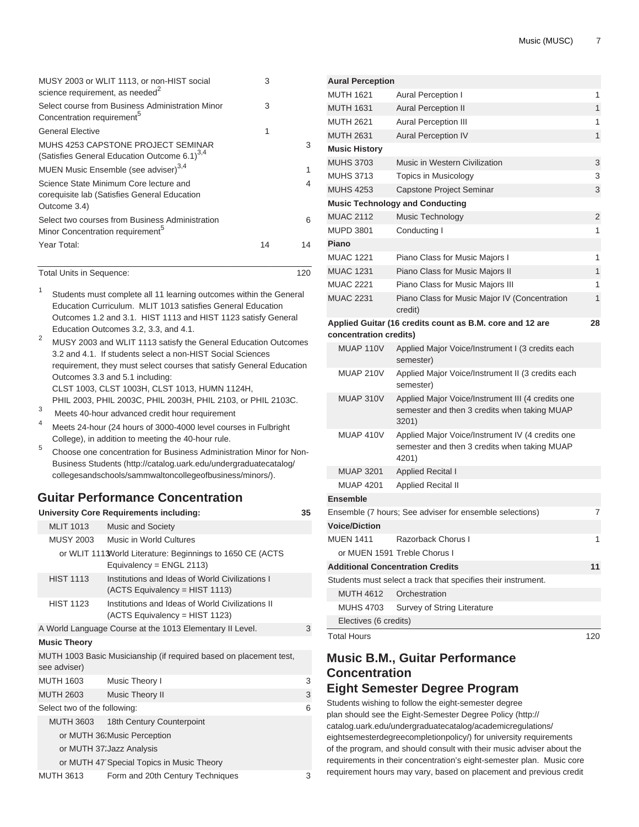| MUSY 2003 or WLIT 1113, or non-HIST social<br>science requirement, as needed <sup>2</sup>              | 3  |    |
|--------------------------------------------------------------------------------------------------------|----|----|
| Select course from Business Administration Minor<br>Concentration requirement <sup>5</sup>             | 3  |    |
| <b>General Elective</b>                                                                                | 1  |    |
| MUHS 4253 CAPSTONE PROJECT SEMINAR<br>(Satisfies General Education Outcome 6.1) <sup>3,4</sup>         |    | 3  |
| MUEN Music Ensemble (see adviser) <sup>3,4</sup>                                                       |    | 1  |
| Science State Minimum Core lecture and<br>corequisite lab (Satisfies General Education<br>Outcome 3.4) |    | 4  |
| Select two courses from Business Administration<br>Minor Concentration requirement <sup>5</sup>        |    | 6  |
| Year Total:                                                                                            | 14 | 14 |

| Total Units in Sequence: | 120 |
|--------------------------|-----|
|--------------------------|-----|

- 1 Students must complete all 11 learning outcomes within the General Education Curriculum. MLIT 1013 satisfies General Education Outcomes 1.2 and 3.1. HIST 1113 and HIST 1123 satisfy General Education Outcomes 3.2, 3.3, and 4.1.
- <sup>2</sup> MUSY 2003 and WLIT 1113 satisfy the General Education Outcomes 3.2 and 4.1. If students select a non-HIST Social Sciences requirement, they must select courses that satisfy General Education Outcomes 3.3 and 5.1 including: [CLST 1003,](/search/?P=CLST%201003) [CLST 1003H](/search/?P=CLST%201003H), [CLST 1013](/search/?P=CLST%201013), [HUMN 1124H](/search/?P=HUMN%201124H), [PHIL 2003,](/search/?P=PHIL%202003) [PHIL 2003C,](/search/?P=PHIL%202003C) [PHIL 2003H,](/search/?P=PHIL%202003H) [PHIL 2103](/search/?P=PHIL%202103), or [PHIL 2103C.](/search/?P=PHIL%202103C)
- 3 Meets 40-hour advanced credit hour requirement
- <sup>4</sup> Meets 24-hour (24 hours of 3000-4000 level courses in Fulbright College), in addition to meeting the 40-hour rule.
- 5 Choose one concentration for [Business Administration Minor for Non-](http://catalog.uark.edu/undergraduatecatalog/collegesandschools/sammwaltoncollegeofbusiness/minors/)[Business Students](http://catalog.uark.edu/undergraduatecatalog/collegesandschools/sammwaltoncollegeofbusiness/minors/) [\(http://catalog.uark.edu/undergraduatecatalog/](http://catalog.uark.edu/undergraduatecatalog/collegesandschools/sammwaltoncollegeofbusiness/minors/) [collegesandschools/sammwaltoncollegeofbusiness/minors/](http://catalog.uark.edu/undergraduatecatalog/collegesandschools/sammwaltoncollegeofbusiness/minors/)).

### **Guitar Performance Concentration**

|                              | <b>University Core Requirements including:</b>                                            | 35 |
|------------------------------|-------------------------------------------------------------------------------------------|----|
| <b>MLIT 1013</b>             | <b>Music and Society</b>                                                                  |    |
| MUSY 2003                    | Music in World Cultures                                                                   |    |
|                              | or WLIT 1113 World Literature: Beginnings to 1650 CE (ACTS<br>Equivalency = $ENGL 2113$ ) |    |
| <b>HIST 1113</b>             | Institutions and Ideas of World Civilizations I<br>(ACTS Equivalency = HIST 1113)         |    |
| <b>HIST 1123</b>             | Institutions and Ideas of World Civilizations II<br>(ACTS Equivalency = HIST 1123)        |    |
|                              | A World Language Course at the 1013 Elementary II Level.                                  | 3  |
| <b>Music Theory</b>          |                                                                                           |    |
| see adviser)                 | MUTH 1003 Basic Musicianship (if required based on placement test,                        |    |
| MUTH 1603                    | Music Theory I                                                                            | 3  |
| <b>MUTH 2603</b>             | Music Theory II                                                                           | 3  |
| Select two of the following: |                                                                                           | 6  |
| <b>MUTH 3603</b>             | 18th Century Counterpoint                                                                 |    |
|                              | or MUTH 36: Music Perception                                                              |    |
|                              | or MUTH 37: Jazz Analysis                                                                 |    |
|                              | or MUTH 47 Special Topics in Music Theory                                                 |    |
| <b>MUTH 3613</b>             | Form and 20th Century Techniques                                                          | 3  |

| <b>MUTH 1621</b>                        | Aural Perception I                                                                                         | 1              |
|-----------------------------------------|------------------------------------------------------------------------------------------------------------|----------------|
|                                         |                                                                                                            |                |
| <b>MUTH 1631</b>                        | <b>Aural Perception II</b>                                                                                 | 1              |
| <b>MUTH 2621</b>                        | <b>Aural Perception III</b>                                                                                | 1              |
| <b>MUTH 2631</b>                        | Aural Perception IV                                                                                        | 1              |
| <b>Music History</b>                    |                                                                                                            |                |
| <b>MUHS 3703</b>                        | Music in Western Civilization                                                                              | 3              |
| <b>MUHS 3713</b>                        | Topics in Musicology                                                                                       | 3              |
| <b>MUHS 4253</b>                        | Capstone Project Seminar                                                                                   | 3              |
| <b>Music Technology and Conducting</b>  |                                                                                                            |                |
| <b>MUAC 2112</b>                        | Music Technology                                                                                           | $\overline{c}$ |
| <b>MUPD 3801</b>                        | Conducting I                                                                                               | 1              |
| Piano                                   |                                                                                                            |                |
| <b>MUAC 1221</b>                        | Piano Class for Music Majors I                                                                             | 1              |
| <b>MUAC 1231</b>                        | Piano Class for Music Majors II                                                                            | 1              |
| <b>MUAC 2221</b>                        | Piano Class for Music Majors III                                                                           | 1              |
| <b>MUAC 2231</b>                        | Piano Class for Music Major IV (Concentration<br>credit)                                                   | 1              |
| concentration credits)                  | Applied Guitar (16 credits count as B.M. core and 12 are                                                   | 28             |
| MUAP 110V                               | Applied Major Voice/Instrument I (3 credits each<br>semester)                                              |                |
| MUAP 210V                               | Applied Major Voice/Instrument II (3 credits each<br>semester)                                             |                |
| MUAP 310V                               | Applied Major Voice/Instrument III (4 credits one<br>semester and then 3 credits when taking MUAP<br>3201) |                |
| MUAP 410V                               | Applied Major Voice/Instrument IV (4 credits one<br>semester and then 3 credits when taking MUAP<br>4201)  |                |
| <b>MUAP 3201</b>                        | <b>Applied Recital I</b>                                                                                   |                |
| <b>MUAP 4201</b>                        | <b>Applied Recital II</b>                                                                                  |                |
| <b>Ensemble</b>                         |                                                                                                            |                |
|                                         | Ensemble (7 hours; See adviser for ensemble selections)                                                    | 7              |
| <b>Voice/Diction</b>                    |                                                                                                            |                |
| <b>MUEN 1411</b>                        | Razorback Chorus I                                                                                         | 1              |
| or MUEN 1591 Treble Chorus I            |                                                                                                            |                |
| <b>Additional Concentration Credits</b> |                                                                                                            | 11             |
|                                         | Students must select a track that specifies their instrument.                                              |                |
| <b>MUTH 4612</b>                        | Orchestration                                                                                              |                |
| <b>MUHS 4703</b>                        | Survey of String Literature                                                                                |                |
| Electives (6 credits)                   |                                                                                                            |                |
| <b>Total Hours</b>                      |                                                                                                            | 120            |

# **Music B.M., Guitar Performance Concentration Eight Semester Degree Program**

Students wishing to follow the eight-semester degree plan should see the [Eight-Semester Degree Policy](http://catalog.uark.edu/undergraduatecatalog/academicregulations/eightsemesterdegreecompletionpolicy/) ([http://](http://catalog.uark.edu/undergraduatecatalog/academicregulations/eightsemesterdegreecompletionpolicy/) [catalog.uark.edu/undergraduatecatalog/academicregulations/](http://catalog.uark.edu/undergraduatecatalog/academicregulations/eightsemesterdegreecompletionpolicy/) [eightsemesterdegreecompletionpolicy/\)](http://catalog.uark.edu/undergraduatecatalog/academicregulations/eightsemesterdegreecompletionpolicy/) for university requirements of the program, and should consult with their music adviser about the requirements in their concentration's eight-semester plan. Music core requirement hours may vary, based on placement and previous credit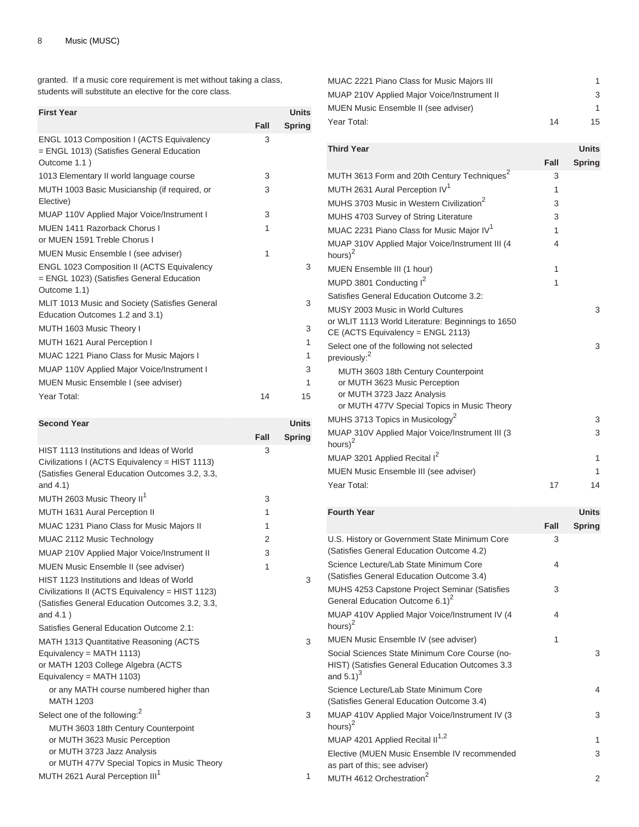granted. If a music core requirement is met without taking a class, students will substitute an elective for the core class.

| <b>First Year</b>                                                                                              |      | <b>Units</b>  |
|----------------------------------------------------------------------------------------------------------------|------|---------------|
|                                                                                                                | Fall | <b>Spring</b> |
| ENGL 1013 Composition I (ACTS Equivalency<br>= ENGL 1013) (Satisfies General Education<br>Outcome 1.1)         | 3    |               |
| 1013 Elementary II world language course                                                                       | 3    |               |
| MUTH 1003 Basic Musicianship (if required, or<br>Elective)                                                     | 3    |               |
| MUAP 110V Applied Major Voice/Instrument I                                                                     | 3    |               |
| MUEN 1411 Razorback Chorus I<br>or MUEN 1591 Treble Chorus I                                                   | 1    |               |
| MUEN Music Ensemble I (see adviser)                                                                            | 1    |               |
| <b>ENGL 1023 Composition II (ACTS Equivalency</b><br>= ENGL 1023) (Satisfies General Education<br>Outcome 1.1) |      | 3             |
| MLIT 1013 Music and Society (Satisfies General<br>Education Outcomes 1.2 and 3.1)                              |      | 3             |
| MUTH 1603 Music Theory I                                                                                       |      | 3             |
| MUTH 1621 Aural Perception I                                                                                   |      | 1             |
| MUAC 1221 Piano Class for Music Majors I                                                                       |      | 1             |
| MUAP 110V Applied Major Voice/Instrument I                                                                     |      | 3             |
| MUEN Music Ensemble I (see adviser)                                                                            |      | 1             |
| Year Total:                                                                                                    | 14   | 15            |

| <b>Second Year</b>                                                                                                                                             |      | <b>Units</b> |
|----------------------------------------------------------------------------------------------------------------------------------------------------------------|------|--------------|
|                                                                                                                                                                | Fall | Spring       |
| HIST 1113 Institutions and Ideas of World<br>Civilizations I (ACTS Equivalency = HIST 1113)<br>(Satisfies General Education Outcomes 3.2, 3.3,<br>and $4.1$ )  | 3    |              |
| MUTH 2603 Music Theory II <sup>1</sup>                                                                                                                         | 3    |              |
| MUTH 1631 Aural Perception II                                                                                                                                  | 1    |              |
| MUAC 1231 Piano Class for Music Majors II                                                                                                                      | 1    |              |
| MUAC 2112 Music Technology                                                                                                                                     | 2    |              |
| MUAP 210V Applied Major Voice/Instrument II                                                                                                                    | 3    |              |
| MUEN Music Ensemble II (see adviser)                                                                                                                           | 1    |              |
| HIST 1123 Institutions and Ideas of World<br>Civilizations II (ACTS Equivalency = HIST 1123)<br>(Satisfies General Education Outcomes 3.2, 3.3,<br>and $4.1$ ) |      | 3            |
| Satisfies General Education Outcome 2.1:                                                                                                                       |      |              |
| MATH 1313 Quantitative Reasoning (ACTS<br>Equivalency = MATH $1113$ )<br>or MATH 1203 College Algebra (ACTS<br>Equivalency = MATH $1103$ )                     |      | 3            |
| or any MATH course numbered higher than<br><b>MATH 1203</b>                                                                                                    |      |              |
| Select one of the following: <sup>2</sup>                                                                                                                      |      | 3            |
| MUTH 3603 18th Century Counterpoint<br>or MUTH 3623 Music Perception<br>or MUTH 3723 Jazz Analysis<br>or MUTH 477V Special Topics in Music Theory              |      |              |
| MUTH 2621 Aural Perception III <sup>1</sup>                                                                                                                    |      | 1            |

| MUAC 2221 Piano Class for Music Majors III  |    |    |
|---------------------------------------------|----|----|
| MUAP 210V Applied Major Voice/Instrument II |    | 3  |
| MUEN Music Ensemble II (see adviser)        |    |    |
| Year Total:                                 | 14 | 15 |

| <b>Third Year</b>                                                                                  |      | <b>Units</b>  |
|----------------------------------------------------------------------------------------------------|------|---------------|
|                                                                                                    | Fall | <b>Spring</b> |
| MUTH 3613 Form and 20th Century Techniques <sup>2</sup>                                            | 3    |               |
| MUTH 2631 Aural Perception IV <sup>1</sup>                                                         | 1    |               |
| MUHS 3703 Music in Western Civilization <sup>2</sup>                                               | 3    |               |
| MUHS 4703 Survey of String Literature                                                              | 3    |               |
| MUAC 2231 Piano Class for Music Major IV <sup>1</sup>                                              | 1    |               |
| MUAP 310V Applied Major Voice/Instrument III (4<br>hours $)^2$                                     | 4    |               |
| MUEN Ensemble III (1 hour)                                                                         | 1    |               |
| MUPD 3801 Conducting I <sup>2</sup>                                                                | 1    |               |
| Satisfies General Education Outcome 3.2:                                                           |      |               |
| MUSY 2003 Music in World Cultures                                                                  |      | 3             |
| or WLIT 1113 World Literature: Beginnings to 1650<br>CE (ACTS Equivalency = ENGL 2113)             |      |               |
| Select one of the following not selected<br>previously: <sup>2</sup>                               |      | 3             |
| MUTH 3603 18th Century Counterpoint<br>or MUTH 3623 Music Perception<br>or MUTH 3723 Jazz Analysis |      |               |
| or MUTH 477V Special Topics in Music Theory                                                        |      |               |
| MUHS 3713 Topics in Musicology <sup>2</sup>                                                        |      | 3             |
| MUAP 310V Applied Major Voice/Instrument III (3<br>hours $)^2$                                     |      | 3             |
| MUAP 3201 Applied Recital I <sup>2</sup>                                                           |      | 1             |
| MUEN Music Ensemble III (see adviser)                                                              |      | 1             |
| Year Total:                                                                                        | 17   | 14            |

| <b>Fourth Year</b>                                                                                                          |      | <b>Units</b>  |
|-----------------------------------------------------------------------------------------------------------------------------|------|---------------|
|                                                                                                                             | Fall | <b>Spring</b> |
| U.S. History or Government State Minimum Core<br>(Satisfies General Education Outcome 4.2)                                  | 3    |               |
| Science Lecture/Lab State Minimum Core<br>(Satisfies General Education Outcome 3.4)                                         | 4    |               |
| MUHS 4253 Capstone Project Seminar (Satisfies<br>General Education Outcome 6.1) <sup>2</sup>                                | 3    |               |
| MUAP 410V Applied Major Voice/Instrument IV (4<br>hours) $2$                                                                | 4    |               |
| MUEN Music Ensemble IV (see adviser)                                                                                        | 1    |               |
| Social Sciences State Minimum Core Course (no-<br>HIST) (Satisfies General Education Outcomes 3.3<br>and $5.1$ <sup>3</sup> |      | 3             |
| Science Lecture/Lab State Minimum Core<br>(Satisfies General Education Outcome 3.4)                                         |      | 4             |
| MUAP 410V Applied Major Voice/Instrument IV (3<br>hours) <sup>2</sup>                                                       |      | 3             |
| MUAP 4201 Applied Recital II <sup>1,2</sup>                                                                                 |      | 1             |
| Elective (MUEN Music Ensemble IV recommended<br>as part of this; see adviser)                                               |      | 3             |
| MUTH 4612 Orchestration <sup>2</sup>                                                                                        |      | 2             |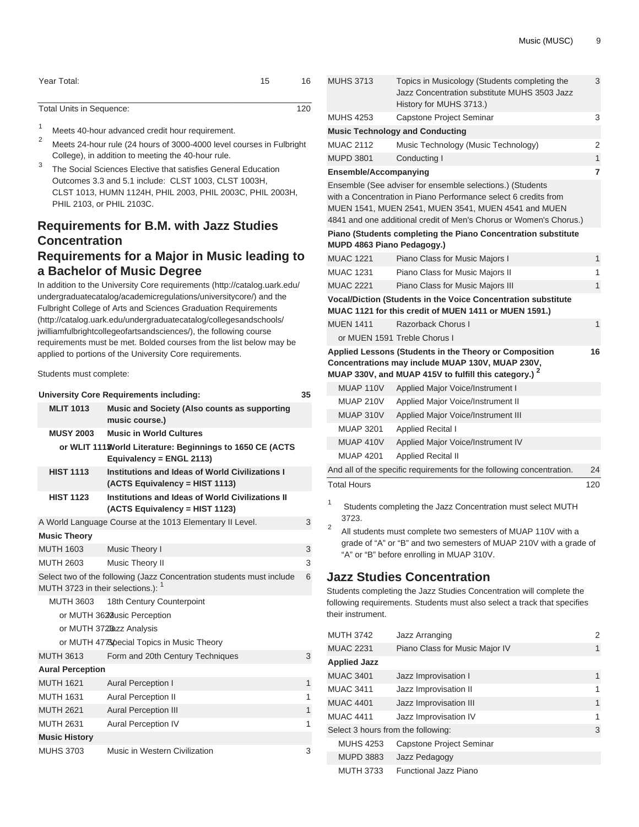|  | Music (MUSC) | 9 |
|--|--------------|---|
|--|--------------|---|

| Year Total: | 15 | 16 |
|-------------|----|----|
|             |    |    |

| Total Units in Sequence: | 120 |
|--------------------------|-----|
|                          |     |

- <sup>1</sup> Meets 40-hour advanced credit hour requirement.
- <sup>2</sup> Meets 24-hour rule (24 hours of 3000-4000 level courses in Fulbright College), in addition to meeting the 40-hour rule.
- 3 The Social Sciences Elective that satisfies General Education Outcomes 3.3 and 5.1 include: [CLST 1003,](/search/?P=CLST%201003) [CLST 1003H](/search/?P=CLST%201003H), [CLST 1013,](/search/?P=CLST%201013) [HUMN 1124H,](/search/?P=HUMN%201124H) [PHIL 2003](/search/?P=PHIL%202003), [PHIL 2003C](/search/?P=PHIL%202003C), [PHIL 2003H](/search/?P=PHIL%202003H), [PHIL 2103,](/search/?P=PHIL%202103) or [PHIL 2103C](/search/?P=PHIL%202103C).

# **Requirements for B.M. with Jazz Studies Concentration Requirements for a Major in Music leading to a Bachelor of Music Degree**

In addition to the [University Core requirements](http://catalog.uark.edu/undergraduatecatalog/academicregulations/universitycore/) ([http://catalog.uark.edu/](http://catalog.uark.edu/undergraduatecatalog/academicregulations/universitycore/) [undergraduatecatalog/academicregulations/universitycore/](http://catalog.uark.edu/undergraduatecatalog/academicregulations/universitycore/)) and the [Fulbright College of Arts and Sciences Graduation Requirements](http://catalog.uark.edu/undergraduatecatalog/collegesandschools/jwilliamfulbrightcollegeofartsandsciences/) ([http://catalog.uark.edu/undergraduatecatalog/collegesandschools/](http://catalog.uark.edu/undergraduatecatalog/collegesandschools/jwilliamfulbrightcollegeofartsandsciences/) [jwilliamfulbrightcollegeofartsandsciences/](http://catalog.uark.edu/undergraduatecatalog/collegesandschools/jwilliamfulbrightcollegeofartsandsciences/)), the following course requirements must be met. Bolded courses from the list below may be applied to portions of the University Core requirements.

Students must complete:

|                                               | University Core Requirements including:                                               | 35           |
|-----------------------------------------------|---------------------------------------------------------------------------------------|--------------|
| <b>MLIT 1013</b>                              | Music and Society (Also counts as supporting<br>music course.)                        |              |
| <b>MUSY 2003</b>                              | <b>Music in World Cultures</b>                                                        |              |
|                                               | or WLIT 111 World Literature: Beginnings to 1650 CE (ACTS<br>Equivalency = ENGL 2113) |              |
| <b>HIST 1113</b>                              | Institutions and Ideas of World Civilizations I<br>(ACTS Equivalency = HIST 1113)     |              |
| <b>HIST 1123</b>                              | Institutions and Ideas of World Civilizations II<br>(ACTS Equivalency = HIST 1123)    |              |
|                                               | A World Language Course at the 1013 Elementary II Level.                              | 3            |
| <b>Music Theory</b>                           |                                                                                       |              |
| <b>MUTH 1603</b>                              | Music Theory I                                                                        | 3            |
| <b>MUTH 2603</b>                              | Music Theory II                                                                       | 3            |
| MUTH 3723 in their selections.): <sup>1</sup> | Select two of the following (Jazz Concentration students must include                 | 6            |
| <b>MUTH 3603</b>                              | 18th Century Counterpoint                                                             |              |
|                                               | or MUTH 3628 usic Perception                                                          |              |
|                                               | or MUTH 372Bazz Analysis                                                              |              |
|                                               | or MUTH 4778 pecial Topics in Music Theory                                            |              |
| <b>MUTH 3613</b>                              | Form and 20th Century Techniques                                                      | 3            |
| <b>Aural Perception</b>                       |                                                                                       |              |
| <b>MUTH 1621</b>                              | <b>Aural Perception I</b>                                                             | 1            |
| <b>MUTH 1631</b>                              | <b>Aural Perception II</b>                                                            | 1            |
| <b>MUTH 2621</b>                              | <b>Aural Perception III</b>                                                           | $\mathbf{1}$ |
| <b>MUTH 2631</b>                              | <b>Aural Perception IV</b>                                                            | 1            |
| <b>Music History</b>                          |                                                                                       |              |
| <b>MUHS 3703</b>                              | Music in Western Civilization                                                         | 3            |

|        | <b>MUHS 3713</b>             | Topics in Musicology (Students completing the<br>Jazz Concentration substitute MUHS 3503 Jazz<br>History for MUHS 3713.)                                                                                                                                  | 3            |
|--------|------------------------------|-----------------------------------------------------------------------------------------------------------------------------------------------------------------------------------------------------------------------------------------------------------|--------------|
|        | <b>MUHS 4253</b>             | Capstone Project Seminar                                                                                                                                                                                                                                  | 3            |
|        |                              | <b>Music Technology and Conducting</b>                                                                                                                                                                                                                    |              |
|        | <b>MUAC 2112</b>             | Music Technology (Music Technology)                                                                                                                                                                                                                       | 2            |
|        | <b>MUPD 3801</b>             | Conducting I                                                                                                                                                                                                                                              | $\mathbf{1}$ |
|        | <b>Ensemble/Accompanying</b> |                                                                                                                                                                                                                                                           | 7            |
|        |                              | Ensemble (See adviser for ensemble selections.) (Students<br>with a Concentration in Piano Performance select 6 credits from<br>MUEN 1541, MUEN 2541, MUEN 3541, MUEN 4541 and MUEN<br>4841 and one additional credit of Men's Chorus or Women's Chorus.) |              |
|        |                              | Piano (Students completing the Piano Concentration substitute<br>MUPD 4863 Piano Pedagogy.)                                                                                                                                                               |              |
|        | <b>MUAC 1221</b>             | Piano Class for Music Majors I                                                                                                                                                                                                                            | 1            |
|        | <b>MUAC 1231</b>             | Piano Class for Music Majors II                                                                                                                                                                                                                           | 1            |
|        | <b>MUAC 2221</b>             | Piano Class for Music Majors III                                                                                                                                                                                                                          | $\mathbf{1}$ |
|        |                              | <b>Vocal/Diction (Students in the Voice Concentration substitute</b><br>MUAC 1121 for this credit of MUEN 1411 or MUEN 1591.)                                                                                                                             |              |
|        | <b>MUEN 1411</b>             | Razorback Chorus I                                                                                                                                                                                                                                        | 1            |
|        |                              | or MUEN 1591 Treble Chorus I                                                                                                                                                                                                                              |              |
|        |                              | Applied Lessons (Students in the Theory or Composition<br>Concentrations may include MUAP 130V, MUAP 230V,<br>MUAP 330V, and MUAP 415V to fulfill this category.) <sup>2</sup>                                                                            | 16           |
|        | MUAP 110V                    | Applied Major Voice/Instrument I                                                                                                                                                                                                                          |              |
|        | <b>MUAP 210V</b>             | Applied Major Voice/Instrument II                                                                                                                                                                                                                         |              |
|        | <b>MUAP 310V</b>             | Applied Major Voice/Instrument III                                                                                                                                                                                                                        |              |
|        | <b>MUAP 3201</b>             | Applied Recital I                                                                                                                                                                                                                                         |              |
|        | <b>MUAP 410V</b>             | Applied Major Voice/Instrument IV                                                                                                                                                                                                                         |              |
|        | <b>MUAP 4201</b>             | <b>Applied Recital II</b>                                                                                                                                                                                                                                 |              |
|        |                              | And all of the specific requirements for the following concentration.                                                                                                                                                                                     | 24           |
|        | <b>Total Hours</b>           |                                                                                                                                                                                                                                                           | 120          |
| 1<br>2 | 3723.                        | Students completing the Jazz Concentration must select MUTH<br>All students must complete two semesters of MUAP 110V with a                                                                                                                               |              |
|        |                              | grade of "A" or "B" and two semesters of MUAP 210V with a grade of<br>"A" or "B" before enrolling in MUAP 310V.                                                                                                                                           |              |
|        |                              | <b>Jazz Studies Concentration</b>                                                                                                                                                                                                                         |              |

Students completing the Jazz Studies Concentration will complete the following requirements. Students must also select a track that specifies their instrument.

| <b>MUTH 3742</b>                   | Jazz Arranging                 | 2 |
|------------------------------------|--------------------------------|---|
| <b>MUAC 2231</b>                   | Piano Class for Music Major IV | 1 |
| <b>Applied Jazz</b>                |                                |   |
| <b>MUAC 3401</b>                   | Jazz Improvisation I           | 1 |
| <b>MUAC 3411</b>                   | Jazz Improvisation II          | 1 |
| <b>MUAC 4401</b>                   | Jazz Improvisation III         | 1 |
| <b>MUAC 4411</b>                   | Jazz Improvisation IV          | 1 |
| Select 3 hours from the following: |                                | 3 |
| <b>MUHS 4253</b>                   | Capstone Project Seminar       |   |
| <b>MUPD 3883</b>                   | Jazz Pedagogy                  |   |
| <b>MUTH 3733</b>                   | Functional Jazz Piano          |   |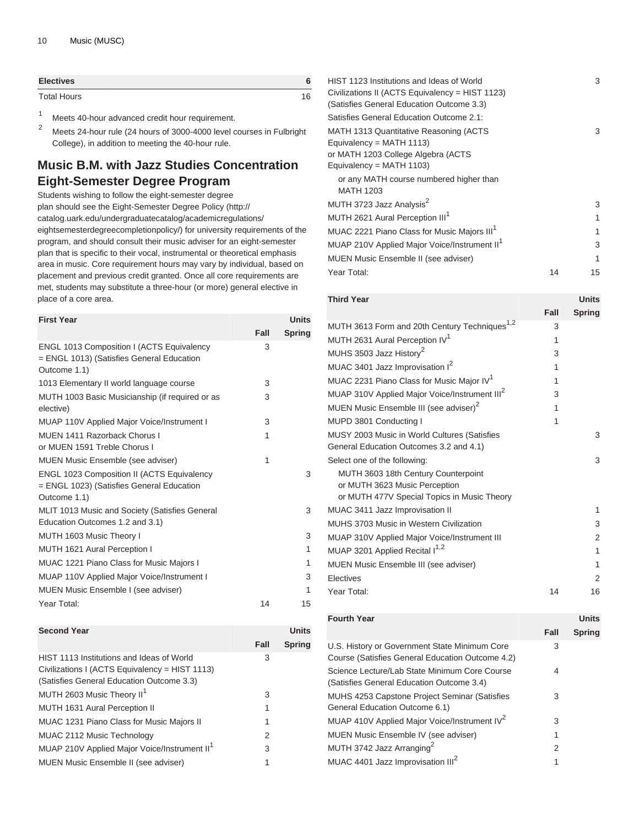| <b>Electives</b>   |     |
|--------------------|-----|
| <b>Total Hours</b> | 1 Q |

- <sup>1</sup> Meets 40-hour advanced credit hour requirement.
- <sup>2</sup> Meets 24-hour rule (24 hours of 3000-4000 level courses in Fulbright College), in addition to meeting the 40-hour rule.

# **Music B.M. with Jazz Studies Concentration Eight-Semester Degree Program**

Students wishing to follow the eight-semester degree plan should see the [Eight-Semester Degree Policy](http://catalog.uark.edu/undergraduatecatalog/academicregulations/eightsemesterdegreecompletionpolicy/) ([http://](http://catalog.uark.edu/undergraduatecatalog/academicregulations/eightsemesterdegreecompletionpolicy/) [catalog.uark.edu/undergraduatecatalog/academicregulations/](http://catalog.uark.edu/undergraduatecatalog/academicregulations/eightsemesterdegreecompletionpolicy/) [eightsemesterdegreecompletionpolicy/](http://catalog.uark.edu/undergraduatecatalog/academicregulations/eightsemesterdegreecompletionpolicy/)) for university requirements of the program, and should consult their music adviser for an eight-semester plan that is specific to their vocal, instrumental or theoretical emphasis area in music. Core requirement hours may vary by individual, based on placement and previous credit granted. Once all core requirements are met, students may substitute a three-hour (or more) general elective in place of a core area.

| <b>First Year</b>                                                                                              |      | <b>Units</b>  |
|----------------------------------------------------------------------------------------------------------------|------|---------------|
|                                                                                                                | Fall | <b>Spring</b> |
| ENGL 1013 Composition I (ACTS Equivalency<br>= ENGL 1013) (Satisfies General Education<br>Outcome 1.1)         | 3    |               |
| 1013 Elementary II world language course                                                                       | 3    |               |
| MUTH 1003 Basic Musicianship (if required or as<br>elective)                                                   | 3    |               |
| MUAP 110V Applied Major Voice/Instrument I                                                                     | 3    |               |
| MUEN 1411 Razorback Chorus I<br>or MUEN 1591 Treble Chorus I                                                   | 1    |               |
| <b>MUEN Music Ensemble (see adviser)</b>                                                                       | 1    |               |
| <b>ENGL 1023 Composition II (ACTS Equivalency</b><br>= ENGL 1023) (Satisfies General Education<br>Outcome 1.1) |      | 3             |
| MLIT 1013 Music and Society (Satisfies General<br>Education Outcomes 1.2 and 3.1)                              |      | 3             |
| MUTH 1603 Music Theory I                                                                                       |      | 3             |
| MUTH 1621 Aural Perception I                                                                                   |      | 1             |
| MUAC 1221 Piano Class for Music Majors I                                                                       |      | 1             |
| MUAP 110V Applied Major Voice/Instrument I                                                                     |      | 3             |
| MUEN Music Ensemble I (see adviser)                                                                            |      | 1             |
| Year Total:                                                                                                    | 14   | 15            |

#### **Second Year Units Fall Spring** HIST 1113 Institutions and Ideas of World Civilizations I (ACTS Equivalency = HIST 1113) (Satisfies General Education Outcome 3.3) 3 MUTH 2603 Music Theory II<sup>1</sup> 3 MUTH 1631 Aural Perception II 1 MUAC 1231 Piano Class for Music Majors II 1 MUAC 2112 Music Technology 2 MUAP 210V Applied Major Voice/Instrument II<sup>1</sup> 3 MUEN Music Ensemble II (see adviser) 1

| HIST 1123 Institutions and Ideas of World<br>Civilizations II (ACTS Equivalency = HIST 1123)<br>(Satisfies General Education Outcome 3.3) |    | 3  |
|-------------------------------------------------------------------------------------------------------------------------------------------|----|----|
| Satisfies General Education Outcome 2.1:                                                                                                  |    |    |
| MATH 1313 Quantitative Reasoning (ACTS<br>Equivalency = $MATH$ 1113)<br>or MATH 1203 College Algebra (ACTS<br>Equivalency = $MATH 1103$ ) |    | 3  |
| or any MATH course numbered higher than<br><b>MATH 1203</b>                                                                               |    |    |
| MUTH 3723 Jazz Analysis <sup>2</sup>                                                                                                      |    | 3  |
| MUTH 2621 Aural Perception III <sup>1</sup>                                                                                               |    | 1  |
| MUAC 2221 Piano Class for Music Majors III <sup>1</sup>                                                                                   |    | 1  |
| MUAP 210V Applied Major Voice/Instrument II <sup>1</sup>                                                                                  |    | 3  |
| MUEN Music Ensemble II (see adviser)                                                                                                      |    | 1  |
| Year Total:                                                                                                                               | 14 | 15 |
|                                                                                                                                           |    |    |

**Third Year Units**

|                                                                                                                     | Fall | <b>Spring</b> |
|---------------------------------------------------------------------------------------------------------------------|------|---------------|
| MUTH 3613 Form and 20th Century Techniques <sup>1,2</sup>                                                           | 3    |               |
| MUTH 2631 Aural Perception IV <sup>1</sup>                                                                          | 1    |               |
| MUHS 3503 Jazz History <sup>2</sup>                                                                                 | 3    |               |
| MUAC 3401 Jazz Improvisation I <sup>2</sup>                                                                         | 1    |               |
| MUAC 2231 Piano Class for Music Major IV <sup>1</sup>                                                               | 1    |               |
| MUAP 310V Applied Major Voice/Instrument III <sup>2</sup>                                                           | 3    |               |
| MUEN Music Ensemble III (see adviser) <sup>2</sup>                                                                  | 1    |               |
| MUPD 3801 Conducting I                                                                                              | 1    |               |
| MUSY 2003 Music in World Cultures (Satisfies<br>General Education Outcomes 3.2 and 4.1)                             |      | 3             |
| Select one of the following:                                                                                        |      | 3             |
| MUTH 3603 18th Century Counterpoint<br>or MUTH 3623 Music Perception<br>or MUTH 477V Special Topics in Music Theory |      |               |
| MUAC 3411 Jazz Improvisation II                                                                                     |      | 1             |
| MUHS 3703 Music in Western Civilization                                                                             |      | 3             |
| MUAP 310V Applied Major Voice/Instrument III                                                                        |      | 2             |
| MUAP 3201 Applied Recital I <sup>1,2</sup>                                                                          |      | 1             |
| MUEN Music Ensemble III (see adviser)                                                                               |      | 1             |
| Electives                                                                                                           |      | 2             |
| Year Total:                                                                                                         | 14   | 16            |
|                                                                                                                     |      |               |

| <b>Fourth Year</b>                                                                                |      | <b>Units</b>  |
|---------------------------------------------------------------------------------------------------|------|---------------|
|                                                                                                   | Fall | <b>Spring</b> |
| U.S. History or Government State Minimum Core<br>Course (Satisfies General Education Outcome 4.2) | 3    |               |
| Science Lecture/Lab State Minimum Core Course<br>(Satisfies General Education Outcome 3.4)        | 4    |               |
| <b>MUHS 4253 Capstone Project Seminar (Satisfies</b><br>General Education Outcome 6.1)            | 3    |               |
| MUAP 410V Applied Major Voice/Instrument IV <sup>2</sup>                                          | 3    |               |
| <b>MUEN Music Ensemble IV (see adviser)</b>                                                       | 1    |               |
| MUTH 3742 Jazz Arranging <sup>2</sup>                                                             | 2    |               |
| MUAC 4401 Jazz Improvisation III <sup>2</sup>                                                     | 1    |               |
|                                                                                                   |      |               |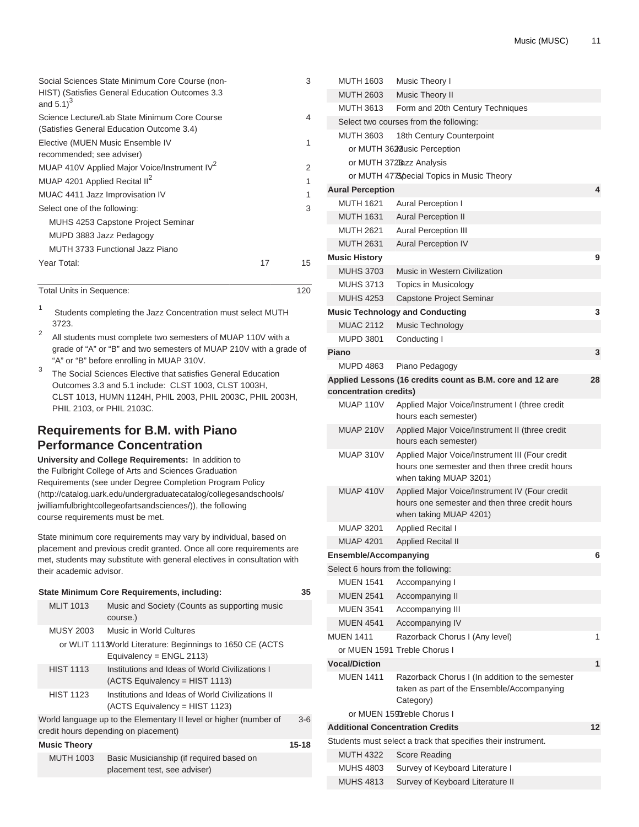| Social Sciences State Minimum Core Course (non-<br>HIST) (Satisfies General Education Outcomes 3.3<br>and $5.1$ <sup>3</sup> |    | 3  |
|------------------------------------------------------------------------------------------------------------------------------|----|----|
| Science Lecture/Lab State Minimum Core Course<br>(Satisfies General Education Outcome 3.4)                                   |    | 4  |
| Elective (MUEN Music Ensemble IV<br>recommended; see adviser)                                                                |    | 1  |
| MUAP 410V Applied Major Voice/Instrument IV <sup>2</sup>                                                                     |    | 2  |
| MUAP 4201 Applied Recital II <sup>2</sup>                                                                                    |    | 1  |
| MUAC 4411 Jazz Improvisation IV                                                                                              |    | 1  |
| Select one of the following:                                                                                                 |    | 3  |
| MUHS 4253 Capstone Project Seminar                                                                                           |    |    |
| MUPD 3883 Jazz Pedagogy                                                                                                      |    |    |
| MUTH 3733 Functional Jazz Piano                                                                                              |    |    |
| Year Total:                                                                                                                  | 17 | 15 |

Total Units in Sequence: 120

1 Students completing the Jazz Concentration must select MUTH 3723.

2 All students must complete two semesters of MUAP 110V with a grade of "A" or "B" and two semesters of MUAP 210V with a grade of "A" or "B" before enrolling in MUAP 310V.

3 The Social Sciences Elective that satisfies General Education Outcomes 3.3 and 5.1 include: CLST 1003, CLST 1003H, CLST 1013, HUMN 1124H, PHIL 2003, PHIL 2003C, PHIL 2003H, PHIL 2103, or PHIL 2103C.

# **Requirements for B.M. with Piano Performance Concentration**

**University and College Requirements:** In addition to the Fulbright College of Arts and Sciences Graduation Requirements (see under [Degree Completion Program Policy](http://catalog.uark.edu/undergraduatecatalog/collegesandschools/jwilliamfulbrightcollegeofartsandsciences/) ([http://catalog.uark.edu/undergraduatecatalog/collegesandschools/](http://catalog.uark.edu/undergraduatecatalog/collegesandschools/jwilliamfulbrightcollegeofartsandsciences/) [jwilliamfulbrightcollegeofartsandsciences/](http://catalog.uark.edu/undergraduatecatalog/collegesandschools/jwilliamfulbrightcollegeofartsandsciences/))), the following course requirements must be met.

State minimum core requirements may vary by individual, based on placement and previous credit granted. Once all core requirements are met, students may substitute with general electives in consultation with their academic advisor.

|                     | State Minimum Core Requirements, including:                                                               | 35    |
|---------------------|-----------------------------------------------------------------------------------------------------------|-------|
| <b>MLIT 1013</b>    | Music and Society (Counts as supporting music<br>course.)                                                 |       |
| <b>MUSY 2003</b>    | Music in World Cultures                                                                                   |       |
|                     | or WLIT 1113 World Literature: Beginnings to 1650 CE (ACTS<br>Equivalency = $ENGL$ 2113)                  |       |
| <b>HIST 1113</b>    | Institutions and Ideas of World Civilizations I<br>(ACTS Equivalency = HIST 1113)                         |       |
| <b>HIST 1123</b>    | Institutions and Ideas of World Civilizations II<br>$(ACTS Equivalency = HIST 1123)$                      |       |
|                     | World language up to the Elementary II level or higher (number of<br>credit hours depending on placement) | $3-6$ |
| <b>Music Theory</b> |                                                                                                           | 15-18 |
| <b>MUTH 1003</b>    | Basic Musicianship (if required based on<br>placement test, see adviser)                                  |       |

| <b>MUTH 1603</b>                   | Music Theory I                                                                                                              |    |
|------------------------------------|-----------------------------------------------------------------------------------------------------------------------------|----|
| <b>MUTH 2603</b>                   | <b>Music Theory II</b>                                                                                                      |    |
| <b>MUTH 3613</b>                   | Form and 20th Century Techniques                                                                                            |    |
|                                    | Select two courses from the following:                                                                                      |    |
| <b>MUTH 3603</b>                   | 18th Century Counterpoint                                                                                                   |    |
|                                    | or MUTH 3620 usic Perception                                                                                                |    |
|                                    | or MUTH 372Bazz Analysis                                                                                                    |    |
|                                    | or MUTH 4778 pecial Topics in Music Theory                                                                                  |    |
| <b>Aural Perception</b>            |                                                                                                                             | 4  |
| MUTH 1621                          | <b>Aural Perception I</b>                                                                                                   |    |
| <b>MUTH 1631</b>                   | <b>Aural Perception II</b>                                                                                                  |    |
| <b>MUTH 2621</b>                   | <b>Aural Perception III</b>                                                                                                 |    |
| <b>MUTH 2631</b>                   | <b>Aural Perception IV</b>                                                                                                  |    |
| <b>Music History</b>               |                                                                                                                             | 9  |
| <b>MUHS 3703</b>                   | Music in Western Civilization                                                                                               |    |
| <b>MUHS 3713</b>                   | Topics in Musicology                                                                                                        |    |
| <b>MUHS 4253</b>                   | Capstone Project Seminar                                                                                                    |    |
|                                    | <b>Music Technology and Conducting</b>                                                                                      | 3  |
| <b>MUAC 2112</b>                   | Music Technology                                                                                                            |    |
| <b>MUPD 3801</b>                   | Conducting I                                                                                                                |    |
| Piano                              |                                                                                                                             | 3  |
| <b>MUPD 4863</b>                   | Piano Pedagogy                                                                                                              |    |
|                                    | Applied Lessons (16 credits count as B.M. core and 12 are                                                                   | 28 |
| concentration credits)             |                                                                                                                             |    |
| MUAP 110V                          | Applied Major Voice/Instrument I (three credit<br>hours each semester)                                                      |    |
| <b>MUAP 210V</b>                   | Applied Major Voice/Instrument II (three credit<br>hours each semester)                                                     |    |
| MUAP 310V                          | Applied Major Voice/Instrument III (Four credit<br>hours one semester and then three credit hours<br>when taking MUAP 3201) |    |
| MUAP 410V                          | Applied Major Voice/Instrument IV (Four credit<br>hours one semester and then three credit hours<br>when taking MUAP 4201)  |    |
| <b>MUAP 3201</b>                   | <b>Applied Recital I</b>                                                                                                    |    |
| <b>MUAP 4201</b>                   | <b>Applied Recital II</b>                                                                                                   |    |
| <b>Ensemble/Accompanying</b>       |                                                                                                                             | 6  |
| Select 6 hours from the following: |                                                                                                                             |    |
| <b>MUEN 1541</b>                   | Accompanying I                                                                                                              |    |
| <b>MUEN 2541</b>                   | Accompanying II                                                                                                             |    |
| <b>MUEN 3541</b>                   | Accompanying III                                                                                                            |    |
| <b>MUEN 4541</b>                   | Accompanying IV                                                                                                             |    |
| <b>MUEN 1411</b>                   | Razorback Chorus I (Any level)                                                                                              | 1  |
|                                    | or MUEN 1591 Treble Chorus I                                                                                                |    |
| <b>Vocal/Diction</b>               |                                                                                                                             | 1  |
| <b>MUFN 1411</b>                   | Razorback Chorus I (In addition to the semester                                                                             |    |
|                                    | taken as part of the Ensemble/Accompanying<br>Category)                                                                     |    |
|                                    | or MUEN 1597reble Chorus I                                                                                                  |    |
|                                    | <b>Additional Concentration Credits</b>                                                                                     | 12 |
|                                    | Students must select a track that specifies their instrument.                                                               |    |
| <b>MUTH 4322</b>                   | Score Reading                                                                                                               |    |
| <b>MUHS 4803</b>                   | Survey of Keyboard Literature I                                                                                             |    |
| <b>MUHS 4813</b>                   | Survey of Keyboard Literature II                                                                                            |    |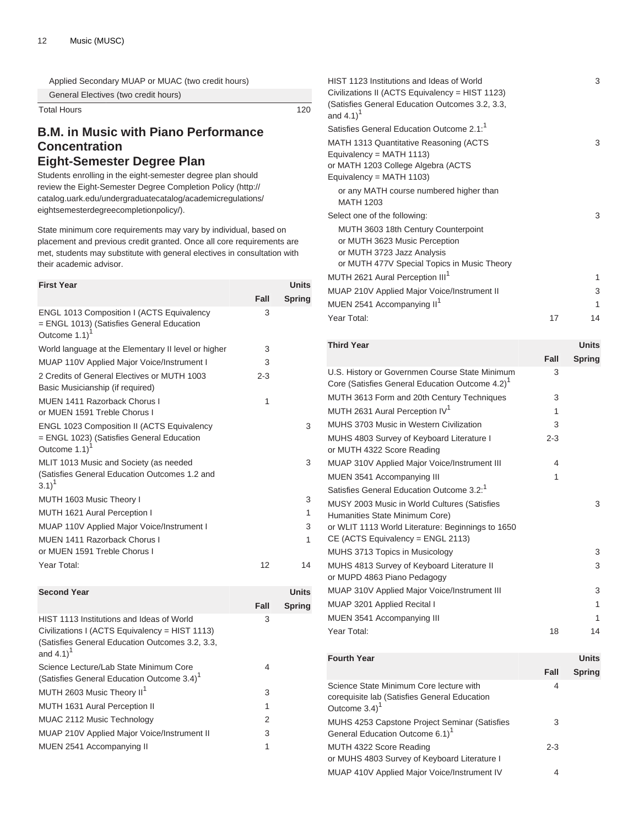Applied Secondary MUAP or MUAC (two credit hours)

General Electives (two credit hours)

Total Hours 120

# **B.M. in Music with Piano Performance Concentration Eight-Semester Degree Plan**

Students enrolling in the eight-semester degree plan should review the [Eight-Semester Degree Completion Policy \(http://](http://catalog.uark.edu/undergraduatecatalog/academicregulations/eightsemesterdegreecompletionpolicy/) [catalog.uark.edu/undergraduatecatalog/academicregulations/](http://catalog.uark.edu/undergraduatecatalog/academicregulations/eightsemesterdegreecompletionpolicy/) [eightsemesterdegreecompletionpolicy/](http://catalog.uark.edu/undergraduatecatalog/academicregulations/eightsemesterdegreecompletionpolicy/)).

State minimum core requirements may vary by individual, based on placement and previous credit granted. Once all core requirements are met, students may substitute with general electives in consultation with their academic advisor.

| <b>First Year</b>                                                                                                           |         | <b>Units</b>  |
|-----------------------------------------------------------------------------------------------------------------------------|---------|---------------|
|                                                                                                                             | Fall    | <b>Spring</b> |
| <b>ENGL 1013 Composition I (ACTS Equivalency</b><br>= ENGL 1013) (Satisfies General Education<br>Outcome 1.1)               | 3       |               |
| World language at the Elementary II level or higher                                                                         | 3       |               |
| MUAP 110V Applied Major Voice/Instrument I                                                                                  | 3       |               |
| 2 Credits of General Electives or MUTH 1003<br>Basic Musicianship (if required)                                             | $2 - 3$ |               |
| MUEN 1411 Razorback Chorus I<br>or MUEN 1591 Treble Chorus I                                                                | 1       |               |
| <b>ENGL 1023 Composition II (ACTS Equivalency</b><br>= ENGL 1023) (Satisfies General Education<br>Outcome 1.1) <sup>1</sup> |         | 3             |
| MLIT 1013 Music and Society (as needed<br>(Satisfies General Education Outcomes 1.2 and<br>$3.1)^{1}$                       |         | 3             |
| MUTH 1603 Music Theory I                                                                                                    |         | 3             |
| MUTH 1621 Aural Perception I                                                                                                |         | 1             |
| MUAP 110V Applied Major Voice/Instrument I                                                                                  |         | 3             |
| MUEN 1411 Razorback Chorus I<br>or MUEN 1591 Treble Chorus I                                                                |         | 1             |
| Year Total:                                                                                                                 | 12      | 14            |
| <b>Second Year</b>                                                                                                          |         | <b>Units</b>  |
|                                                                                                                             | Fall    | <b>Spring</b> |
| HIST 1113 Institutions and Ideas of World                                                                                   | 3       |               |

| Civilizations I (ACTS Equivalency = HIST 1113)                            |   |
|---------------------------------------------------------------------------|---|
| (Satisfies General Education Outcomes 3.2, 3.3,<br>and $4.1$ <sup>1</sup> |   |
| Science Lecture/Lab State Minimum Core                                    | 4 |
| (Satisfies General Education Outcome 3.4) <sup>1</sup>                    |   |
| MUTH 2603 Music Theory II <sup>1</sup>                                    | 3 |
| MUTH 1631 Aural Perception II                                             | 1 |
| MUAC 2112 Music Technology                                                | 2 |
| MUAP 210V Applied Major Voice/Instrument II                               | 3 |
| MUEN 2541 Accompanying II                                                 |   |

|         | 3             |
|---------|---------------|
|         |               |
|         | 3             |
|         |               |
|         | 3             |
|         | 1             |
|         | 3             |
|         | 1             |
| 17      | 14            |
|         |               |
|         | <b>Units</b>  |
| Fall    | <b>Spring</b> |
| 3       |               |
| 3       |               |
| 1       |               |
| 3       |               |
| $2 - 3$ |               |
| 4       |               |
| 1       |               |
|         |               |
|         | 3             |
|         | 3<br>3        |
|         |               |

MUAP 310V Applied Major Voice/Instrument III 3 MUAP 3201 Applied Recital I 1 MUEN 3541 Accompanying III 1 Year Total: 18 14

| <b>Fourth Year</b>                                                                                                      |         | <b>Units</b>  |
|-------------------------------------------------------------------------------------------------------------------------|---------|---------------|
|                                                                                                                         | Fall    | <b>Spring</b> |
| Science State Minimum Core lecture with<br>coreguisite lab (Satisfies General Education<br>Outcome $3.4$ ) <sup>1</sup> | 4       |               |
| <b>MUHS 4253 Capstone Project Seminar (Satisfies</b><br>General Education Outcome 6.1) <sup>1</sup>                     | 3       |               |
| MUTH 4322 Score Reading<br>or MUHS 4803 Survey of Keyboard Literature I                                                 | $2 - 3$ |               |
| MUAP 410V Applied Major Voice/Instrument IV                                                                             | 4       |               |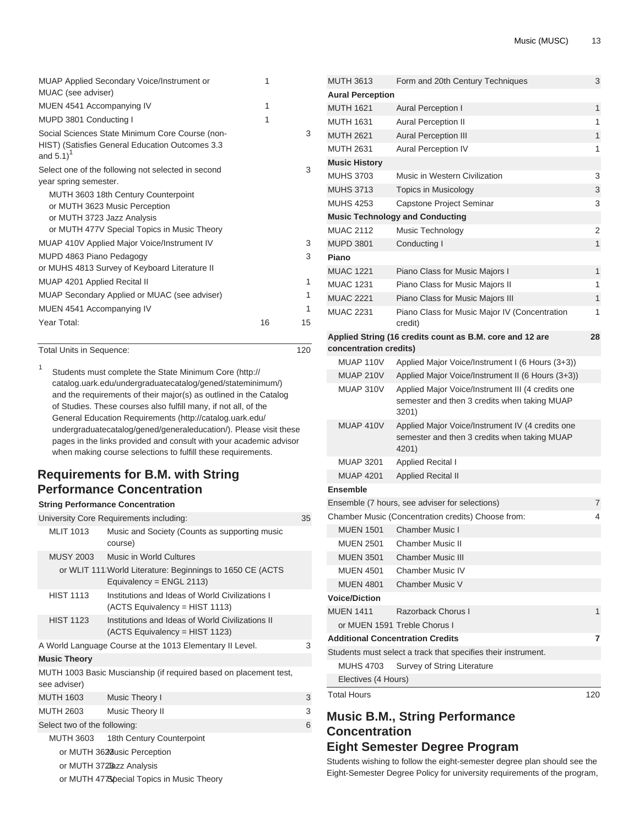| <b>MUAP Applied Secondary Voice/Instrument or</b><br>MUAC (see adviser)                                                      | 1  |    |
|------------------------------------------------------------------------------------------------------------------------------|----|----|
| MUEN 4541 Accompanying IV                                                                                                    | 1  |    |
| MUPD 3801 Conducting I                                                                                                       | 1  |    |
| Social Sciences State Minimum Core Course (non-<br>HIST) (Satisfies General Education Outcomes 3.3<br>and $5.1$ <sup>1</sup> |    | 3  |
| Select one of the following not selected in second                                                                           |    | 3  |
| year spring semester.                                                                                                        |    |    |
| MUTH 3603 18th Century Counterpoint                                                                                          |    |    |
| or MUTH 3623 Music Perception                                                                                                |    |    |
| or MUTH 3723 Jazz Analysis                                                                                                   |    |    |
| or MUTH 477V Special Topics in Music Theory                                                                                  |    |    |
| MUAP 410V Applied Major Voice/Instrument IV                                                                                  |    | 3  |
| MUPD 4863 Piano Pedagogy                                                                                                     |    | 3  |
| or MUHS 4813 Survey of Keyboard Literature II                                                                                |    |    |
| MUAP 4201 Applied Recital II                                                                                                 |    | 1  |
| MUAP Secondary Applied or MUAC (see adviser)                                                                                 |    | 1  |
| MUEN 4541 Accompanying IV                                                                                                    |    | 1  |
| Year Total:                                                                                                                  | 16 | 15 |
|                                                                                                                              |    |    |

Total Units in Sequence: 120

1 Students must complete the [State Minimum Core](http://catalog.uark.edu/undergraduatecatalog/gened/stateminimum/) [\(http://](http://catalog.uark.edu/undergraduatecatalog/gened/stateminimum/) [catalog.uark.edu/undergraduatecatalog/gened/stateminimum/](http://catalog.uark.edu/undergraduatecatalog/gened/stateminimum/)) and the requirements of their major(s) as outlined in the Catalog of Studies. These courses also fulfill many, if not all, of the [General Education Requirements](http://catalog.uark.edu/undergraduatecatalog/gened/generaleducation/) [\(http://catalog.uark.edu/](http://catalog.uark.edu/undergraduatecatalog/gened/generaleducation/) [undergraduatecatalog/gened/generaleducation/](http://catalog.uark.edu/undergraduatecatalog/gened/generaleducation/)). Please visit these pages in the links provided and consult with your academic advisor when making course selections to fulfill these requirements.

# **Requirements for B.M. with String Performance Concentration**

### **String Performance Concentration**

|                                                          | University Core Requirements including: |                                                                                       |   |  |
|----------------------------------------------------------|-----------------------------------------|---------------------------------------------------------------------------------------|---|--|
|                                                          | <b>MLIT 1013</b>                        | Music and Society (Counts as supporting music<br>course)                              |   |  |
|                                                          | MUSY 2003                               | Music in World Cultures                                                               |   |  |
|                                                          |                                         | or WLIT 111 World Literature: Beginnings to 1650 CE (ACTS<br>Equivalency = ENGL 2113) |   |  |
|                                                          | <b>HIST 1113</b>                        | Institutions and Ideas of World Civilizations I<br>(ACTS Equivalency = HIST 1113)     |   |  |
|                                                          | <b>HIST 1123</b>                        | Institutions and Ideas of World Civilizations II<br>(ACTS Equivalency = HIST 1123)    |   |  |
| A World Language Course at the 1013 Elementary II Level. |                                         |                                                                                       | 3 |  |
|                                                          | <b>Music Theory</b>                     |                                                                                       |   |  |
|                                                          | see adviser)                            | MUTH 1003 Basic Muscianship (if required based on placement test,                     |   |  |
|                                                          | <b>MUTH 1603</b>                        | Music Theory I                                                                        | 3 |  |
|                                                          | MUTH 2603                               | Music Theory II                                                                       | 3 |  |
|                                                          | Select two of the following:            |                                                                                       | 6 |  |
|                                                          | MUTH 3603                               | 18th Century Counterpoint                                                             |   |  |
| or MUTH 3628 usic Perception                             |                                         |                                                                                       |   |  |
|                                                          | or MUTH 372Bazz Analysis                |                                                                                       |   |  |
|                                                          |                                         | or MUTH 4778 pecial Topics in Music Theory                                            |   |  |

| <b>MUTH 3613</b>        | Form and 20th Century Techniques                                                                           | 3   |
|-------------------------|------------------------------------------------------------------------------------------------------------|-----|
| <b>Aural Perception</b> |                                                                                                            |     |
| <b>MUTH 1621</b>        | <b>Aural Perception I</b>                                                                                  | 1   |
| <b>MUTH 1631</b>        | Aural Perception II                                                                                        | 1   |
| <b>MUTH 2621</b>        | Aural Perception III                                                                                       | 1   |
| <b>MUTH 2631</b>        | Aural Perception IV                                                                                        | 1   |
| <b>Music History</b>    |                                                                                                            |     |
| <b>MUHS 3703</b>        | Music in Western Civilization                                                                              | 3   |
| <b>MUHS 3713</b>        | Topics in Musicology                                                                                       | 3   |
| <b>MUHS 4253</b>        | Capstone Project Seminar                                                                                   | 3   |
|                         | <b>Music Technology and Conducting</b>                                                                     |     |
| <b>MUAC 2112</b>        | Music Technology                                                                                           | 2   |
| <b>MUPD 3801</b>        | Conducting I                                                                                               | 1   |
| Piano                   |                                                                                                            |     |
| <b>MUAC 1221</b>        | Piano Class for Music Majors I                                                                             | 1   |
| <b>MUAC 1231</b>        | Piano Class for Music Majors II                                                                            | 1   |
| <b>MUAC 2221</b>        | Piano Class for Music Majors III                                                                           | 1   |
| <b>MUAC 2231</b>        | Piano Class for Music Major IV (Concentration<br>credit)                                                   | 1   |
| concentration credits)  | Applied String (16 credits count as B.M. core and 12 are                                                   | 28  |
| MUAP 110V               | Applied Major Voice/Instrument I (6 Hours (3+3))                                                           |     |
| <b>MUAP 210V</b>        | Applied Major Voice/Instrument II (6 Hours (3+3))                                                          |     |
| MUAP 310V               | Applied Major Voice/Instrument III (4 credits one<br>semester and then 3 credits when taking MUAP<br>3201) |     |
| MUAP 410V               | Applied Major Voice/Instrument IV (4 credits one<br>semester and then 3 credits when taking MUAP<br>4201)  |     |
| <b>MUAP 3201</b>        | <b>Applied Recital I</b>                                                                                   |     |
| <b>MUAP 4201</b>        | <b>Applied Recital II</b>                                                                                  |     |
| <b>Ensemble</b>         |                                                                                                            |     |
|                         | Ensemble (7 hours, see adviser for selections)                                                             | 7   |
|                         | Chamber Music (Concentration credits) Choose from:                                                         | 4   |
| <b>MUEN 1501</b>        | <b>Chamber Music I</b>                                                                                     |     |
| <b>MUEN 2501</b>        | <b>Chamber Music II</b>                                                                                    |     |
| <b>MUEN 3501</b>        | <b>Chamber Music III</b>                                                                                   |     |
| <b>MUEN 4501</b>        | Chamber Music IV                                                                                           |     |
| <b>MUEN 4801</b>        | Chamber Music V                                                                                            |     |
| <b>Voice/Diction</b>    |                                                                                                            |     |
| <b>MUEN 1411</b>        | Razorback Chorus I                                                                                         | 1   |
|                         | or MUEN 1591 Treble Chorus I                                                                               |     |
|                         | <b>Additional Concentration Credits</b>                                                                    | 7   |
|                         | Students must select a track that specifies their instrument.                                              |     |
| MUHS 4703               | Survey of String Literature                                                                                |     |
| Electives (4 Hours)     |                                                                                                            |     |
| <b>Total Hours</b>      |                                                                                                            | 120 |
|                         |                                                                                                            |     |

# **Music B.M., String Performance Concentration Eight Semester Degree Program**

Students wishing to follow the eight-semester degree plan should see the Eight-Semester Degree Policy for university requirements of the program,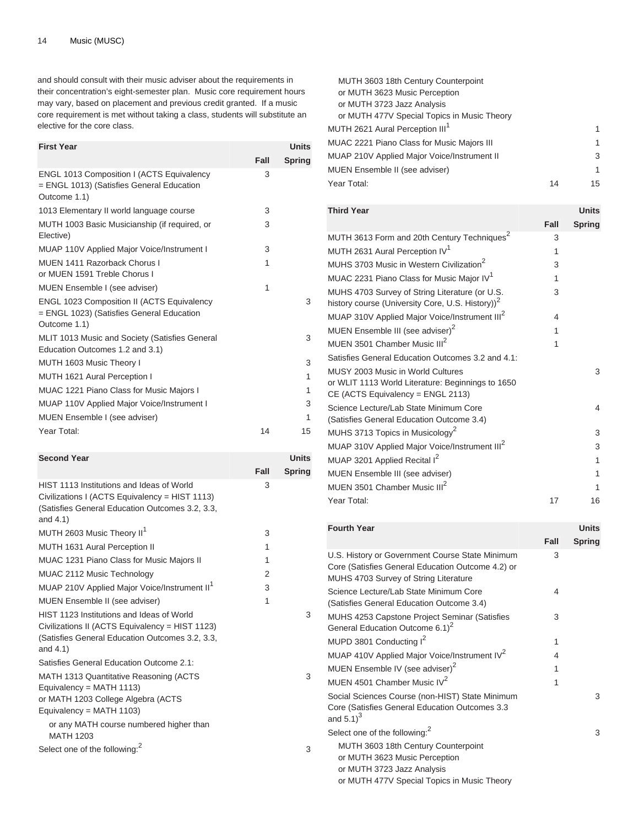and should consult with their music adviser about the requirements in their concentration's eight-semester plan. Music core requirement hours may vary, based on placement and previous credit granted. If a music core requirement is met without taking a class, students will substitute an elective for the core class.

| <b>First Year</b>                                                                                              |      | <b>Units</b>  |
|----------------------------------------------------------------------------------------------------------------|------|---------------|
|                                                                                                                | Fall | <b>Spring</b> |
| <b>ENGL 1013 Composition I (ACTS Equivalency</b><br>= ENGL 1013) (Satisfies General Education<br>Outcome 1.1)  | 3    |               |
| 1013 Elementary II world language course                                                                       | 3    |               |
| MUTH 1003 Basic Musicianship (if required, or<br>Elective)                                                     | 3    |               |
| MUAP 110V Applied Major Voice/Instrument I                                                                     | 3    |               |
| <b>MUEN 1411 Razorback Chorus I</b><br>or MUEN 1591 Treble Chorus I                                            | 1    |               |
| MUEN Ensemble I (see adviser)                                                                                  | 1    |               |
| <b>ENGL 1023 Composition II (ACTS Equivalency</b><br>= ENGL 1023) (Satisfies General Education<br>Outcome 1.1) |      | 3             |
| MLIT 1013 Music and Society (Satisfies General<br>Education Outcomes 1.2 and 3.1)                              |      | 3             |
| MUTH 1603 Music Theory I                                                                                       |      | 3             |
| MUTH 1621 Aural Perception I                                                                                   |      | 1             |
| <b>MUAC 1221 Piano Class for Music Majors I</b>                                                                |      | 1             |
| <b>MUAP 110V Applied Major Voice/Instrument I</b>                                                              |      | 3             |
| MUEN Ensemble I (see adviser)                                                                                  |      | 1             |
| Year Total:                                                                                                    | 14   | 15            |

| <b>Second Year</b>                                                                                                                                                                                        |      | <b>Units</b>  |
|-----------------------------------------------------------------------------------------------------------------------------------------------------------------------------------------------------------|------|---------------|
|                                                                                                                                                                                                           | Fall | <b>Spring</b> |
| HIST 1113 Institutions and Ideas of World<br>Civilizations I (ACTS Equivalency = HIST 1113)<br>(Satisfies General Education Outcomes 3.2, 3.3,<br>and $4.1$ )                                             | 3    |               |
| MUTH 2603 Music Theory II <sup>1</sup>                                                                                                                                                                    | 3    |               |
| MUTH 1631 Aural Perception II                                                                                                                                                                             | 1    |               |
| <b>MUAC 1231 Piano Class for Music Majors II</b>                                                                                                                                                          | 1    |               |
| MUAC 2112 Music Technology                                                                                                                                                                                | 2    |               |
| MUAP 210V Applied Major Voice/Instrument II <sup>1</sup>                                                                                                                                                  | 3    |               |
| MUEN Ensemble II (see adviser)                                                                                                                                                                            | 1    |               |
| HIST 1123 Institutions and Ideas of World<br>Civilizations II (ACTS Equivalency = HIST 1123)<br>(Satisfies General Education Outcomes 3.2, 3.3,<br>and $4.1$ )                                            |      | 3             |
| Satisfies General Education Outcome 2.1:                                                                                                                                                                  |      |               |
| MATH 1313 Quantitative Reasoning (ACTS<br>Equivalency = MATH $1113$ )<br>or MATH 1203 College Algebra (ACTS<br>Equivalency = MATH $1103$ )<br>or any MATH course numbered higher than<br><b>MATH 1203</b> |      | 3             |
| Select one of the following: <sup>2</sup>                                                                                                                                                                 |      | 3             |

| MUTH 3603 18th Century Counterpoint         |    |    |
|---------------------------------------------|----|----|
| or MUTH 3623 Music Perception               |    |    |
| or MUTH 3723 Jazz Analysis                  |    |    |
| or MUTH 477V Special Topics in Music Theory |    |    |
| MUTH 2621 Aural Perception III <sup>1</sup> |    | 1  |
| MUAC 2221 Piano Class for Music Majors III  |    | 1  |
| MUAP 210V Applied Major Voice/Instrument II |    | 3  |
| MUEN Ensemble II (see adviser)              |    | 1  |
| Year Total:                                 | 14 | 15 |
|                                             |    |    |

| <b>Third Year</b>                                                                                                             |      | <b>Units</b>  |
|-------------------------------------------------------------------------------------------------------------------------------|------|---------------|
|                                                                                                                               | Fall | <b>Spring</b> |
| MUTH 3613 Form and 20th Century Techniques <sup>2</sup>                                                                       | 3    |               |
| MUTH 2631 Aural Perception IV <sup>1</sup>                                                                                    | 1    |               |
| MUHS 3703 Music in Western Civilization <sup>2</sup>                                                                          | 3    |               |
| MUAC 2231 Piano Class for Music Major IV <sup>1</sup>                                                                         | 1    |               |
| MUHS 4703 Survey of String Literature (or U.S.<br>history course (University Core, U.S. History)) <sup>2</sup>                | 3    |               |
| MUAP 310V Applied Major Voice/Instrument III <sup>2</sup>                                                                     | 4    |               |
| MUEN Ensemble III (see adviser) <sup>2</sup>                                                                                  | 1    |               |
| MUEN 3501 Chamber Music III <sup>2</sup>                                                                                      | 1    |               |
| Satisfies General Education Outcomes 3.2 and 4.1:                                                                             |      |               |
| MUSY 2003 Music in World Cultures<br>or WLIT 1113 World Literature: Beginnings to 1650<br>$CE$ (ACTS Equivalency = ENGL 2113) |      | 3             |
| Science Lecture/Lab State Minimum Core<br>(Satisfies General Education Outcome 3.4)                                           |      | 4             |
| MUHS 3713 Topics in Musicology <sup>2</sup>                                                                                   |      | 3             |
| MUAP 310V Applied Major Voice/Instrument III <sup>2</sup>                                                                     |      | 3             |
| MUAP 3201 Applied Recital I <sup>2</sup>                                                                                      |      | 1             |
| MUEN Ensemble III (see adviser)                                                                                               |      | 1             |
| MUEN 3501 Chamber Music III <sup>2</sup>                                                                                      |      | 1             |
| Year Total:                                                                                                                   | 17   | 16            |

| <b>Fourth Year</b>                                                                                                                                |      | <b>Units</b>  |
|---------------------------------------------------------------------------------------------------------------------------------------------------|------|---------------|
|                                                                                                                                                   | Fall | <b>Spring</b> |
| U.S. History or Government Course State Minimum<br>Core (Satisfies General Education Outcome 4.2) or<br>MUHS 4703 Survey of String Literature     | 3    |               |
| Science Lecture/Lab State Minimum Core<br>(Satisfies General Education Outcome 3.4)                                                               | 4    |               |
| <b>MUHS 4253 Capstone Project Seminar (Satisfies</b><br>General Education Outcome 6.1) <sup>2</sup>                                               | 3    |               |
| MUPD 3801 Conducting I <sup>2</sup>                                                                                                               | 1    |               |
| MUAP 410V Applied Major Voice/Instrument IV <sup>2</sup>                                                                                          | 4    |               |
| MUEN Ensemble IV (see adviser) <sup>2</sup>                                                                                                       | 1    |               |
| MUEN 4501 Chamber Music IV <sup>2</sup>                                                                                                           | 1    |               |
| Social Sciences Course (non-HIST) State Minimum<br>Core (Satisfies General Education Outcomes 3.3<br>and $5.1$ <sup>3</sup>                       |      | 3             |
| Select one of the following: <sup>2</sup>                                                                                                         |      | 3             |
| MUTH 3603 18th Century Counterpoint<br>or MUTH 3623 Music Perception<br>or MUTH 3723 Jazz Analysis<br>or MUTH 477V Special Topics in Music Theory |      |               |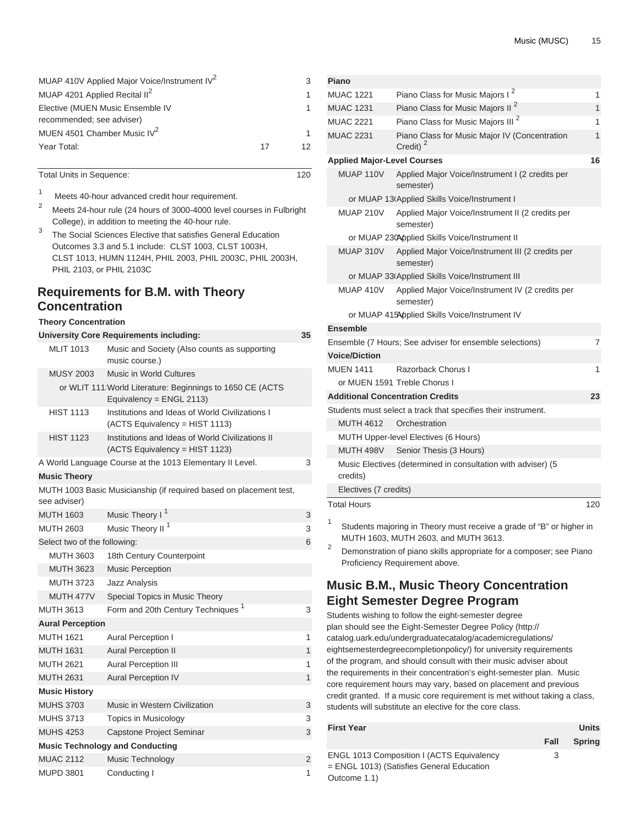| MUAP 410V Applied Major Voice/Instrument IV <sup>2</sup> |    | 3               |
|----------------------------------------------------------|----|-----------------|
| MUAP 4201 Applied Recital II <sup>2</sup>                |    |                 |
| Elective (MUEN Music Ensemble IV                         |    |                 |
| recommended; see adviser)                                |    |                 |
| MUEN 4501 Chamber Music IV <sup>2</sup>                  |    |                 |
| Year Total:                                              | 17 | 12 <sub>1</sub> |
|                                                          |    |                 |

Total Units in Sequence: 120

1 Meets 40-hour advanced credit hour requirement.

- <sup>2</sup> Meets 24-hour rule (24 hours of 3000-4000 level courses in Fulbright College), in addition to meeting the 40-hour rule.
- 3 The Social Sciences Elective that satisfies General Education Outcomes 3.3 and 5.1 include: [CLST 1003,](/search/?P=CLST%201003) [CLST 1003H](/search/?P=CLST%201003H), [CLST 1013,](/search/?P=CLST%201013) [HUMN 1124H,](/search/?P=HUMN%201124H) [PHIL 2003](/search/?P=PHIL%202003), [PHIL 2003C](/search/?P=PHIL%202003C), [PHIL 2003H](/search/?P=PHIL%202003H), [PHIL 2103,](/search/?P=PHIL%202103) or [PHIL 2103C](/search/?P=PHIL%202103C)

### **Requirements for B.M. with Theory Concentration**

### **Theory Concentration**

|                              | <b>University Core Requirements including:</b>                                        | 35             |
|------------------------------|---------------------------------------------------------------------------------------|----------------|
| <b>MLIT 1013</b>             | Music and Society (Also counts as supporting<br>music course.)                        |                |
| <b>MUSY 2003</b>             | Music in World Cultures                                                               |                |
|                              | or WLIT 111 World Literature: Beginnings to 1650 CE (ACTS<br>Equivalency = ENGL 2113) |                |
| <b>HIST 1113</b>             | Institutions and Ideas of World Civilizations I<br>(ACTS Equivalency = HIST 1113)     |                |
| <b>HIST 1123</b>             | Institutions and Ideas of World Civilizations II<br>(ACTS Equivalency = HIST 1123)    |                |
|                              | A World Language Course at the 1013 Elementary II Level.                              | 3              |
| <b>Music Theory</b>          |                                                                                       |                |
| see adviser)                 | MUTH 1003 Basic Musicianship (if required based on placement test,                    |                |
| <b>MUTH 1603</b>             | Music Theory I <sup>1</sup>                                                           | 3              |
| MUTH 2603                    | Music Theory II <sup>1</sup>                                                          | 3              |
| Select two of the following: |                                                                                       | 6              |
| <b>MUTH 3603</b>             | 18th Century Counterpoint                                                             |                |
| <b>MUTH 3623</b>             | <b>Music Perception</b>                                                               |                |
| <b>MUTH 3723</b>             | <b>Jazz Analysis</b>                                                                  |                |
| <b>MUTH 477V</b>             | Special Topics in Music Theory                                                        |                |
| <b>MUTH 3613</b>             | Form and 20th Century Techniques <sup>1</sup>                                         | 3              |
| <b>Aural Perception</b>      |                                                                                       |                |
| <b>MUTH 1621</b>             | Aural Perception I                                                                    | 1              |
| <b>MUTH 1631</b>             | <b>Aural Perception II</b>                                                            | $\mathbf{1}$   |
| <b>MUTH 2621</b>             | <b>Aural Perception III</b>                                                           | 1              |
| <b>MUTH 2631</b>             | <b>Aural Perception IV</b>                                                            | 1              |
| <b>Music History</b>         |                                                                                       |                |
| <b>MUHS 3703</b>             | Music in Western Civilization                                                         | 3              |
| <b>MUHS 3713</b>             | <b>Topics in Musicology</b>                                                           | 3              |
| <b>MUHS 4253</b>             | Capstone Project Seminar                                                              | 3              |
|                              | <b>Music Technology and Conducting</b>                                                |                |
| <b>MUAC 2112</b>             | <b>Music Technology</b>                                                               | $\overline{2}$ |
| <b>MUPD 3801</b>             | Conducting I                                                                          | 1              |

| Piano                                   |                                                                                                              |              |
|-----------------------------------------|--------------------------------------------------------------------------------------------------------------|--------------|
| <b>MUAC 1221</b>                        | Piano Class for Music Majors I <sup>2</sup>                                                                  | 1            |
| <b>MUAC 1231</b>                        | Piano Class for Music Majors II <sup>2</sup>                                                                 | $\mathbf{1}$ |
| <b>MUAC 2221</b>                        | Piano Class for Music Majors III <sup>2</sup>                                                                | 1            |
| <b>MUAC 2231</b>                        | Piano Class for Music Major IV (Concentration<br>Credit) $2$                                                 | 1            |
| <b>Applied Major-Level Courses</b>      |                                                                                                              | 16           |
| <b>MUAP 110V</b>                        | Applied Major Voice/Instrument I (2 credits per<br>semester)                                                 |              |
|                                         | or MUAP 13 Applied Skills Voice/Instrument I                                                                 |              |
| <b>MUAP 210V</b>                        | Applied Major Voice/Instrument II (2 credits per<br>semester)                                                |              |
|                                         | or MUAP 230Applied Skills Voice/Instrument II                                                                |              |
| MUAP 310V                               | Applied Major Voice/Instrument III (2 credits per<br>semester)                                               |              |
|                                         | or MUAP 33 Applied Skills Voice/Instrument III                                                               |              |
| MUAP 410V                               | Applied Major Voice/Instrument IV (2 credits per<br>semester)                                                |              |
|                                         | or MUAP 415Applied Skills Voice/Instrument IV                                                                |              |
| <b>Ensemble</b>                         |                                                                                                              |              |
|                                         | Ensemble (7 Hours; See adviser for ensemble selections)                                                      | 7            |
| <b>Voice/Diction</b>                    |                                                                                                              |              |
| <b>MUEN 1411</b>                        | Razorback Chorus I                                                                                           | 1            |
|                                         | or MUEN 1591 Treble Chorus I                                                                                 |              |
| <b>Additional Concentration Credits</b> |                                                                                                              | 23           |
|                                         | Students must select a track that specifies their instrument.                                                |              |
| <b>MUTH 4612</b>                        | Orchestration                                                                                                |              |
|                                         | MUTH Upper-level Electives (6 Hours)                                                                         |              |
| <b>MUTH 498V</b>                        | Senior Thesis (3 Hours)                                                                                      |              |
| credits)                                | Music Electives (determined in consultation with adviser) (5                                                 |              |
| Electives (7 credits)                   |                                                                                                              |              |
| <b>Total Hours</b>                      |                                                                                                              | 120          |
| 1                                       | Students majoring in Theory must receive a grade of "B" or higher in<br>MUTH 1603, MUTH 2603, and MUTH 3613. |              |

2 Demonstration of piano skills appropriate for a composer; see Piano Proficiency Requirement above.

# **Music B.M., Music Theory Concentration Eight Semester Degree Program**

Students wishing to follow the eight-semester degree plan should see the [Eight-Semester Degree Policy](http://catalog.uark.edu/undergraduatecatalog/academicregulations/eightsemesterdegreecompletionpolicy/) ([http://](http://catalog.uark.edu/undergraduatecatalog/academicregulations/eightsemesterdegreecompletionpolicy/) [catalog.uark.edu/undergraduatecatalog/academicregulations/](http://catalog.uark.edu/undergraduatecatalog/academicregulations/eightsemesterdegreecompletionpolicy/) [eightsemesterdegreecompletionpolicy/\)](http://catalog.uark.edu/undergraduatecatalog/academicregulations/eightsemesterdegreecompletionpolicy/) for university requirements of the program, and should consult with their music adviser about the requirements in their concentration's eight-semester plan. Music core requirement hours may vary, based on placement and previous credit granted. If a music core requirement is met without taking a class, students will substitute an elective for the core class.

| <b>First Year</b>                                |      | Units         |
|--------------------------------------------------|------|---------------|
|                                                  | Fall | <b>Spring</b> |
| <b>ENGL 1013 Composition I (ACTS Equivalency</b> | 3    |               |
| = ENGL 1013) (Satisfies General Education        |      |               |
| Outcome 1.1)                                     |      |               |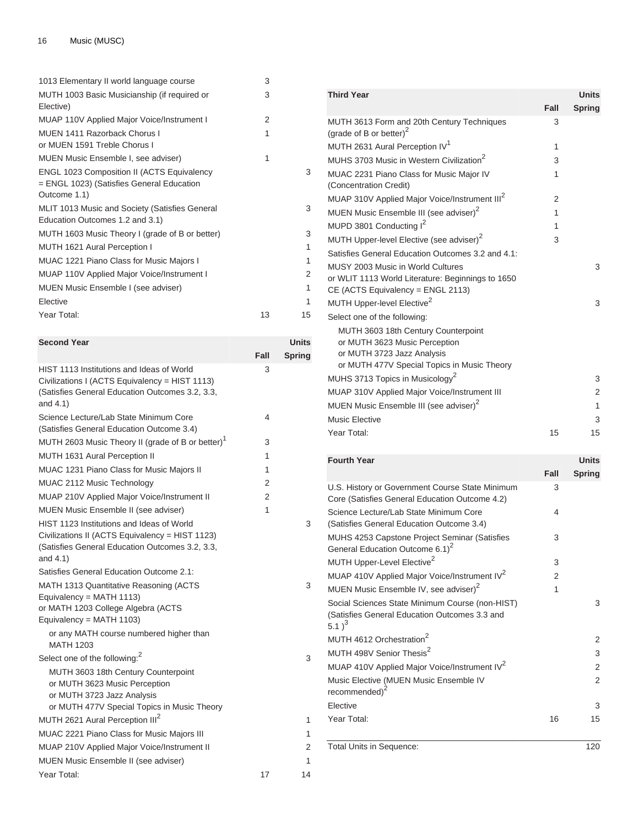| 1013 Elementary II world language course        | 3  |    |
|-------------------------------------------------|----|----|
| MUTH 1003 Basic Musicianship (if required or    | 3  |    |
| Elective)                                       |    |    |
| MUAP 110V Applied Major Voice/Instrument I      | 2  |    |
| MUEN 1411 Razorback Chorus I                    | 1  |    |
| or MUEN 1591 Treble Chorus I                    |    |    |
| MUEN Music Ensemble I, see adviser)             | 1  |    |
| ENGL 1023 Composition II (ACTS Equivalency      |    | 3  |
| = ENGL 1023) (Satisfies General Education       |    |    |
| Outcome 1.1)                                    |    |    |
| MLIT 1013 Music and Society (Satisfies General  |    | 3  |
| Education Outcomes 1.2 and 3.1)                 |    |    |
| MUTH 1603 Music Theory I (grade of B or better) |    | 3  |
| MUTH 1621 Aural Perception I                    |    | 1  |
| MUAC 1221 Piano Class for Music Majors I        |    | 1  |
| MUAP 110V Applied Major Voice/Instrument I      |    | 2  |
| MUEN Music Ensemble I (see adviser)             |    | 1  |
| Elective                                        |    | 1  |
| Year Total:                                     | 13 | 15 |
|                                                 |    |    |

3

3

| <b>Second Year</b>                                                                                                                                            |      | Units         |
|---------------------------------------------------------------------------------------------------------------------------------------------------------------|------|---------------|
|                                                                                                                                                               | Fall | <b>Spring</b> |
| HIST 1113 Institutions and Ideas of World<br>Civilizations I (ACTS Equivalency = HIST 1113)<br>(Satisfies General Education Outcomes 3.2, 3.3,<br>and $4.1$ ) | 3    |               |
| Science Lecture/Lab State Minimum Core<br>(Satisfies General Education Outcome 3.4)                                                                           | 4    |               |
| MUTH 2603 Music Theory II (grade of B or better) <sup>1</sup>                                                                                                 | 3    |               |
| MUTH 1631 Aural Perception II                                                                                                                                 | 1    |               |
| MUAC 1231 Piano Class for Music Majors II                                                                                                                     | 1    |               |
| MUAC 2112 Music Technology                                                                                                                                    | 2    |               |
| MUAP 210V Applied Major Voice/Instrument II                                                                                                                   | 2    |               |
| MUEN Music Ensemble II (see adviser)                                                                                                                          | 1    |               |
| HIST 1123 Institutions and Ideas of World<br>Civilizations II (ACTS Equivalency = HIST 1123)<br>(Satisfies General Education Outcomes 3.2, 3.3,<br>and 4.1)   |      | 3             |
| Satisfies General Education Outcome 2.1:                                                                                                                      |      |               |
| MATH 1313 Quantitative Reasoning (ACTS<br>Equivalency = MATH 1113)<br>or MATH 1203 College Algebra (ACTS<br>Equivalency = MATH 1103)                          |      | 3             |
| or any MATH course numbered higher than<br><b>MATH 1203</b>                                                                                                   |      |               |
| Select one of the following: <sup>2</sup>                                                                                                                     |      | 3             |
| MUTH 3603 18th Century Counterpoint<br>or MUTH 3623 Music Perception<br>or MUTH 3723 Jazz Analysis<br>or MUTH 477V Special Topics in Music Theory             |      |               |
| MUTH 2621 Aural Perception III <sup>2</sup>                                                                                                                   |      | 1             |
| MUAC 2221 Piano Class for Music Majors III                                                                                                                    |      | 1             |
| MUAP 210V Applied Major Voice/Instrument II                                                                                                                   |      | 2             |
| MUEN Music Ensemble II (see adviser)                                                                                                                          |      | 1             |
| Year Total:                                                                                                                                                   | 17   | 14            |

| <b>Third Year</b>                                                                                  |                | <b>Units</b>  |
|----------------------------------------------------------------------------------------------------|----------------|---------------|
|                                                                                                    | Fall           | <b>Spring</b> |
| MUTH 3613 Form and 20th Century Techniques<br>(grade of B or better) <sup>2</sup>                  | 3              |               |
| MUTH 2631 Aural Perception IV <sup>1</sup>                                                         | 1              |               |
| MUHS 3703 Music in Western Civilization <sup>2</sup>                                               | 3              |               |
| MUAC 2231 Piano Class for Music Major IV<br>(Concentration Credit)                                 | 1              |               |
| MUAP 310V Applied Major Voice/Instrument III <sup>2</sup>                                          | $\overline{2}$ |               |
| MUEN Music Ensemble III (see adviser) <sup>2</sup>                                                 | 1              |               |
| MUPD 3801 Conducting I <sup>2</sup>                                                                | 1              |               |
| MUTH Upper-level Elective (see adviser) <sup>2</sup>                                               | 3              |               |
| Satisfies General Education Outcomes 3.2 and 4.1:                                                  |                |               |
| MUSY 2003 Music in World Cultures                                                                  |                | 3             |
| or WLIT 1113 World Literature: Beginnings to 1650<br>CE (ACTS Equivalency = ENGL 2113)             |                |               |
| MUTH Upper-level Elective <sup>2</sup>                                                             |                | 3             |
| Select one of the following:                                                                       |                |               |
| MUTH 3603 18th Century Counterpoint<br>or MUTH 3623 Music Perception<br>or MUTH 3723 Jazz Analysis |                |               |
| or MUTH 477V Special Topics in Music Theory                                                        |                |               |
| MUHS 3713 Topics in Musicology <sup>2</sup>                                                        |                | 3             |
| MUAP 310V Applied Major Voice/Instrument III                                                       |                | 2             |
| MUEN Music Ensemble III (see adviser) <sup>2</sup>                                                 |                | $\mathbf{1}$  |
| <b>Music Elective</b>                                                                              |                | 3             |
| Year Total:                                                                                        | 15             | 15            |

| <b>Fourth Year</b>                                                                                                    |      | <b>Units</b>  |
|-----------------------------------------------------------------------------------------------------------------------|------|---------------|
|                                                                                                                       | Fall | <b>Spring</b> |
| U.S. History or Government Course State Minimum<br>Core (Satisfies General Education Outcome 4.2)                     | 3    |               |
| Science Lecture/Lab State Minimum Core<br>(Satisfies General Education Outcome 3.4)                                   | 4    |               |
| <b>MUHS 4253 Capstone Project Seminar (Satisfies</b><br>General Education Outcome 6.1) <sup>2</sup>                   | 3    |               |
| MUTH Upper-Level Elective <sup>2</sup>                                                                                | 3    |               |
| MUAP 410V Applied Major Voice/Instrument IV <sup>2</sup>                                                              | 2    |               |
| MUEN Music Ensemble IV, see adviser) <sup>2</sup>                                                                     | 1    |               |
| Social Sciences State Minimum Course (non-HIST)<br>(Satisfies General Education Outcomes 3.3 and<br>5.1) <sup>3</sup> |      | 3             |
| MUTH 4612 Orchestration <sup>2</sup>                                                                                  |      | 2             |
| MUTH 498V Senior Thesis <sup>2</sup>                                                                                  |      | 3             |
| MUAP 410V Applied Major Voice/Instrument IV <sup>2</sup>                                                              |      | 2             |
| Music Elective (MUEN Music Ensemble IV<br>recommended) $2$                                                            |      | 2             |
| Elective                                                                                                              |      | 3             |
| Year Total:                                                                                                           | 16   | 15            |
| <b>Total Units in Sequence:</b>                                                                                       |      | 120           |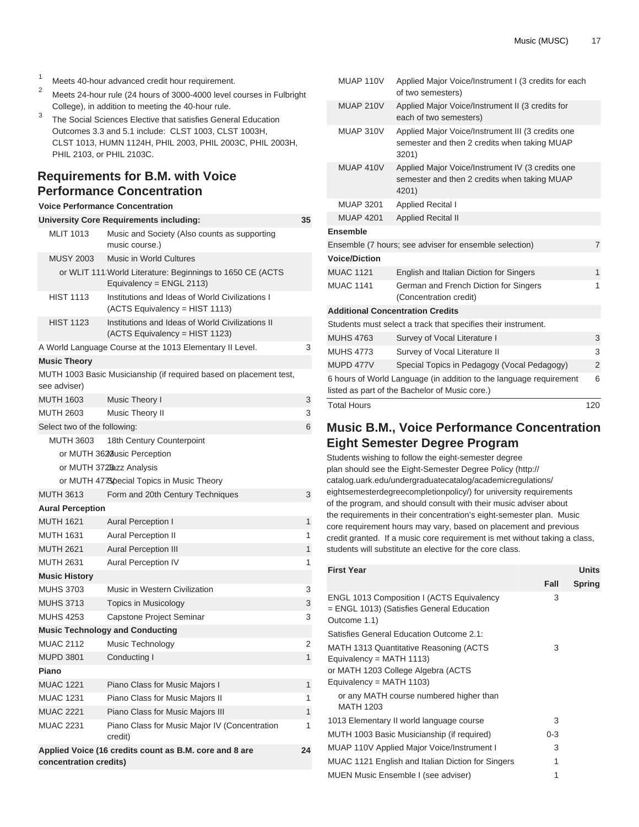- <sup>1</sup> Meets 40-hour advanced credit hour requirement.<br><sup>2</sup> Meets 34 hour rule (24 hours of 2000, 4000 lougl a
- <sup>2</sup> Meets 24-hour rule (24 hours of 3000-4000 level courses in Fulbright College), in addition to meeting the 40-hour rule.
- 3 The Social Sciences Elective that satisfies General Education Outcomes 3.3 and 5.1 include: [CLST 1003,](/search/?P=CLST%201003) [CLST 1003H](/search/?P=CLST%201003H), [CLST 1013,](/search/?P=CLST%201013) [HUMN 1124H,](/search/?P=HUMN%201124H) [PHIL 2003](/search/?P=PHIL%202003), [PHIL 2003C](/search/?P=PHIL%202003C), [PHIL 2003H](/search/?P=PHIL%202003H), [PHIL 2103,](/search/?P=PHIL%202103) or [PHIL 2103C](/search/?P=PHIL%202103C).

# **Requirements for B.M. with Voice Performance Concentration**

### **Voice Performance Concentration**

|                              | University Core Requirements including:                                               | 35 |
|------------------------------|---------------------------------------------------------------------------------------|----|
| <b>MLIT 1013</b>             | Music and Society (Also counts as supporting<br>music course.)                        |    |
| <b>MUSY 2003</b>             | <b>Music in World Cultures</b>                                                        |    |
|                              | or WLIT 111 World Literature: Beginnings to 1650 CE (ACTS<br>Equivalency = ENGL 2113) |    |
| <b>HIST 1113</b>             | Institutions and Ideas of World Civilizations I<br>(ACTS Equivalency = HIST 1113)     |    |
| <b>HIST 1123</b>             | Institutions and Ideas of World Civilizations II<br>(ACTS Equivalency = HIST 1123)    |    |
|                              | A World Language Course at the 1013 Elementary II Level.                              | 3  |
| <b>Music Theory</b>          |                                                                                       |    |
| see adviser)                 | MUTH 1003 Basic Musicianship (if required based on placement test,                    |    |
| <b>MUTH 1603</b>             | Music Theory I                                                                        | 3  |
| MUTH 2603                    | Music Theory II                                                                       | 3  |
| Select two of the following: |                                                                                       | 6  |
| <b>MUTH 3603</b>             | 18th Century Counterpoint                                                             |    |
|                              | or MUTH 3628 usic Perception                                                          |    |
|                              | or MUTH 372Bazz Analysis                                                              |    |
|                              | or MUTH 4778 pecial Topics in Music Theory                                            |    |
| <b>MUTH 3613</b>             | Form and 20th Century Techniques                                                      | 3  |
| <b>Aural Perception</b>      |                                                                                       |    |
| <b>MUTH 1621</b>             | <b>Aural Perception I</b>                                                             | 1  |
| <b>MUTH 1631</b>             | <b>Aural Perception II</b>                                                            | 1  |
| <b>MUTH 2621</b>             | <b>Aural Perception III</b>                                                           | 1  |
| <b>MUTH 2631</b>             | <b>Aural Perception IV</b>                                                            | 1  |
| <b>Music History</b>         |                                                                                       |    |
| <b>MUHS 3703</b>             | Music in Western Civilization                                                         | 3  |
| <b>MUHS 3713</b>             | Topics in Musicology                                                                  | 3  |
| <b>MUHS 4253</b>             | Capstone Project Seminar                                                              | 3  |
|                              | <b>Music Technology and Conducting</b>                                                |    |
| <b>MUAC 2112</b>             | Music Technology                                                                      | 2  |
| <b>MUPD 3801</b>             | Conducting I                                                                          | 1  |
| Piano                        |                                                                                       |    |
| <b>MUAC 1221</b>             | Piano Class for Music Majors I                                                        | 1  |
| <b>MUAC 1231</b>             | Piano Class for Music Majors II                                                       | 1  |
| <b>MUAC 2221</b>             | Piano Class for Music Majors III                                                      | 1  |
| <b>MUAC 2231</b>             | Piano Class for Music Major IV (Concentration<br>credit)                              | 1  |
| concentration credits)       | Applied Voice (16 credits count as B.M. core and 8 are                                | 24 |

| <b>Total Hours</b>   |                                                                                                                      | 120            |
|----------------------|----------------------------------------------------------------------------------------------------------------------|----------------|
|                      | 6 hours of World Language (in addition to the language requirement<br>listed as part of the Bachelor of Music core.) | 6              |
| MUPD 477V            | Special Topics in Pedagogy (Vocal Pedagogy)                                                                          | $\overline{2}$ |
| <b>MUHS 4773</b>     | Survey of Vocal Literature II                                                                                        | 3              |
| <b>MUHS 4763</b>     | Survey of Vocal Literature I                                                                                         | 3              |
|                      | Students must select a track that specifies their instrument.                                                        |                |
|                      | <b>Additional Concentration Credits</b>                                                                              |                |
| <b>MUAC 1141</b>     | German and French Diction for Singers<br>(Concentration credit)                                                      | 1              |
| <b>MUAC 1121</b>     | English and Italian Diction for Singers                                                                              | $\mathbf{1}$   |
| <b>Voice/Diction</b> |                                                                                                                      |                |
|                      | Ensemble (7 hours; see adviser for ensemble selection)                                                               | $\overline{7}$ |
| <b>Ensemble</b>      |                                                                                                                      |                |
| <b>MUAP 4201</b>     | <b>Applied Recital II</b>                                                                                            |                |
| <b>MUAP 3201</b>     | <b>Applied Recital I</b>                                                                                             |                |
| MUAP 410V            | Applied Major Voice/Instrument IV (3 credits one<br>semester and then 2 credits when taking MUAP<br>4201)            |                |
| MUAP 310V            | Applied Major Voice/Instrument III (3 credits one<br>semester and then 2 credits when taking MUAP<br>3201)           |                |
| <b>MUAP 210V</b>     | Applied Major Voice/Instrument II (3 credits for<br>each of two semesters)                                           |                |
| MUAP 110V            | Applied Major Voice/Instrument I (3 credits for each<br>of two semesters)                                            |                |

# **Music B.M., Voice Performance Concentration Eight Semester Degree Program**

Students wishing to follow the eight-semester degree plan should see the [Eight-Semester Degree Policy](http://catalog.uark.edu/undergraduatecatalog/academicregulations/eightsemesterdegreecompletionpolicy/) ([http://](http://catalog.uark.edu/undergraduatecatalog/academicregulations/eightsemesterdegreecompletionpolicy/) [catalog.uark.edu/undergraduatecatalog/academicregulations/](http://catalog.uark.edu/undergraduatecatalog/academicregulations/eightsemesterdegreecompletionpolicy/) [eightsemesterdegreecompletionpolicy/\)](http://catalog.uark.edu/undergraduatecatalog/academicregulations/eightsemesterdegreecompletionpolicy/) for university requirements of the program, and should consult with their music adviser about the requirements in their concentration's eight-semester plan. Music core requirement hours may vary, based on placement and previous credit granted. If a music core requirement is met without taking a class, students will substitute an elective for the core class.

| <b>First Year</b>                                                                                                                          |         | <b>Units</b> |
|--------------------------------------------------------------------------------------------------------------------------------------------|---------|--------------|
|                                                                                                                                            | Fall    | Spring       |
| ENGL 1013 Composition I (ACTS Equivalency<br>= ENGL 1013) (Satisfies General Education<br>Outcome 1.1)                                     | 3       |              |
| Satisfies General Education Outcome 2.1:                                                                                                   |         |              |
| MATH 1313 Quantitative Reasoning (ACTS<br>Equivalency = MATH $1113$ )<br>or MATH 1203 College Algebra (ACTS<br>Equivalency = MATH $1103$ ) | 3       |              |
| or any MATH course numbered higher than<br><b>MATH 1203</b>                                                                                |         |              |
| 1013 Elementary II world language course                                                                                                   | 3       |              |
| MUTH 1003 Basic Musicianship (if required)                                                                                                 | $0 - 3$ |              |
| MUAP 110V Applied Major Voice/Instrument I                                                                                                 | 3       |              |
| <b>MUAC 1121 English and Italian Diction for Singers</b>                                                                                   | 1       |              |
| MUEN Music Ensemble I (see adviser)                                                                                                        | 1       |              |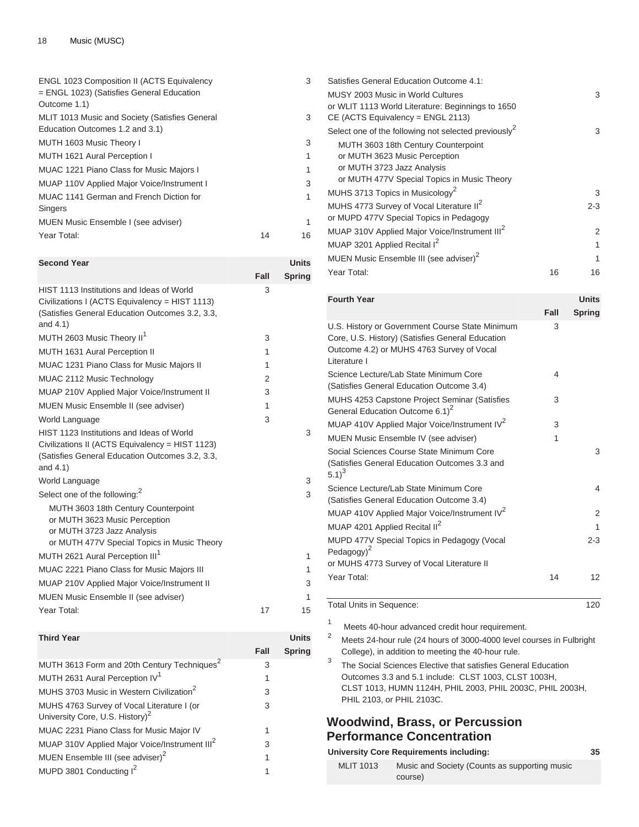| ENGL 1023 Composition II (ACTS Equivalency<br>$=$ ENGL 1023) (Satisfies General Education<br>Outcome 1.1) | 3  |
|-----------------------------------------------------------------------------------------------------------|----|
| MLIT 1013 Music and Society (Satisfies General<br>Education Outcomes 1.2 and 3.1)                         | 3  |
| MUTH 1603 Music Theory I                                                                                  | 3  |
| MUTH 1621 Aural Perception I                                                                              | 1  |
| MUAC 1221 Piano Class for Music Majors I                                                                  | 1  |
| MUAP 110V Applied Major Voice/Instrument I                                                                | 3  |
| MUAC 1141 German and French Diction for<br><b>Singers</b>                                                 | 1  |
| MUEN Music Ensemble I (see adviser)                                                                       | 1  |
| Year Total:<br>14                                                                                         | 16 |

| <b>Second Year</b>                                                                                                                                                                             |      | <b>Units</b>  |
|------------------------------------------------------------------------------------------------------------------------------------------------------------------------------------------------|------|---------------|
|                                                                                                                                                                                                | Fall | <b>Spring</b> |
| HIST 1113 Institutions and Ideas of World<br>Civilizations I (ACTS Equivalency = HIST 1113)<br>(Satisfies General Education Outcomes 3.2, 3.3,<br>and $4.1$ )                                  | 3    |               |
| MUTH 2603 Music Theory II <sup>1</sup>                                                                                                                                                         | 3    |               |
| MUTH 1631 Aural Perception II                                                                                                                                                                  | 1    |               |
| MUAC 1231 Piano Class for Music Majors II                                                                                                                                                      | 1    |               |
| MUAC 2112 Music Technology                                                                                                                                                                     | 2    |               |
| MUAP 210V Applied Major Voice/Instrument II                                                                                                                                                    | 3    |               |
| <b>MUEN Music Ensemble II (see adviser)</b>                                                                                                                                                    | 1    |               |
| World Language                                                                                                                                                                                 | 3    |               |
| HIST 1123 Institutions and Ideas of World<br>Civilizations II (ACTS Equivalency = HIST 1123)<br>(Satisfies General Education Outcomes 3.2, 3.3,<br>and 4.1)                                    |      | 3             |
| World Language                                                                                                                                                                                 |      | 3             |
| Select one of the following: <sup>2</sup><br>MUTH 3603 18th Century Counterpoint<br>or MUTH 3623 Music Perception<br>or MUTH 3723 Jazz Analysis<br>or MUTH 477V Special Topics in Music Theory |      | 3             |
| MUTH 2621 Aural Perception III <sup>1</sup>                                                                                                                                                    |      | 1             |
| MUAC 2221 Piano Class for Music Majors III                                                                                                                                                     |      | 1             |
| MUAP 210V Applied Major Voice/Instrument II                                                                                                                                                    |      | 3             |
| MUEN Music Ensemble II (see adviser)                                                                                                                                                           |      | 1             |
| Year Total:                                                                                                                                                                                    | 17   | 15            |

#### **Third Year Units Fall Spring** MUTH 3613 Form and 20th Century Techniques<sup>2</sup> 3 MUTH 2631 Aural Perception IV<sup>1</sup> 1 MUHS 3703 Music in Western Civilization<sup>2</sup> 3 MUHS 4763 Survey of Vocal Literature I (or University Core, U.S. History)<sup>2</sup> 3 MUAC 2231 Piano Class for Music Major IV 1 MUAP 310V Applied Major Voice/Instrument III<sup>2</sup> 3 MUEN Ensemble III (see adviser)<sup>2</sup> 1 MUPD 3801 Conducting  $I^2$ 1

| Satisfies General Education Outcome 4.1:                         |    |         |
|------------------------------------------------------------------|----|---------|
| MUSY 2003 Music in World Cultures                                |    | 3       |
| or WLIT 1113 World Literature: Beginnings to 1650                |    |         |
| $CE$ (ACTS Equivalency = ENGL 2113)                              |    |         |
| Select one of the following not selected previously <sup>2</sup> |    | 3       |
| MUTH 3603 18th Century Counterpoint                              |    |         |
| or MUTH 3623 Music Perception                                    |    |         |
| or MUTH 3723 Jazz Analysis                                       |    |         |
| or MUTH 477V Special Topics in Music Theory                      |    |         |
| MUHS 3713 Topics in Musicology <sup>2</sup>                      |    | 3       |
| MUHS 4773 Survey of Vocal Literature II <sup>2</sup>             |    | $2 - 3$ |
| or MUPD 477V Special Topics in Pedagogy                          |    |         |
| MUAP 310V Applied Major Voice/Instrument III <sup>2</sup>        |    | 2       |
| MUAP 3201 Applied Recital I <sup>2</sup>                         |    | 1       |
| MUEN Music Ensemble III (see adviser) <sup>2</sup>               |    | 1       |
| Year Total:                                                      | 16 | 16      |
|                                                                  |    |         |

| <b>Fourth Year</b>                                                                                                                                               |      | <b>Units</b>  |
|------------------------------------------------------------------------------------------------------------------------------------------------------------------|------|---------------|
|                                                                                                                                                                  | Fall | <b>Spring</b> |
| U.S. History or Government Course State Minimum<br>Core, U.S. History) (Satisfies General Education<br>Outcome 4.2) or MUHS 4763 Survey of Vocal<br>Literature I | 3    |               |
| Science Lecture/Lab State Minimum Core<br>(Satisfies General Education Outcome 3.4)                                                                              | 4    |               |
| <b>MUHS 4253 Capstone Project Seminar (Satisfies</b><br>General Education Outcome 6.1) <sup>2</sup>                                                              | 3    |               |
| MUAP 410V Applied Major Voice/Instrument IV <sup>2</sup>                                                                                                         | 3    |               |
| MUEN Music Ensemble IV (see adviser)                                                                                                                             | 1    |               |
| Social Sciences Course State Minimum Core<br>(Satisfies General Education Outcomes 3.3 and<br>$(5.1)^3$                                                          |      | 3             |
| Science Lecture/Lab State Minimum Core<br>(Satisfies General Education Outcome 3.4)                                                                              |      | 4             |
| MUAP 410V Applied Major Voice/Instrument IV <sup>2</sup>                                                                                                         |      | 2             |
| MUAP 4201 Applied Recital II <sup>2</sup>                                                                                                                        |      | 1             |
| MUPD 477V Special Topics in Pedagogy (Vocal<br>Pedagogy $)^2$                                                                                                    |      | $2 - 3$       |
| or MUHS 4773 Survey of Vocal Literature II                                                                                                                       |      |               |
| Year Total:                                                                                                                                                      | 14   | 12            |

#### Total Units in Sequence: 120

1

Meets 40-hour advanced credit hour requirement.

- <sup>2</sup> Meets 24-hour rule (24 hours of 3000-4000 level courses in Fulbright College), in addition to meeting the 40-hour rule.
- 3 The Social Sciences Elective that satisfies General Education Outcomes 3.3 and 5.1 include: [CLST 1003,](/search/?P=CLST%201003) [CLST 1003H](/search/?P=CLST%201003H), [CLST 1013,](/search/?P=CLST%201013) [HUMN 1124H](/search/?P=HUMN%201124H), [PHIL 2003](/search/?P=PHIL%202003), [PHIL 2003C](/search/?P=PHIL%202003C), [PHIL 2003H](/search/?P=PHIL%202003H), [PHIL 2103](/search/?P=PHIL%202103), or [PHIL 2103C](/search/?P=PHIL%202103C).

# **Woodwind, Brass, or Percussion Performance Concentration**

|                  | University Core Requirements including:                  | 35 |
|------------------|----------------------------------------------------------|----|
| <b>MLIT 1013</b> | Music and Society (Counts as supporting music<br>course) |    |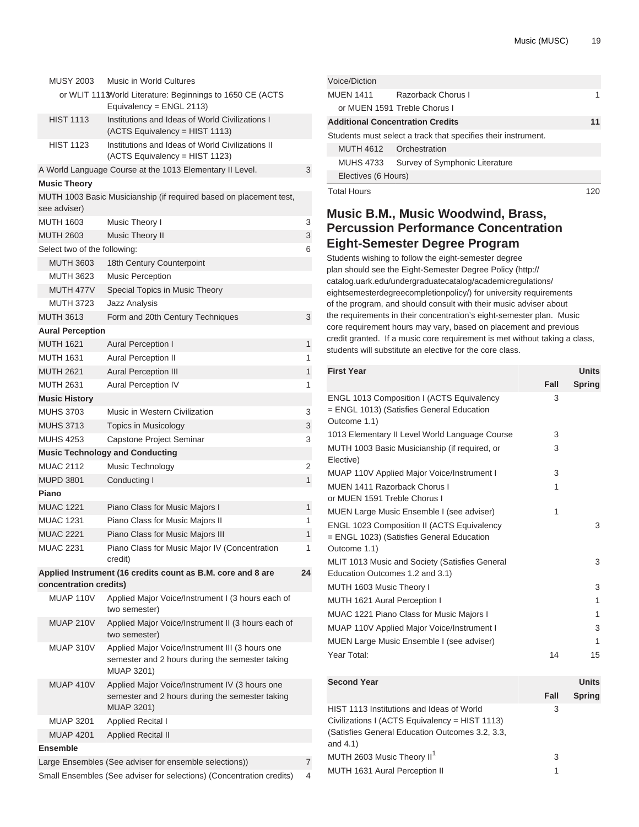| <b>MUSY 2003</b>             | Music in World Cultures                                                                                                |    |
|------------------------------|------------------------------------------------------------------------------------------------------------------------|----|
|                              | or WLIT 1113World Literature: Beginnings to 1650 CE (ACTS                                                              |    |
|                              | Equivalency = ENGL 2113)                                                                                               |    |
| <b>HIST 1113</b>             | Institutions and Ideas of World Civilizations I                                                                        |    |
|                              | (ACTS Equivalency = HIST 1113)                                                                                         |    |
| <b>HIST 1123</b>             | Institutions and Ideas of World Civilizations II<br>(ACTS Equivalency = HIST 1123)                                     |    |
|                              | A World Language Course at the 1013 Elementary II Level.                                                               | 3  |
| <b>Music Theory</b>          |                                                                                                                        |    |
| see adviser)                 | MUTH 1003 Basic Musicianship (if required based on placement test,                                                     |    |
| <b>MUTH 1603</b>             | Music Theory I                                                                                                         | 3  |
| <b>MUTH 2603</b>             | <b>Music Theory II</b>                                                                                                 | 3  |
| Select two of the following: |                                                                                                                        | 6  |
| <b>MUTH 3603</b>             | 18th Century Counterpoint                                                                                              |    |
| <b>MUTH 3623</b>             | Music Perception                                                                                                       |    |
| MUTH 477V                    | Special Topics in Music Theory                                                                                         |    |
| <b>MUTH 3723</b>             | <b>Jazz Analysis</b>                                                                                                   |    |
| <b>MUTH 3613</b>             | Form and 20th Century Techniques                                                                                       | 3  |
|                              |                                                                                                                        |    |
| <b>Aural Perception</b>      |                                                                                                                        |    |
| <b>MUTH 1621</b>             | <b>Aural Perception I</b>                                                                                              | 1  |
| <b>MUTH 1631</b>             | <b>Aural Perception II</b>                                                                                             | 1  |
| <b>MUTH 2621</b>             | <b>Aural Perception III</b>                                                                                            | 1  |
| <b>MUTH 2631</b>             | <b>Aural Perception IV</b>                                                                                             | 1  |
| <b>Music History</b>         |                                                                                                                        |    |
| <b>MUHS 3703</b>             | Music in Western Civilization                                                                                          | 3  |
| <b>MUHS 3713</b>             | Topics in Musicology                                                                                                   | 3  |
| <b>MUHS 4253</b>             | Capstone Project Seminar                                                                                               | 3  |
|                              | <b>Music Technology and Conducting</b>                                                                                 |    |
| <b>MUAC 2112</b>             | Music Technology                                                                                                       | 2  |
| <b>MUPD 3801</b>             | Conducting I                                                                                                           | 1  |
| Piano                        |                                                                                                                        |    |
| <b>MUAC 1221</b>             | Piano Class for Music Majors I                                                                                         | 1  |
| <b>MUAC 1231</b>             | Piano Class for Music Majors II                                                                                        | 1  |
| <b>MUAC 2221</b>             | Piano Class for Music Majors III                                                                                       | 1  |
| <b>MUAC 2231</b>             | Piano Class for Music Major IV (Concentration<br>credit)                                                               | 1  |
| concentration credits)       | Applied Instrument (16 credits count as B.M. core and 8 are                                                            | 24 |
| MUAP 110V                    | Applied Major Voice/Instrument I (3 hours each of<br>two semester)                                                     |    |
| <b>MUAP 210V</b>             | Applied Major Voice/Instrument II (3 hours each of<br>two semester)                                                    |    |
| MUAP 310V                    | Applied Major Voice/Instrument III (3 hours one<br>semester and 2 hours during the semester taking<br>MUAP 3201)       |    |
| MUAP 410V                    | Applied Major Voice/Instrument IV (3 hours one<br>semester and 2 hours during the semester taking<br><b>MUAP 3201)</b> |    |
| <b>MUAP 3201</b>             | <b>Applied Recital I</b>                                                                                               |    |
| <b>MUAP 4201</b>             | <b>Applied Recital II</b>                                                                                              |    |
| <b>Ensemble</b>              |                                                                                                                        |    |
|                              | Large Ensembles (See adviser for ensemble selections))                                                                 | 7  |
|                              | Small Ensembles (See adviser for selections) (Concentration credits)                                                   | 4  |

| Voice/Diction                           |                                                               |    |
|-----------------------------------------|---------------------------------------------------------------|----|
| <b>MUEN 1411</b>                        | Razorback Chorus L                                            |    |
|                                         | or MUEN 1591 Treble Chorus I                                  |    |
| <b>Additional Concentration Credits</b> |                                                               | 11 |
|                                         | Students must select a track that specifies their instrument. |    |
| MUTH 4612 Orchestration                 |                                                               |    |
| <b>MUHS 4733</b>                        | Survey of Symphonic Literature                                |    |
| Electives (6 Hours)                     |                                                               |    |
| <b>Total Hours</b>                      |                                                               |    |

# **Music B.M., Music Woodwind, Brass, Percussion Performance Concentration Eight-Semester Degree Program**

Students wishing to follow the eight-semester degree plan should see the [Eight-Semester Degree Policy](http://catalog.uark.edu/undergraduatecatalog/academicregulations/eightsemesterdegreecompletionpolicy/) ([http://](http://catalog.uark.edu/undergraduatecatalog/academicregulations/eightsemesterdegreecompletionpolicy/) [catalog.uark.edu/undergraduatecatalog/academicregulations/](http://catalog.uark.edu/undergraduatecatalog/academicregulations/eightsemesterdegreecompletionpolicy/) [eightsemesterdegreecompletionpolicy/\)](http://catalog.uark.edu/undergraduatecatalog/academicregulations/eightsemesterdegreecompletionpolicy/) for university requirements of the program, and should consult with their music adviser about the requirements in their concentration's eight-semester plan. Music core requirement hours may vary, based on placement and previous credit granted. If a music core requirement is met without taking a class, students will substitute an elective for the core class.

| <b>First Year</b>                                                                                              |      | <b>Units</b>  |
|----------------------------------------------------------------------------------------------------------------|------|---------------|
|                                                                                                                | Fall | <b>Spring</b> |
| <b>ENGL 1013 Composition I (ACTS Equivalency</b><br>= ENGL 1013) (Satisfies General Education<br>Outcome 1.1)  | 3    |               |
| 1013 Elementary II Level World Language Course                                                                 | 3    |               |
| MUTH 1003 Basic Musicianship (if required, or<br>Elective)                                                     | 3    |               |
| MUAP 110V Applied Major Voice/Instrument I                                                                     | 3    |               |
| MUEN 1411 Razorback Chorus I<br>or MUEN 1591 Treble Chorus I                                                   | 1    |               |
| MUEN Large Music Ensemble I (see adviser)                                                                      | 1    |               |
| <b>ENGL 1023 Composition II (ACTS Equivalency</b><br>= ENGL 1023) (Satisfies General Education<br>Outcome 1.1) |      | 3             |
| MLIT 1013 Music and Society (Satisfies General<br>Education Outcomes 1.2 and 3.1)                              |      | 3             |
| MUTH 1603 Music Theory I                                                                                       |      | 3             |
| MUTH 1621 Aural Perception I                                                                                   |      | 1             |
| <b>MUAC 1221 Piano Class for Music Majors I</b>                                                                |      | 1             |
| MUAP 110V Applied Major Voice/Instrument I                                                                     |      | 3             |
| MUEN Large Music Ensemble I (see adviser)                                                                      |      | 1             |
| Year Total:                                                                                                    | 14   | 15            |
| <b>Second Year</b>                                                                                             |      | <b>Units</b>  |
|                                                                                                                |      |               |

|                                                                                                                                                               | Fall | <b>Spring</b> |
|---------------------------------------------------------------------------------------------------------------------------------------------------------------|------|---------------|
| HIST 1113 Institutions and Ideas of World<br>Civilizations I (ACTS Equivalency = HIST 1113)<br>(Satisfies General Education Outcomes 3.2, 3.3,<br>and $4.1$ ) | 3    |               |
| MUTH 2603 Music Theory II <sup>1</sup>                                                                                                                        | 3    |               |
| MUTH 1631 Aural Perception II                                                                                                                                 |      |               |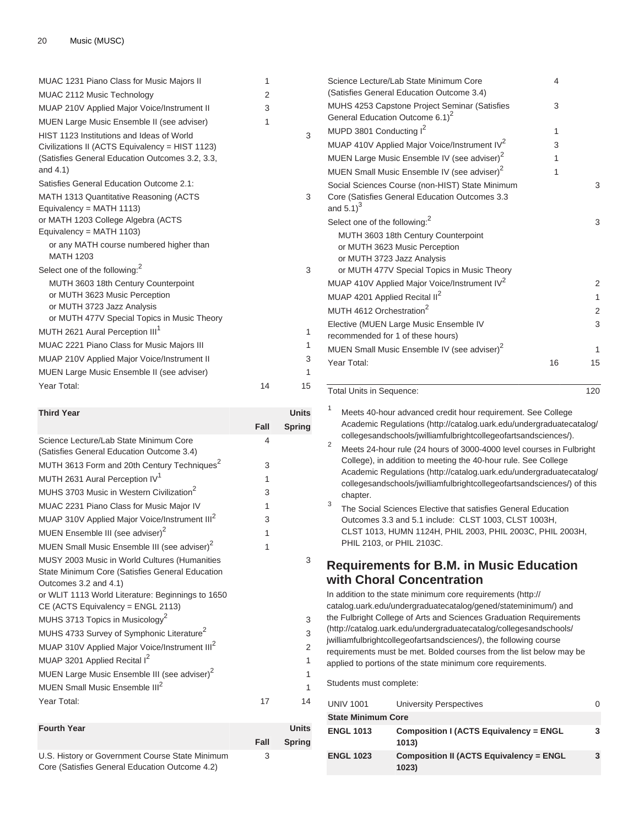### 20 Music (MUSC)

| MUAC 1231 Piano Class for Music Majors II                      | 1  |    |
|----------------------------------------------------------------|----|----|
|                                                                |    |    |
| MUAC 2112 Music Technology                                     | 2  |    |
| MUAP 210V Applied Major Voice/Instrument II                    | 3  |    |
| MUEN Large Music Ensemble II (see adviser)                     | 1  |    |
| HIST 1123 Institutions and Ideas of World                      |    | 3  |
| Civilizations II (ACTS Equivalency = HIST 1123)                |    |    |
| (Satisfies General Education Outcomes 3.2, 3.3,<br>and $4.1$ ) |    |    |
| Satisfies General Education Outcome 2.1:                       |    |    |
| MATH 1313 Quantitative Reasoning (ACTS                         |    | 3  |
| Equivalency = MATH $1113$ )                                    |    |    |
| or MATH 1203 College Algebra (ACTS                             |    |    |
| Equivalency = MATH 1103)                                       |    |    |
| or any MATH course numbered higher than                        |    |    |
| <b>MATH 1203</b>                                               |    |    |
| Select one of the following: <sup>2</sup>                      |    | 3  |
| MUTH 3603 18th Century Counterpoint                            |    |    |
| or MUTH 3623 Music Perception                                  |    |    |
| or MUTH 3723 Jazz Analysis                                     |    |    |
| or MUTH 477V Special Topics in Music Theory                    |    |    |
| MUTH 2621 Aural Perception III <sup>1</sup>                    |    | 1  |
| MUAC 2221 Piano Class for Music Majors III                     |    | 1  |
| MUAP 210V Applied Major Voice/Instrument II                    |    | 3  |
| <b>MUEN Large Music Ensemble II (see adviser)</b>              |    | 1  |
| Year Total:                                                    | 14 | 15 |

| <b>Third Year</b>                                                                                                                                                              |      | <b>Units</b>   |
|--------------------------------------------------------------------------------------------------------------------------------------------------------------------------------|------|----------------|
|                                                                                                                                                                                | Fall | Spring         |
| Science Lecture/Lab State Minimum Core<br>(Satisfies General Education Outcome 3.4)                                                                                            | 4    |                |
| MUTH 3613 Form and 20th Century Techniques <sup>2</sup>                                                                                                                        | 3    |                |
| MUTH 2631 Aural Perception IV <sup>1</sup>                                                                                                                                     | 1    |                |
| MUHS 3703 Music in Western Civilization <sup>2</sup>                                                                                                                           | 3    |                |
| MUAC 2231 Piano Class for Music Major IV                                                                                                                                       | 1    |                |
| MUAP 310V Applied Major Voice/Instrument III <sup>2</sup>                                                                                                                      | 3    |                |
| MUEN Ensemble III (see adviser) <sup>2</sup>                                                                                                                                   | 1    |                |
| MUEN Small Music Ensemble III (see adviser) <sup>2</sup>                                                                                                                       | 1    |                |
| MUSY 2003 Music in World Cultures (Humanities<br>State Minimum Core (Satisfies General Education<br>Outcomes 3.2 and 4.1)<br>or WLIT 1113 World Literature: Beginnings to 1650 |      | 3              |
| CE (ACTS Equivalency = ENGL 2113)<br>MUHS 3713 Topics in Musicology <sup>2</sup>                                                                                               |      | 3              |
| MUHS 4733 Survey of Symphonic Literature <sup>2</sup>                                                                                                                          |      | 3              |
| MUAP 310V Applied Major Voice/Instrument III <sup>2</sup>                                                                                                                      |      | $\overline{2}$ |
| MUAP 3201 Applied Recital I <sup>2</sup>                                                                                                                                       |      | 1              |
| MUEN Large Music Ensemble III (see adviser) <sup>2</sup>                                                                                                                       |      | 1              |
| MUEN Small Music Ensemble III <sup>2</sup>                                                                                                                                     |      | 1              |
| Year Total:                                                                                                                                                                    | 17   | 14             |
| <b>Equith Yogr</b>                                                                                                                                                             |      | <b>Ilnite</b>  |

| <b>Fourth Year</b>                              |      | <b>Units</b>  |
|-------------------------------------------------|------|---------------|
|                                                 | Fall | <b>Spring</b> |
| U.S. History or Government Course State Minimum | 3    |               |
| Core (Satisfies General Education Outcome 4.2)  |      |               |

| Science Lecture/Lab State Minimum Core<br>(Satisfies General Education Outcome 3.4)                                                               | 4  |                |
|---------------------------------------------------------------------------------------------------------------------------------------------------|----|----------------|
| MUHS 4253 Capstone Project Seminar (Satisfies<br>General Education Outcome 6.1) <sup>2</sup>                                                      | 3  |                |
| MUPD 3801 Conducting I <sup>2</sup>                                                                                                               | 1  |                |
| MUAP 410V Applied Major Voice/Instrument IV <sup>2</sup>                                                                                          | 3  |                |
| MUEN Large Music Ensemble IV (see adviser) <sup>2</sup>                                                                                           | 1  |                |
| MUEN Small Music Ensemble IV (see adviser) <sup>2</sup>                                                                                           | 1  |                |
| Social Sciences Course (non-HIST) State Minimum                                                                                                   |    | 3              |
| Core (Satisfies General Education Outcomes 3.3<br>and $5.1$ <sup>3</sup>                                                                          |    |                |
| Select one of the following: <sup>2</sup>                                                                                                         |    | 3              |
| MUTH 3603 18th Century Counterpoint<br>or MUTH 3623 Music Perception<br>or MUTH 3723 Jazz Analysis<br>or MUTH 477V Special Topics in Music Theory |    |                |
| MUAP 410V Applied Major Voice/Instrument IV <sup>2</sup>                                                                                          |    | 2              |
| MUAP 4201 Applied Recital II <sup>2</sup>                                                                                                         |    | 1              |
| MUTH 4612 Orchestration <sup>2</sup>                                                                                                              |    | $\overline{2}$ |
| Elective (MUEN Large Music Ensemble IV<br>recommended for 1 of these hours)                                                                       |    | 3              |
| MUEN Small Music Ensemble IV (see adviser) <sup>2</sup>                                                                                           |    | 1              |
| Year Total:                                                                                                                                       | 16 | 15             |

Total Units in Sequence: 120

3

3

3

1

<sup>1</sup> Meets 40-hour advanced credit hour requirement. See [College](http://catalog.uark.edu/undergraduatecatalog/collegesandschools/jwilliamfulbrightcollegeofartsandsciences/) [Academic Regulations](http://catalog.uark.edu/undergraduatecatalog/collegesandschools/jwilliamfulbrightcollegeofartsandsciences/) ([http://catalog.uark.edu/undergraduatecatalog/](http://catalog.uark.edu/undergraduatecatalog/collegesandschools/jwilliamfulbrightcollegeofartsandsciences/) [collegesandschools/jwilliamfulbrightcollegeofartsandsciences/\)](http://catalog.uark.edu/undergraduatecatalog/collegesandschools/jwilliamfulbrightcollegeofartsandsciences/).

<sup>2</sup> Meets 24-hour rule (24 hours of 3000-4000 level courses in Fulbright College), in addition to meeting the 40-hour rule. See [College](http://catalog.uark.edu/undergraduatecatalog/collegesandschools/jwilliamfulbrightcollegeofartsandsciences/) [Academic Regulations](http://catalog.uark.edu/undergraduatecatalog/collegesandschools/jwilliamfulbrightcollegeofartsandsciences/) ([http://catalog.uark.edu/undergraduatecatalog/](http://catalog.uark.edu/undergraduatecatalog/collegesandschools/jwilliamfulbrightcollegeofartsandsciences/) [collegesandschools/jwilliamfulbrightcollegeofartsandsciences/\)](http://catalog.uark.edu/undergraduatecatalog/collegesandschools/jwilliamfulbrightcollegeofartsandsciences/) of this chapter.

3 The Social Sciences Elective that satisfies General Education Outcomes 3.3 and 5.1 include: [CLST 1003,](/search/?P=CLST%201003) [CLST 1003H](/search/?P=CLST%201003H), [CLST 1013,](/search/?P=CLST%201013) [HUMN 1124H](/search/?P=HUMN%201124H), [PHIL 2003](/search/?P=PHIL%202003), [PHIL 2003C](/search/?P=PHIL%202003C), [PHIL 2003H](/search/?P=PHIL%202003H), [PHIL 2103](/search/?P=PHIL%202103), or [PHIL 2103C](/search/?P=PHIL%202103C).

# **Requirements for B.M. in Music Education with Choral Concentration**

In addition to the [state minimum core requirements](http://catalog.uark.edu/undergraduatecatalog/gened/stateminimum/) [\(http://](http://catalog.uark.edu/undergraduatecatalog/gened/stateminimum/) [catalog.uark.edu/undergraduatecatalog/gened/stateminimum/](http://catalog.uark.edu/undergraduatecatalog/gened/stateminimum/)) and the [Fulbright College of Arts and Sciences Graduation Requirements](http://catalog.uark.edu/undergraduatecatalog/collegesandschools/jwilliamfulbrightcollegeofartsandsciences/) ([http://catalog.uark.edu/undergraduatecatalog/collegesandschools/](http://catalog.uark.edu/undergraduatecatalog/collegesandschools/jwilliamfulbrightcollegeofartsandsciences/) [jwilliamfulbrightcollegeofartsandsciences/](http://catalog.uark.edu/undergraduatecatalog/collegesandschools/jwilliamfulbrightcollegeofartsandsciences/)), the following course requirements must be met. Bolded courses from the list below may be applied to portions of the state minimum core requirements.

Students must complete:

| <b>UNIV 1001</b>          | <b>University Perspectives</b>                          |  |
|---------------------------|---------------------------------------------------------|--|
| <b>State Minimum Core</b> |                                                         |  |
| <b>ENGL 1013</b>          | <b>Composition I (ACTS Equivalency = ENGL</b><br>1013)  |  |
| <b>ENGL 1023</b>          | <b>Composition II (ACTS Equivalency = ENGL</b><br>1023) |  |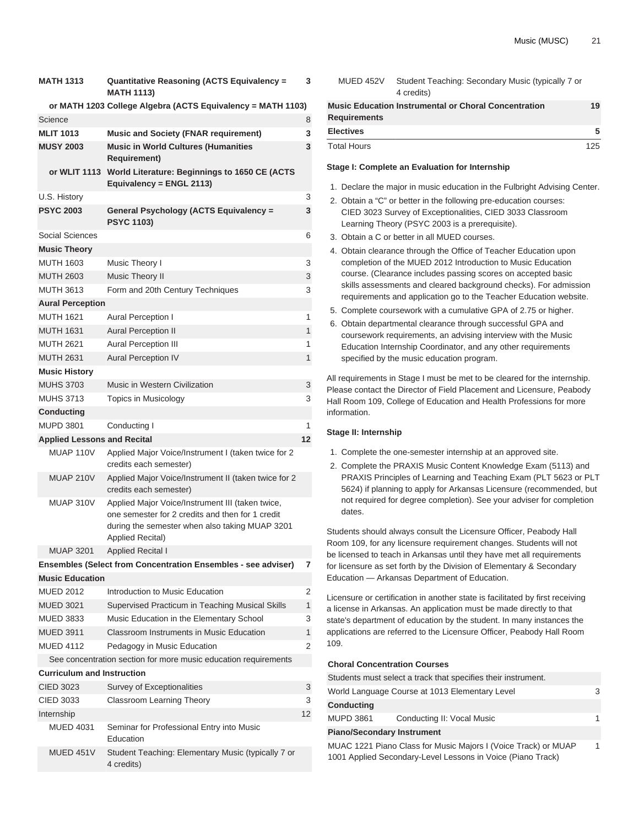| <b>MATH 1313</b>                   | Quantitative Reasoning (ACTS Equivalency =<br><b>MATH 1113)</b>                                                                                                            | 3            |
|------------------------------------|----------------------------------------------------------------------------------------------------------------------------------------------------------------------------|--------------|
| Science                            | or MATH 1203 College Algebra (ACTS Equivalency = MATH 1103)                                                                                                                | 8            |
| <b>MLIT 1013</b>                   | <b>Music and Society (FNAR requirement)</b>                                                                                                                                | 3            |
| <b>MUSY 2003</b>                   | <b>Music in World Cultures (Humanities</b><br><b>Requirement)</b>                                                                                                          | 3            |
|                                    | or WLIT 1113 World Literature: Beginnings to 1650 CE (ACTS<br>Equivalency = ENGL 2113)                                                                                     |              |
| U.S. History                       |                                                                                                                                                                            | 3            |
| <b>PSYC 2003</b>                   | <b>General Psychology (ACTS Equivalency =</b><br><b>PSYC 1103)</b>                                                                                                         | 3            |
| Social Sciences                    |                                                                                                                                                                            | 6            |
| <b>Music Theory</b>                |                                                                                                                                                                            |              |
| <b>MUTH 1603</b>                   | Music Theory I                                                                                                                                                             | 3            |
| <b>MUTH 2603</b>                   | Music Theory II                                                                                                                                                            | 3            |
| <b>MUTH 3613</b>                   | Form and 20th Century Techniques                                                                                                                                           | 3            |
| <b>Aural Perception</b>            |                                                                                                                                                                            |              |
| <b>MUTH 1621</b>                   | <b>Aural Perception I</b>                                                                                                                                                  | 1            |
| <b>MUTH 1631</b>                   | <b>Aural Perception II</b>                                                                                                                                                 | 1            |
| <b>MUTH 2621</b>                   | <b>Aural Perception III</b>                                                                                                                                                | 1            |
| <b>MUTH 2631</b>                   | <b>Aural Perception IV</b>                                                                                                                                                 | $\mathbf{1}$ |
| <b>Music History</b>               |                                                                                                                                                                            |              |
| <b>MUHS 3703</b>                   | Music in Western Civilization                                                                                                                                              | 3            |
| <b>MUHS 3713</b>                   | <b>Topics in Musicology</b>                                                                                                                                                | 3            |
| Conducting                         |                                                                                                                                                                            |              |
| <b>MUPD 3801</b>                   | Conducting I                                                                                                                                                               | 1            |
| <b>Applied Lessons and Recital</b> |                                                                                                                                                                            | 12           |
| MUAP 110V                          | Applied Major Voice/Instrument I (taken twice for 2<br>credits each semester)                                                                                              |              |
| <b>MUAP 210V</b>                   | Applied Major Voice/Instrument II (taken twice for 2<br>credits each semester)                                                                                             |              |
| MUAP 310V                          | Applied Major Voice/Instrument III (taken twice,<br>one semester for 2 credits and then for 1 credit<br>during the semester when also taking MUAP 3201<br>Applied Recital) |              |
| <b>MUAP 3201</b>                   | <b>Applied Recital I</b>                                                                                                                                                   |              |
|                                    | Ensembles (Select from Concentration Ensembles - see adviser)                                                                                                              | 7            |
| <b>Music Education</b>             |                                                                                                                                                                            |              |
| <b>MUED 2012</b>                   | Introduction to Music Education                                                                                                                                            | 2            |
| <b>MUED 3021</b>                   | Supervised Practicum in Teaching Musical Skills                                                                                                                            | $\mathbf{1}$ |
| <b>MUED 3833</b>                   | Music Education in the Elementary School                                                                                                                                   | 3            |
| <b>MUED 3911</b>                   | <b>Classroom Instruments in Music Education</b>                                                                                                                            | 1            |
| <b>MUED 4112</b>                   | Pedagogy in Music Education                                                                                                                                                | 2            |
|                                    | See concentration section for more music education requirements                                                                                                            |              |
| <b>Curriculum and Instruction</b>  |                                                                                                                                                                            |              |
| CIED 3023                          | Survey of Exceptionalities                                                                                                                                                 | 3            |
| CIED 3033                          | Classroom Learning Theory                                                                                                                                                  | 3            |
| Internship                         |                                                                                                                                                                            | 12           |
| <b>MUED 4031</b>                   | Seminar for Professional Entry into Music<br>Education                                                                                                                     |              |
| MUED 451V                          | Student Teaching: Elementary Music (typically 7 or                                                                                                                         |              |

| MUED 452V           | Student Teaching: Secondary Music (typically 7 or<br>4 credits) |     |
|---------------------|-----------------------------------------------------------------|-----|
| <b>Requirements</b> | <b>Music Education Instrumental or Choral Concentration</b>     | 19  |
| <b>Electives</b>    |                                                                 | 5   |
| <b>Total Hours</b>  |                                                                 | 125 |

#### **Stage I: Complete an Evaluation for Internship**

- 1. Declare the major in music education in the Fulbright Advising Center.
- 2. Obtain a "C" or better in the following pre-education courses: CIED 3023 Survey of Exceptionalities, CIED 3033 Classroom Learning Theory (PSYC 2003 is a prerequisite).
- 3. Obtain a C or better in all MUED courses.
- 4. Obtain clearance through the Office of Teacher Education upon completion of the MUED 2012 Introduction to Music Education course. (Clearance includes passing scores on accepted basic skills assessments and cleared background checks). For admission requirements and application go to the Teacher Education website.
- 5. Complete coursework with a cumulative GPA of 2.75 or higher.
- 6. Obtain departmental clearance through successful GPA and coursework requirements, an advising interview with the Music Education Internship Coordinator, and any other requirements specified by the music education program.

All requirements in Stage I must be met to be cleared for the internship. Please contact the Director of Field Placement and Licensure, Peabody Hall Room 109, College of Education and Health Professions for more information.

#### **Stage II: Internship**

- 1. Complete the one-semester internship at an approved site.
- 2. Complete the PRAXIS Music Content Knowledge Exam (5113) and PRAXIS Principles of Learning and Teaching Exam (PLT 5623 or PLT 5624) if planning to apply for Arkansas Licensure (recommended, but not required for degree completion). See your adviser for completion dates.

Students should always consult the Licensure Officer, Peabody Hall Room 109, for any licensure requirement changes. Students will not be licensed to teach in Arkansas until they have met all requirements for licensure as set forth by the Division of Elementary & Secondary Education — Arkansas Department of Education.

Licensure or certification in another state is facilitated by first receiving a license in Arkansas. An application must be made directly to that state's department of education by the student. In many instances the applications are referred to the Licensure Officer, Peabody Hall Room 109.

#### **Choral Concentration Courses**

|                                   | Students must select a track that specifies their instrument.  |   |
|-----------------------------------|----------------------------------------------------------------|---|
|                                   | World Language Course at 1013 Elementary Level                 | 3 |
| <b>Conducting</b>                 |                                                                |   |
| <b>MUPD 3861</b>                  | Conducting II: Vocal Music                                     | 1 |
| <b>Piano/Secondary Instrument</b> |                                                                |   |
|                                   | MUAC 1221 Piano Class for Music Majors I (Voice Track) or MUAP | 1 |

1001 Applied Secondary-Level Lessons in Voice (Piano Track)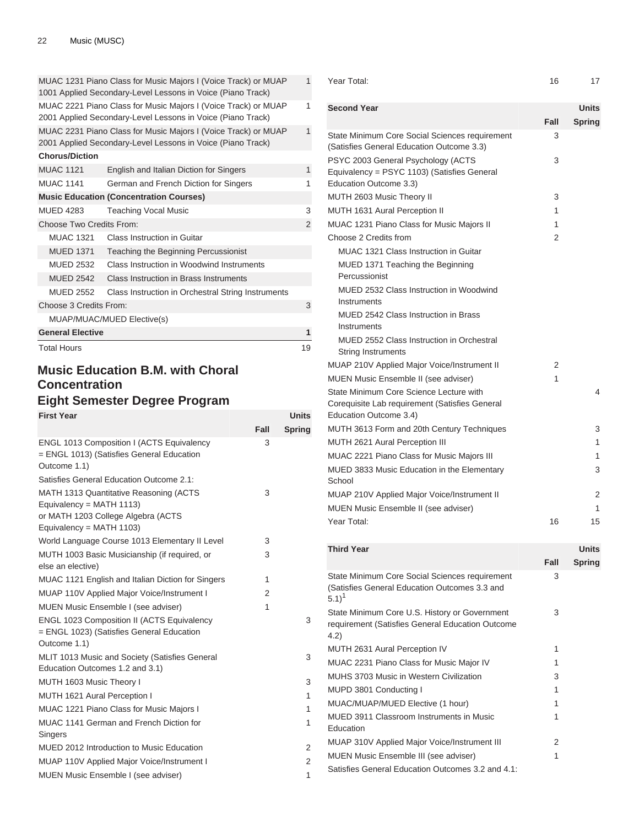| 1001 Applied Secondary-Level Lessons in Voice (Piano Track)<br>MUAC 2221 Piano Class for Music Majors I (Voice Track) or MUAP<br>2001 Applied Secondary-Level Lessons in Voice (Piano Track)<br>MUAC 2231 Piano Class for Music Majors I (Voice Track) or MUAP<br>2001 Applied Secondary-Level Lessons in Voice (Piano Track)<br><b>Chorus/Diction</b><br><b>MUAC 1121</b><br>English and Italian Diction for Singers<br><b>MUAC 1141</b><br>German and French Diction for Singers<br><b>Music Education (Concentration Courses)</b><br><b>MUED 4283</b><br><b>Teaching Vocal Music</b><br>Choose Two Credits From:<br><b>MUAC 1321</b><br>Class Instruction in Guitar<br><b>MUED 1371</b><br>Teaching the Beginning Percussionist<br><b>MUED 2532</b><br>Class Instruction in Woodwind Instruments<br><b>MUED 2542</b><br>Class Instruction in Brass Instruments<br><b>MUED 2552</b><br>Class Instruction in Orchestral String Instruments<br>Choose 3 Credits From:<br>MUAP/MUAC/MUED Elective(s)<br><b>General Elective</b> | <b>Total Hours</b> |                                                                | 19 |
|--------------------------------------------------------------------------------------------------------------------------------------------------------------------------------------------------------------------------------------------------------------------------------------------------------------------------------------------------------------------------------------------------------------------------------------------------------------------------------------------------------------------------------------------------------------------------------------------------------------------------------------------------------------------------------------------------------------------------------------------------------------------------------------------------------------------------------------------------------------------------------------------------------------------------------------------------------------------------------------------------------------------------------|--------------------|----------------------------------------------------------------|----|
|                                                                                                                                                                                                                                                                                                                                                                                                                                                                                                                                                                                                                                                                                                                                                                                                                                                                                                                                                                                                                                |                    |                                                                | 1  |
|                                                                                                                                                                                                                                                                                                                                                                                                                                                                                                                                                                                                                                                                                                                                                                                                                                                                                                                                                                                                                                |                    |                                                                |    |
|                                                                                                                                                                                                                                                                                                                                                                                                                                                                                                                                                                                                                                                                                                                                                                                                                                                                                                                                                                                                                                |                    |                                                                | 3  |
|                                                                                                                                                                                                                                                                                                                                                                                                                                                                                                                                                                                                                                                                                                                                                                                                                                                                                                                                                                                                                                |                    |                                                                |    |
|                                                                                                                                                                                                                                                                                                                                                                                                                                                                                                                                                                                                                                                                                                                                                                                                                                                                                                                                                                                                                                |                    |                                                                |    |
|                                                                                                                                                                                                                                                                                                                                                                                                                                                                                                                                                                                                                                                                                                                                                                                                                                                                                                                                                                                                                                |                    |                                                                |    |
|                                                                                                                                                                                                                                                                                                                                                                                                                                                                                                                                                                                                                                                                                                                                                                                                                                                                                                                                                                                                                                |                    |                                                                |    |
|                                                                                                                                                                                                                                                                                                                                                                                                                                                                                                                                                                                                                                                                                                                                                                                                                                                                                                                                                                                                                                |                    |                                                                |    |
|                                                                                                                                                                                                                                                                                                                                                                                                                                                                                                                                                                                                                                                                                                                                                                                                                                                                                                                                                                                                                                |                    |                                                                | 2  |
|                                                                                                                                                                                                                                                                                                                                                                                                                                                                                                                                                                                                                                                                                                                                                                                                                                                                                                                                                                                                                                |                    |                                                                | 3  |
|                                                                                                                                                                                                                                                                                                                                                                                                                                                                                                                                                                                                                                                                                                                                                                                                                                                                                                                                                                                                                                |                    |                                                                |    |
|                                                                                                                                                                                                                                                                                                                                                                                                                                                                                                                                                                                                                                                                                                                                                                                                                                                                                                                                                                                                                                |                    |                                                                | 1  |
|                                                                                                                                                                                                                                                                                                                                                                                                                                                                                                                                                                                                                                                                                                                                                                                                                                                                                                                                                                                                                                |                    |                                                                | 1  |
|                                                                                                                                                                                                                                                                                                                                                                                                                                                                                                                                                                                                                                                                                                                                                                                                                                                                                                                                                                                                                                |                    |                                                                |    |
|                                                                                                                                                                                                                                                                                                                                                                                                                                                                                                                                                                                                                                                                                                                                                                                                                                                                                                                                                                                                                                |                    |                                                                | 1  |
|                                                                                                                                                                                                                                                                                                                                                                                                                                                                                                                                                                                                                                                                                                                                                                                                                                                                                                                                                                                                                                |                    |                                                                | 1  |
|                                                                                                                                                                                                                                                                                                                                                                                                                                                                                                                                                                                                                                                                                                                                                                                                                                                                                                                                                                                                                                |                    | MUAC 1231 Piano Class for Music Majors I (Voice Track) or MUAP | 1  |

# **Music Education B.M. with Choral Concentration**

# **Eight Semester Degree Program**

| <b>First Year</b>                                                                                                                       |      | <b>Units</b>  |
|-----------------------------------------------------------------------------------------------------------------------------------------|------|---------------|
|                                                                                                                                         | Fall | <b>Spring</b> |
| ENGL 1013 Composition I (ACTS Equivalency<br>= ENGL 1013) (Satisfies General Education<br>Outcome 1.1)                                  | 3    |               |
| Satisfies General Education Outcome 2.1:                                                                                                |      |               |
| MATH 1313 Quantitative Reasoning (ACTS<br>Equivalency = MATH 1113)<br>or MATH 1203 College Algebra (ACTS<br>Equivalency = $MATH 1103$ ) | 3    |               |
| World Language Course 1013 Elementary II Level                                                                                          | 3    |               |
| MUTH 1003 Basic Musicianship (if required, or<br>else an elective)                                                                      | 3    |               |
| MUAC 1121 English and Italian Diction for Singers                                                                                       | 1    |               |
| MUAP 110V Applied Major Voice/Instrument I                                                                                              | 2    |               |
| MUEN Music Ensemble I (see adviser)                                                                                                     | 1    |               |
| <b>ENGL 1023 Composition II (ACTS Equivalency</b><br>= ENGL 1023) (Satisfies General Education<br>Outcome 1.1)                          |      | 3             |
| MLIT 1013 Music and Society (Satisfies General<br>Education Outcomes 1.2 and 3.1)                                                       |      | 3             |
| MUTH 1603 Music Theory I                                                                                                                |      | 3             |
| MUTH 1621 Aural Perception I                                                                                                            |      | 1             |
| MUAC 1221 Piano Class for Music Majors I                                                                                                |      | 1             |
| MUAC 1141 German and French Diction for<br>Singers                                                                                      |      | 1             |
| MUED 2012 Introduction to Music Education                                                                                               |      | 2             |
| MUAP 110V Applied Major Voice/Instrument I                                                                                              |      | 2             |
| MUEN Music Ensemble I (see adviser)                                                                                                     |      | 1             |

| Year Total:                                                                                                         | 16   | 17           |
|---------------------------------------------------------------------------------------------------------------------|------|--------------|
| <b>Second Year</b>                                                                                                  |      | Units        |
|                                                                                                                     | Fall | Spring       |
| State Minimum Core Social Sciences requirement<br>(Satisfies General Education Outcome 3.3)                         | 3    |              |
| PSYC 2003 General Psychology (ACTS<br>Equivalency = PSYC 1103) (Satisfies General<br>Education Outcome 3.3)         | 3    |              |
| MUTH 2603 Music Theory II                                                                                           | 3    |              |
| <b>MUTH 1631 Aural Perception II</b>                                                                                | 1    |              |
| MUAC 1231 Piano Class for Music Majors II                                                                           | 1    |              |
| Choose 2 Credits from                                                                                               | 2    |              |
| MUAC 1321 Class Instruction in Guitar                                                                               |      |              |
| MUED 1371 Teaching the Beginning<br>Percussionist                                                                   |      |              |
| MUED 2532 Class Instruction in Woodwind<br>Instruments                                                              |      |              |
| MUED 2542 Class Instruction in Brass<br>Instruments                                                                 |      |              |
| <b>MUED 2552 Class Instruction in Orchestral</b><br><b>String Instruments</b>                                       |      |              |
| MUAP 210V Applied Major Voice/Instrument II                                                                         | 2    |              |
| MUEN Music Ensemble II (see adviser)                                                                                | 1    |              |
| State Minimum Core Science Lecture with<br>Corequisite Lab requirement (Satisfies General<br>Education Outcome 3.4) |      | 4            |
| MUTH 3613 Form and 20th Century Techniques                                                                          |      | 3            |
| MUTH 2621 Aural Perception III                                                                                      |      | 1            |
| MUAC 2221 Piano Class for Music Majors III                                                                          |      | 1            |
| MUED 3833 Music Education in the Elementary<br>School                                                               |      | 3            |
| MUAP 210V Applied Major Voice/Instrument II                                                                         |      | 2            |
| MUEN Music Ensemble II (see adviser)                                                                                |      | 1            |
| Year Total:                                                                                                         | 16   | 15           |
| <b>Third Year</b>                                                                                                   |      | <b>Units</b> |
|                                                                                                                     | Fall | Spring       |
| State Minimum Core Social Sciences requirement<br>(Satisfies General Education Outcomes 3.3 and<br>$5.1)^1$         | 3    |              |
| State Minimum Core U.S. History or Government<br>requirement (Satisfies General Education Outcome<br>4.2)           | 3    |              |
| MUTH 2631 Aural Perception IV                                                                                       | 1    |              |
| MUAC 2231 Piano Class for Music Major IV                                                                            | 1    |              |
| MUHS 3703 Music in Western Civilization                                                                             | 3    |              |
| MUPD 3801 Conducting I                                                                                              | 1    |              |
| MUAC/MUAP/MUED Elective (1 hour)                                                                                    | 1    |              |
| MUED 3911 Classroom Instruments in Music<br>Education                                                               | 1    |              |
| MUAP 310V Applied Major Voice/Instrument III                                                                        | 2    |              |

MUEN Music Ensemble III (see adviser) 1

Satisfies General Education Outcomes 3.2 and 4.1: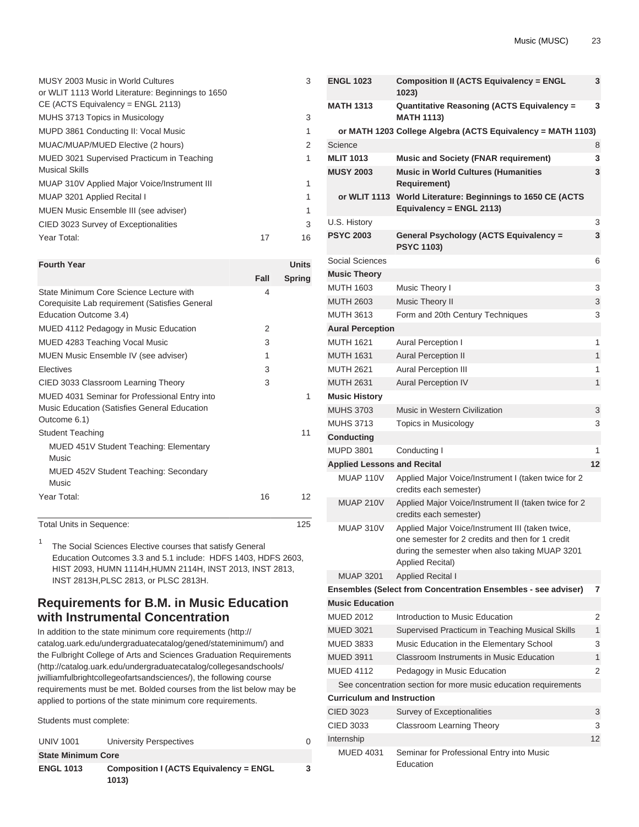| MUSY 2003 Music in World Cultures<br>or WLIT 1113 World Literature: Beginnings to 1650<br>$CE$ (ACTS Equivalency = ENGL 2113) | 3        |
|-------------------------------------------------------------------------------------------------------------------------------|----------|
| MUHS 3713 Topics in Musicology                                                                                                | 3        |
| MUPD 3861 Conducting II: Vocal Music                                                                                          | 1        |
| MUAC/MUAP/MUED Elective (2 hours)                                                                                             | 2        |
| MUED 3021 Supervised Practicum in Teaching<br><b>Musical Skills</b>                                                           | 1        |
| MUAP 310V Applied Major Voice/Instrument III                                                                                  | 1        |
| MUAP 3201 Applied Recital I                                                                                                   | 1        |
| MUEN Music Ensemble III (see adviser)                                                                                         | 1        |
| CIED 3023 Survey of Exceptionalities                                                                                          | 3        |
| Year Total:                                                                                                                   | 16<br>17 |

| <b>Fourth Year</b>                                                                                                  |               | <b>Units</b>  |
|---------------------------------------------------------------------------------------------------------------------|---------------|---------------|
|                                                                                                                     | Fall          | <b>Spring</b> |
| State Minimum Core Science Lecture with<br>Corequisite Lab requirement (Satisfies General<br>Education Outcome 3.4) | 4             |               |
| MUED 4112 Pedagogy in Music Education                                                                               | $\mathcal{P}$ |               |
| MUED 4283 Teaching Vocal Music                                                                                      | 3             |               |
| MUEN Music Ensemble IV (see adviser)                                                                                | 1             |               |
| Electives                                                                                                           | 3             |               |
| CIED 3033 Classroom Learning Theory                                                                                 | 3             |               |
| MUED 4031 Seminar for Professional Entry into<br>Music Education (Satisfies General Education<br>Outcome 6.1)       |               | 1             |
| <b>Student Teaching</b>                                                                                             |               | 11            |
| <b>MUED 451V Student Teaching: Elementary</b><br>Music                                                              |               |               |
| <b>MUED 452V Student Teaching: Secondary</b><br>Music                                                               |               |               |
| Year Total:                                                                                                         | 16            | 12            |

Total Units in Sequence: 125

1 The Social Sciences Elective courses that satisfy General Education Outcomes 3.3 and 5.1 include: [HDFS 1403,](/search/?P=HDFS%201403) [HDFS 2603,](/search/?P=HDFS%202603) [HIST 2093](/search/?P=HIST%202093), [HUMN 1114H,](/search/?P=HUMN%201114H)[HUMN 2114H,](/search/?P=HUMN%202114H) [INST 2013](/search/?P=INST%202013), [INST 2813,](/search/?P=INST%202813) [INST 2813H](/search/?P=INST%202813H)[,PLSC 2813](/search/?P=PLSC%202813), or [PLSC 2813H.](/search/?P=PLSC%202813H)

# **Requirements for B.M. in Music Education with Instrumental Concentration**

In addition to the [state minimum core requirements](http://catalog.uark.edu/undergraduatecatalog/gened/stateminimum/) ([http://](http://catalog.uark.edu/undergraduatecatalog/gened/stateminimum/) [catalog.uark.edu/undergraduatecatalog/gened/stateminimum/\)](http://catalog.uark.edu/undergraduatecatalog/gened/stateminimum/) and the [Fulbright College of Arts and Sciences Graduation Requirements](http://catalog.uark.edu/undergraduatecatalog/collegesandschools/jwilliamfulbrightcollegeofartsandsciences/) ([http://catalog.uark.edu/undergraduatecatalog/collegesandschools/](http://catalog.uark.edu/undergraduatecatalog/collegesandschools/jwilliamfulbrightcollegeofartsandsciences/) [jwilliamfulbrightcollegeofartsandsciences/](http://catalog.uark.edu/undergraduatecatalog/collegesandschools/jwilliamfulbrightcollegeofartsandsciences/)), the following course requirements must be met. Bolded courses from the list below may be applied to portions of the state minimum core requirements.

Students must complete:

| <b>UNIV 1001</b>          | University Perspectives                                |   |
|---------------------------|--------------------------------------------------------|---|
| <b>State Minimum Core</b> |                                                        |   |
| <b>ENGL 1013</b>          | <b>Composition I (ACTS Equivalency = ENGL</b><br>1013) | 3 |

| <b>ENGL 1023</b>                   | <b>Composition II (ACTS Equivalency = ENGL</b><br>1023)                                                                                                                           | 3  |
|------------------------------------|-----------------------------------------------------------------------------------------------------------------------------------------------------------------------------------|----|
| <b>MATH 1313</b>                   | <b>Quantitative Reasoning (ACTS Equivalency =</b><br><b>MATH 1113)</b>                                                                                                            | 3  |
|                                    | or MATH 1203 College Algebra (ACTS Equivalency = MATH 1103)                                                                                                                       |    |
| Science                            |                                                                                                                                                                                   | 8  |
| <b>MLIT 1013</b>                   | <b>Music and Society (FNAR requirement)</b>                                                                                                                                       | 3  |
| <b>MUSY 2003</b>                   | <b>Music in World Cultures (Humanities</b><br><b>Requirement</b> )                                                                                                                | 3  |
| or WLIT 1113                       | World Literature: Beginnings to 1650 CE (ACTS<br>Equivalency = ENGL 2113)                                                                                                         |    |
| U.S. History                       |                                                                                                                                                                                   | 3  |
| <b>PSYC 2003</b>                   | <b>General Psychology (ACTS Equivalency =</b><br><b>PSYC 1103)</b>                                                                                                                | 3  |
| Social Sciences                    |                                                                                                                                                                                   | 6  |
| <b>Music Theory</b>                |                                                                                                                                                                                   |    |
| <b>MUTH 1603</b>                   | Music Theory I                                                                                                                                                                    | 3  |
| <b>MUTH 2603</b>                   | Music Theory II                                                                                                                                                                   | 3  |
| <b>MUTH 3613</b>                   | Form and 20th Century Techniques                                                                                                                                                  | 3  |
| <b>Aural Perception</b>            |                                                                                                                                                                                   |    |
| <b>MUTH 1621</b>                   | Aural Perception I                                                                                                                                                                | 1  |
| <b>MUTH 1631</b>                   | <b>Aural Perception II</b>                                                                                                                                                        | 1  |
| <b>MUTH 2621</b>                   | <b>Aural Perception III</b>                                                                                                                                                       | 1  |
| <b>MUTH 2631</b>                   | <b>Aural Perception IV</b>                                                                                                                                                        | 1  |
| <b>Music History</b>               |                                                                                                                                                                                   |    |
| <b>MUHS 3703</b>                   | Music in Western Civilization                                                                                                                                                     | 3  |
| <b>MUHS 3713</b>                   | Topics in Musicology                                                                                                                                                              | 3  |
| Conducting                         |                                                                                                                                                                                   |    |
| MUPD 3801                          | Conducting I                                                                                                                                                                      | 1  |
| <b>Applied Lessons and Recital</b> |                                                                                                                                                                                   | 12 |
| MUAP 110V                          | Applied Major Voice/Instrument I (taken twice for 2<br>credits each semester)                                                                                                     |    |
| <b>MUAP 210V</b>                   | Applied Major Voice/Instrument II (taken twice for 2<br>credits each semester)                                                                                                    |    |
| MUAP 310V                          | Applied Major Voice/Instrument III (taken twice,<br>one semester for 2 credits and then for 1 credit<br>during the semester when also taking MUAP 3201<br><b>Applied Recital)</b> |    |
| <b>MUAP 3201</b>                   | <b>Applied Recital I</b>                                                                                                                                                          |    |
|                                    | Ensembles (Select from Concentration Ensembles - see adviser)                                                                                                                     | 7  |
| <b>Music Education</b>             |                                                                                                                                                                                   |    |
| MUFD 2012                          | Introduction to Music Education                                                                                                                                                   | 2  |
| <b>MUED 3021</b>                   | Supervised Practicum in Teaching Musical Skills                                                                                                                                   | 1  |
| MUED 3833                          | Music Education in the Elementary School                                                                                                                                          | 3  |
| <b>MUED 3911</b>                   | Classroom Instruments in Music Education                                                                                                                                          | 1  |
| <b>MUED 4112</b>                   | Pedagogy in Music Education                                                                                                                                                       | 2  |
|                                    | See concentration section for more music education requirements                                                                                                                   |    |
| <b>Curriculum and Instruction</b>  |                                                                                                                                                                                   |    |
| <b>CIED 3023</b>                   | Survey of Exceptionalities                                                                                                                                                        | 3  |
| CIED 3033                          | Classroom Learning Theory                                                                                                                                                         | 3  |
| Internship                         |                                                                                                                                                                                   | 12 |
| <b>MUED 4031</b>                   | Seminar for Professional Entry into Music<br>Education                                                                                                                            |    |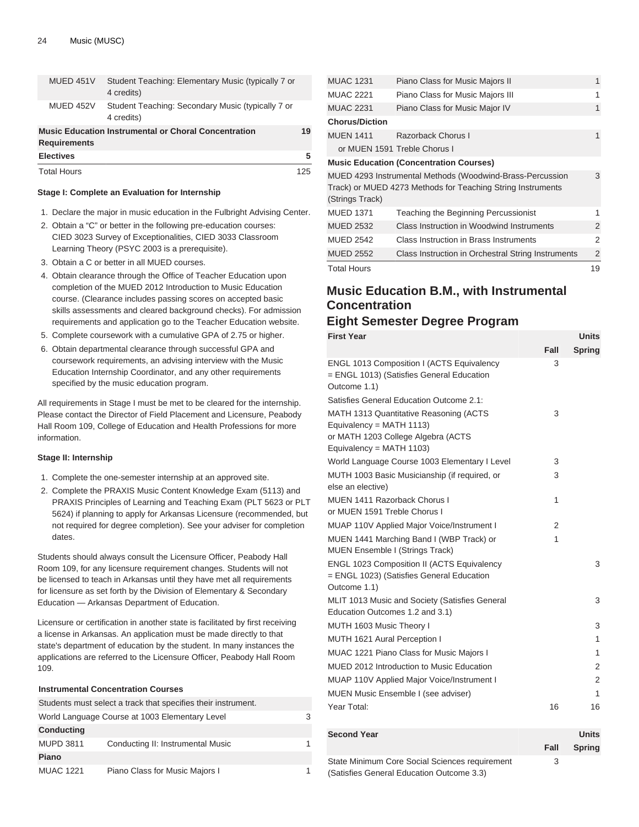| MUED 451V           | Student Teaching: Elementary Music (typically 7 or<br>4 credits) |     |
|---------------------|------------------------------------------------------------------|-----|
| MUED 452V           | Student Teaching: Secondary Music (typically 7 or<br>4 credits)  |     |
| <b>Requirements</b> | <b>Music Education Instrumental or Choral Concentration</b>      | 19  |
| <b>Electives</b>    |                                                                  | 5   |
| <b>Total Hours</b>  |                                                                  | 125 |

#### **Stage I: Complete an Evaluation for Internship**

- 1. Declare the major in music education in the Fulbright Advising Center.
- 2. Obtain a "C" or better in the following pre-education courses: CIED 3023 Survey of Exceptionalities, CIED 3033 Classroom Learning Theory (PSYC 2003 is a prerequisite).
- 3. Obtain a C or better in all MUED courses.
- 4. Obtain clearance through the Office of Teacher Education upon completion of the MUED 2012 Introduction to Music Education course. (Clearance includes passing scores on accepted basic skills assessments and cleared background checks). For admission requirements and application go to the Teacher Education website.
- 5. Complete coursework with a cumulative GPA of 2.75 or higher.
- 6. Obtain departmental clearance through successful GPA and coursework requirements, an advising interview with the Music Education Internship Coordinator, and any other requirements specified by the music education program.

All requirements in Stage I must be met to be cleared for the internship. Please contact the Director of Field Placement and Licensure, Peabody Hall Room 109, College of Education and Health Professions for more information.

#### **Stage II: Internship**

- 1. Complete the one-semester internship at an approved site.
- 2. Complete the PRAXIS Music Content Knowledge Exam (5113) and PRAXIS Principles of Learning and Teaching Exam (PLT 5623 or PLT 5624) if planning to apply for Arkansas Licensure (recommended, but not required for degree completion). See your adviser for completion dates.

Students should always consult the Licensure Officer, Peabody Hall Room 109, for any licensure requirement changes. Students will not be licensed to teach in Arkansas until they have met all requirements for licensure as set forth by the Division of Elementary & Secondary Education — Arkansas Department of Education.

Licensure or certification in another state is facilitated by first receiving a license in Arkansas. An application must be made directly to that state's department of education by the student. In many instances the applications are referred to the Licensure Officer, Peabody Hall Room 109.

### **Instrumental Concentration Courses**

|                   | Students must select a track that specifies their instrument. |  |
|-------------------|---------------------------------------------------------------|--|
|                   | World Language Course at 1003 Elementary Level                |  |
| <b>Conducting</b> |                                                               |  |
| <b>MUPD 3811</b>  | Conducting II: Instrumental Music                             |  |
| Piano             |                                                               |  |
| <b>MUAC 1221</b>  | Piano Class for Music Majors I                                |  |

| <b>MUAC 1231</b>      | Piano Class for Music Majors II                             | 1  |
|-----------------------|-------------------------------------------------------------|----|
| <b>MUAC 2221</b>      | Piano Class for Music Majors III                            | 1  |
| <b>MUAC 2231</b>      | Piano Class for Music Major IV                              | 1  |
| <b>Chorus/Diction</b> |                                                             |    |
| <b>MUEN 1411</b>      | Razorback Chorus I                                          | 1  |
|                       | or MUEN 1591 Treble Chorus I                                |    |
|                       | <b>Music Education (Concentration Courses)</b>              |    |
|                       | MUED 4293 Instrumental Methods (Woodwind-Brass-Percussion   | 3  |
| (Strings Track)       | Track) or MUED 4273 Methods for Teaching String Instruments |    |
| <b>MUED 1371</b>      | Teaching the Beginning Percussionist                        | 1  |
| <b>MUED 2532</b>      | Class Instruction in Woodwind Instruments                   | 2  |
| <b>MUED 2542</b>      | Class Instruction in Brass Instruments                      | 2  |
| <b>MUED 2552</b>      | Class Instruction in Orchestral String Instruments          | 2  |
| <b>Total Hours</b>    |                                                             | 19 |

# **Music Education B.M., with Instrumental Concentration**

# **Eight Semester Degree Program**

| <b>First Year</b>                                                                                                                      |      | <b>Units</b>  |
|----------------------------------------------------------------------------------------------------------------------------------------|------|---------------|
|                                                                                                                                        | Fall | <b>Spring</b> |
| ENGL 1013 Composition I (ACTS Equivalency<br>= ENGL 1013) (Satisfies General Education<br>Outcome 1.1)                                 | 3    |               |
| Satisfies General Education Outcome 2.1:                                                                                               |      |               |
| MATH 1313 Quantitative Reasoning (ACTS<br>Equivalency = $MATH$ 1113)<br>or MATH 1203 College Algebra (ACTS<br>Equivalency = MATH 1103) | 3    |               |
| World Language Course 1003 Elementary I Level                                                                                          | 3    |               |
| MUTH 1003 Basic Musicianship (if required, or<br>else an elective)                                                                     | 3    |               |
| MUEN 1411 Razorback Chorus I<br>or MUEN 1591 Treble Chorus I                                                                           | 1    |               |
| MUAP 110V Applied Major Voice/Instrument I                                                                                             | 2    |               |
| MUEN 1441 Marching Band I (WBP Track) or<br><b>MUEN Ensemble I (Strings Track)</b>                                                     | 1    |               |
| <b>ENGL 1023 Composition II (ACTS Equivalency</b><br>= ENGL 1023) (Satisfies General Education<br>Outcome 1.1)                         |      | 3             |
| MLIT 1013 Music and Society (Satisfies General<br>Education Outcomes 1.2 and 3.1)                                                      |      | 3             |
| MUTH 1603 Music Theory I                                                                                                               |      | 3             |
| MUTH 1621 Aural Perception I                                                                                                           |      | 1             |
| MUAC 1221 Piano Class for Music Majors I                                                                                               |      | 1             |
| MUED 2012 Introduction to Music Education                                                                                              |      | 2             |
| MUAP 110V Applied Major Voice/Instrument I                                                                                             |      | 2             |
| MUEN Music Ensemble I (see adviser)                                                                                                    |      | 1             |
| Year Total:                                                                                                                            | 16   | 16            |

| Second Year                                    |      | <b>Units</b>  |
|------------------------------------------------|------|---------------|
|                                                | Fall | <b>Spring</b> |
| State Minimum Core Social Sciences requirement | 3    |               |
| (Satisfies General Education Outcome 3.3)      |      |               |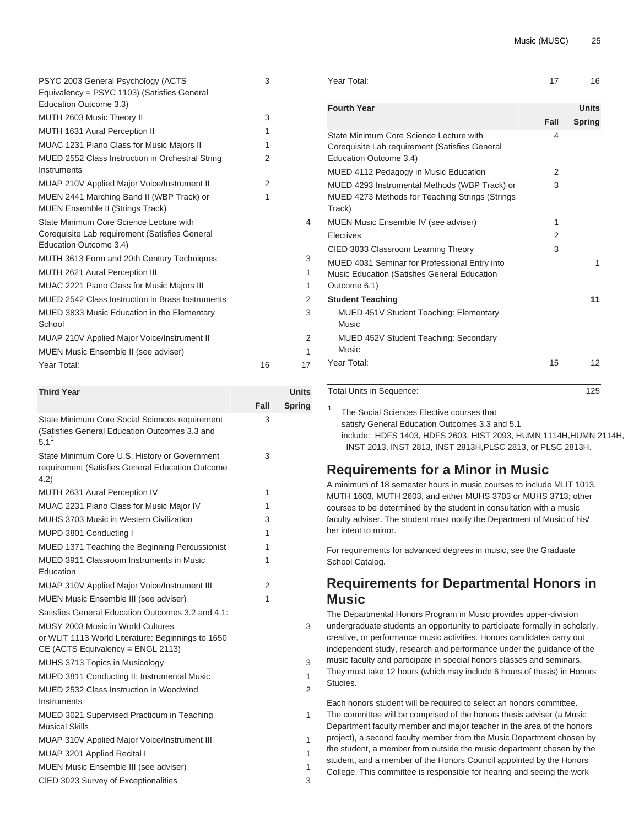| PSYC 2003 General Psychology (ACTS               | 3             |                |
|--------------------------------------------------|---------------|----------------|
| Equivalency = PSYC 1103) (Satisfies General      |               |                |
| Education Outcome 3.3)                           |               |                |
| MUTH 2603 Music Theory II                        | 3             |                |
| MUTH 1631 Aural Perception II                    | 1             |                |
| MUAC 1231 Piano Class for Music Majors II        | 1             |                |
| MUED 2552 Class Instruction in Orchestral String | 2             |                |
| Instruments                                      |               |                |
| MUAP 210V Applied Major Voice/Instrument II      | $\mathcal{P}$ |                |
| MUEN 2441 Marching Band II (WBP Track) or        | 1             |                |
| <b>MUEN Ensemble II (Strings Track)</b>          |               |                |
| State Minimum Core Science Lecture with          |               | $\overline{4}$ |
| Corequisite Lab requirement (Satisfies General   |               |                |
| Education Outcome 3.4)                           |               |                |
| MUTH 3613 Form and 20th Century Techniques       |               | 3              |
| MUTH 2621 Aural Perception III                   |               | 1              |
| MUAC 2221 Piano Class for Music Majors III       |               | 1              |
| MUED 2542 Class Instruction in Brass Instruments |               | 2              |
| MUED 3833 Music Education in the Elementary      |               | 3              |
| School                                           |               |                |
| MUAP 210V Applied Major Voice/Instrument II      |               | 2              |
| MUEN Music Ensemble II (see adviser)             |               | 1              |
| Year Total:                                      | 16            | 17             |
|                                                  |               |                |

| <b>Third Year</b>                                                                                                           |      | Units         |
|-----------------------------------------------------------------------------------------------------------------------------|------|---------------|
|                                                                                                                             | Fall | <b>Spring</b> |
| State Minimum Core Social Sciences requirement<br>(Satisfies General Education Outcomes 3.3 and<br>$5.1^1$                  | 3    |               |
| State Minimum Core U.S. History or Government<br>requirement (Satisfies General Education Outcome<br>4.2)                   | 3    |               |
| MUTH 2631 Aural Perception IV                                                                                               | 1    |               |
| MUAC 2231 Piano Class for Music Major IV                                                                                    | 1    |               |
| MUHS 3703 Music in Western Civilization                                                                                     | 3    |               |
| MUPD 3801 Conducting I                                                                                                      | 1    |               |
| MUED 1371 Teaching the Beginning Percussionist                                                                              | 1    |               |
| MUED 3911 Classroom Instruments in Music<br>Education                                                                       | 1    |               |
| MUAP 310V Applied Major Voice/Instrument III                                                                                | 2    |               |
| MUEN Music Ensemble III (see adviser)                                                                                       | 1    |               |
| Satisfies General Education Outcomes 3.2 and 4.1:                                                                           |      |               |
| MUSY 2003 Music in World Cultures<br>or WLIT 1113 World Literature: Beginnings to 1650<br>CE (ACTS Equivalency = ENGL 2113) |      | 3             |
| MUHS 3713 Topics in Musicology                                                                                              |      | 3             |
| MUPD 3811 Conducting II: Instrumental Music                                                                                 |      | 1             |
| MUED 2532 Class Instruction in Woodwind<br>Instruments                                                                      |      | 2             |
| MUED 3021 Supervised Practicum in Teaching                                                                                  |      | 1             |
| <b>Musical Skills</b>                                                                                                       |      |               |
| MUAP 310V Applied Major Voice/Instrument III                                                                                |      | 1             |
| MUAP 3201 Applied Recital I                                                                                                 |      | 1             |
| MUEN Music Ensemble III (see adviser)                                                                                       |      | 1             |
| CIED 3023 Survey of Exceptionalities                                                                                        |      | 3             |

1

2

| <b>Units</b>  |      | <b>Fourth Year</b>                                                                                                  |
|---------------|------|---------------------------------------------------------------------------------------------------------------------|
| <b>Spring</b> | Fall |                                                                                                                     |
|               | 4    | State Minimum Core Science Lecture with<br>Corequisite Lab requirement (Satisfies General<br>Education Outcome 3.4) |
|               | 2    | MUED 4112 Pedagogy in Music Education                                                                               |
|               | 3    | MUED 4293 Instrumental Methods (WBP Track) or<br>MUED 4273 Methods for Teaching Strings (Strings<br>Track)          |
|               | 1    | MUEN Music Ensemble IV (see adviser)                                                                                |
|               | 2    | <b>Flectives</b>                                                                                                    |
|               | 3    | CIED 3033 Classroom Learning Theory                                                                                 |
| 1             |      | MUED 4031 Seminar for Professional Entry into<br>Music Education (Satisfies General Education<br>Outcome 6.1)       |
| 11            |      | <b>Student Teaching</b>                                                                                             |
|               |      | <b>MUED 451V Student Teaching: Elementary</b><br>Music                                                              |
|               |      | MUED 452V Student Teaching: Secondary<br>Music                                                                      |
| 12            | 15   | Year Total:                                                                                                         |
|               |      | Total Units in Sequence:                                                                                            |

Year Total: 17 16

The Social Sciences Elective courses that satisfy General Education Outcomes 3.3 and 5.1 include: [HDFS 1403](/search/?P=HDFS%201403), [HDFS 2603](/search/?P=HDFS%202603), [HIST 2093](/search/?P=HIST%202093), [HUMN 1114H](/search/?P=HUMN%201114H),[HUMN 2114H](/search/?P=HUMN%202114H), [INST 2013](/search/?P=INST%202013), [INST 2813,](/search/?P=INST%202813) [INST 2813H](/search/?P=INST%202813H)[,PLSC 2813](/search/?P=PLSC%202813), or [PLSC 2813H.](/search/?P=PLSC%202813H)

# **Requirements for a Minor in Music**

A minimum of 18 semester hours in music courses to include MLIT 1013, MUTH 1603, MUTH 2603, and either MUHS 3703 or MUHS 3713; other courses to be determined by the student in consultation with a music faculty adviser. The student must notify the Department of Music of his/ her intent to minor.

For requirements for advanced degrees in music, see the Graduate School Catalog.

# **Requirements for Departmental Honors in Music**

The Departmental Honors Program in Music provides upper-division undergraduate students an opportunity to participate formally in scholarly, creative, or performance music activities. Honors candidates carry out independent study, research and performance under the guidance of the music faculty and participate in special honors classes and seminars. They must take 12 hours (which may include 6 hours of thesis) in Honors Studies.

Each honors student will be required to select an honors committee. The committee will be comprised of the honors thesis adviser (a Music Department faculty member and major teacher in the area of the honors project), a second faculty member from the Music Department chosen by the student, a member from outside the music department chosen by the student, and a member of the Honors Council appointed by the Honors College. This committee is responsible for hearing and seeing the work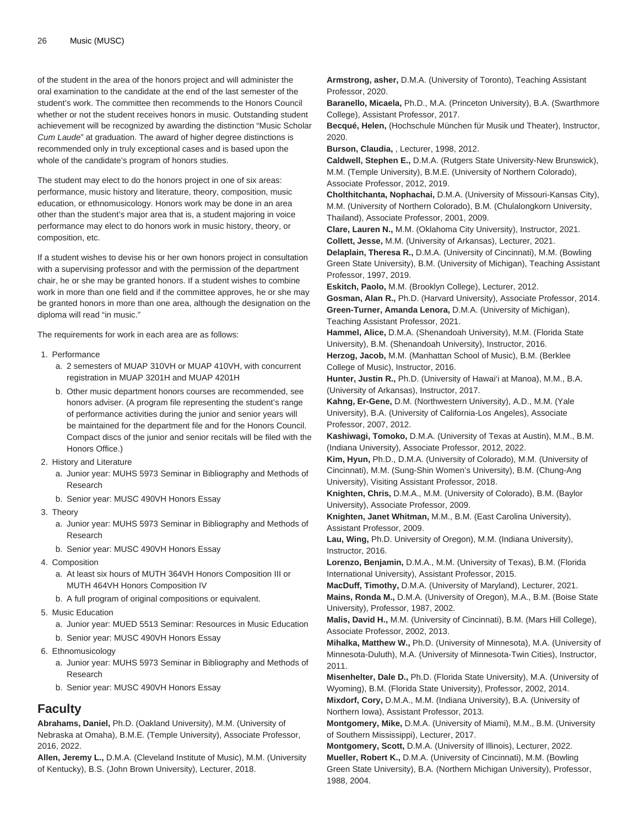of the student in the area of the honors project and will administer the oral examination to the candidate at the end of the last semester of the student's work. The committee then recommends to the Honors Council whether or not the student receives honors in music. Outstanding student achievement will be recognized by awarding the distinction "Music Scholar Cum Laude" at graduation. The award of higher degree distinctions is recommended only in truly exceptional cases and is based upon the whole of the candidate's program of honors studies.

The student may elect to do the honors project in one of six areas: performance, music history and literature, theory, composition, music education, or ethnomusicology. Honors work may be done in an area other than the student's major area that is, a student majoring in voice performance may elect to do honors work in music history, theory, or composition, etc.

If a student wishes to devise his or her own honors project in consultation with a supervising professor and with the permission of the department chair, he or she may be granted honors. If a student wishes to combine work in more than one field and if the committee approves, he or she may be granted honors in more than one area, although the designation on the diploma will read "in music."

The requirements for work in each area are as follows:

- 1. Performance
	- a. 2 semesters of MUAP 310VH or MUAP 410VH, with concurrent registration in MUAP 3201H and MUAP 4201H
	- b. Other music department honors courses are recommended, see honors adviser. (A program file representing the student's range of performance activities during the junior and senior years will be maintained for the department file and for the Honors Council. Compact discs of the junior and senior recitals will be filed with the Honors Office.)
- 2. History and Literature
	- a. Junior year: MUHS 5973 Seminar in Bibliography and Methods of Research
	- b. Senior year: MUSC 490VH Honors Essay
- 3. Theory
	- a. Junior year: MUHS 5973 Seminar in Bibliography and Methods of Research
	- b. Senior year: MUSC 490VH Honors Essay
- 4. Composition
	- a. At least six hours of MUTH 364VH Honors Composition III or MUTH 464VH Honors Composition IV
	- b. A full program of original compositions or equivalent.
- 5. Music Education
	- a. Junior year: MUED 5513 Seminar: Resources in Music Education
	- b. Senior year: MUSC 490VH Honors Essay
- 6. Ethnomusicology
	- a. Junior year: MUHS 5973 Seminar in Bibliography and Methods of Research
	- b. Senior year: MUSC 490VH Honors Essay

### **Faculty**

**Abrahams, Daniel,** Ph.D. (Oakland University), M.M. (University of Nebraska at Omaha), B.M.E. (Temple University), Associate Professor, 2016, 2022.

**Allen, Jeremy L.,** D.M.A. (Cleveland Institute of Music), M.M. (University of Kentucky), B.S. (John Brown University), Lecturer, 2018.

**Armstrong, asher,** D.M.A. (University of Toronto), Teaching Assistant Professor, 2020.

**Baranello, Micaela,** Ph.D., M.A. (Princeton University), B.A. (Swarthmore College), Assistant Professor, 2017.

**Becqué, Helen,** (Hochschule München für Musik und Theater), Instructor, 2020.

**Burson, Claudia,** , Lecturer, 1998, 2012.

**Caldwell, Stephen E.,** D.M.A. (Rutgers State University-New Brunswick), M.M. (Temple University), B.M.E. (University of Northern Colorado), Associate Professor, 2012, 2019.

**Cholthitchanta, Nophachai,** D.M.A. (University of Missouri-Kansas City), M.M. (University of Northern Colorado), B.M. (Chulalongkorn University, Thailand), Associate Professor, 2001, 2009.

**Clare, Lauren N.,** M.M. (Oklahoma City University), Instructor, 2021. **Collett, Jesse,** M.M. (University of Arkansas), Lecturer, 2021.

**Delaplain, Theresa R.,** D.M.A. (University of Cincinnati), M.M. (Bowling Green State University), B.M. (University of Michigan), Teaching Assistant Professor, 1997, 2019.

**Eskitch, Paolo,** M.M. (Brooklyn College), Lecturer, 2012.

**Gosman, Alan R.,** Ph.D. (Harvard University), Associate Professor, 2014. **Green-Turner, Amanda Lenora,** D.M.A. (University of Michigan), Teaching Assistant Professor, 2021.

**Hammel, Alice,** D.M.A. (Shenandoah University), M.M. (Florida State University), B.M. (Shenandoah University), Instructor, 2016.

**Herzog, Jacob,** M.M. (Manhattan School of Music), B.M. (Berklee College of Music), Instructor, 2016.

**Hunter, Justin R.,** Ph.D. (University of Hawai'i at Manoa), M.M., B.A. (University of Arkansas), Instructor, 2017.

**Kahng, Er-Gene,** D.M. (Northwestern University), A.D., M.M. (Yale University), B.A. (University of California-Los Angeles), Associate Professor, 2007, 2012.

**Kashiwagi, Tomoko,** D.M.A. (University of Texas at Austin), M.M., B.M. (Indiana University), Associate Professor, 2012, 2022.

**Kim, Hyun,** Ph.D., D.M.A. (University of Colorado), M.M. (University of Cincinnati), M.M. (Sung-Shin Women's University), B.M. (Chung-Ang University), Visiting Assistant Professor, 2018.

**Knighten, Chris,** D.M.A., M.M. (University of Colorado), B.M. (Baylor University), Associate Professor, 2009.

**Knighten, Janet Whitman,** M.M., B.M. (East Carolina University), Assistant Professor, 2009.

**Lau, Wing,** Ph.D. University of Oregon), M.M. (Indiana University), Instructor, 2016.

**Lorenzo, Benjamin,** D.M.A., M.M. (University of Texas), B.M. (Florida International University), Assistant Professor, 2015.

**MacDuff, Timothy,** D.M.A. (University of Maryland), Lecturer, 2021.

**Mains, Ronda M.,** D.M.A. (University of Oregon), M.A., B.M. (Boise State University), Professor, 1987, 2002.

**Malis, David H.,** M.M. (University of Cincinnati), B.M. (Mars Hill College), Associate Professor, 2002, 2013.

**Mihalka, Matthew W.,** Ph.D. (University of Minnesota), M.A. (University of Minnesota-Duluth), M.A. (University of Minnesota-Twin Cities), Instructor, 2011.

**Misenhelter, Dale D.,** Ph.D. (Florida State University), M.A. (University of Wyoming), B.M. (Florida State University), Professor, 2002, 2014.

**Mixdorf, Cory,** D.M.A., M.M. (Indiana University), B.A. (University of Northern Iowa), Assistant Professor, 2013.

**Montgomery, Mike,** D.M.A. (University of Miami), M.M., B.M. (University of Southern Mississippi), Lecturer, 2017.

**Montgomery, Scott,** D.M.A. (University of Illinois), Lecturer, 2022. **Mueller, Robert K.,** D.M.A. (University of Cincinnati), M.M. (Bowling Green State University), B.A. (Northern Michigan University), Professor, 1988, 2004.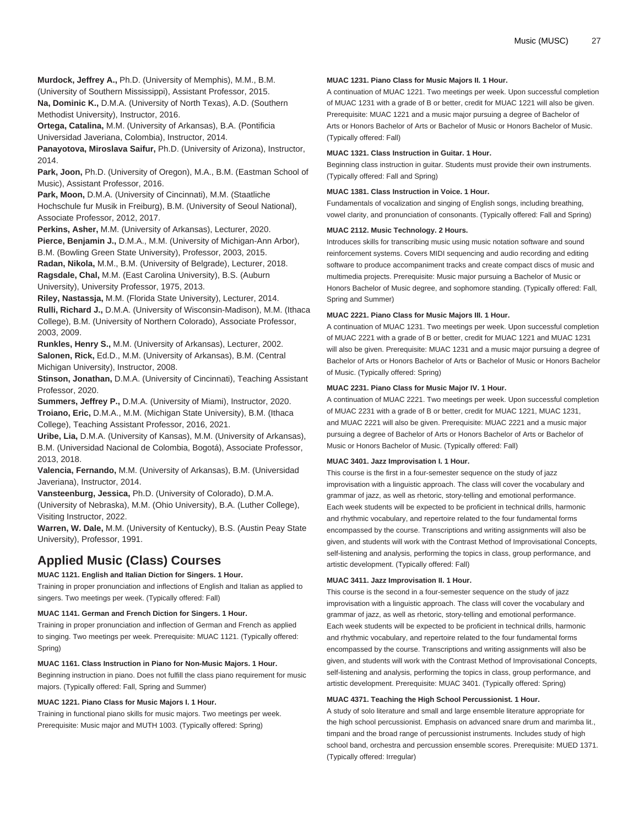**Murdock, Jeffrey A.,** Ph.D. (University of Memphis), M.M., B.M. (University of Southern Mississippi), Assistant Professor, 2015.

**Na, Dominic K.,** D.M.A. (University of North Texas), A.D. (Southern Methodist University), Instructor, 2016.

**Ortega, Catalina,** M.M. (University of Arkansas), B.A. (Pontificia Universidad Javeriana, Colombia), Instructor, 2014.

**Panayotova, Miroslava Saifur,** Ph.D. (University of Arizona), Instructor, 2014.

**Park, Joon,** Ph.D. (University of Oregon), M.A., B.M. (Eastman School of Music), Assistant Professor, 2016.

**Park, Moon,** D.M.A. (University of Cincinnati), M.M. (Staatliche Hochschule fur Musik in Freiburg), B.M. (University of Seoul National), Associate Professor, 2012, 2017.

**Perkins, Asher,** M.M. (University of Arkansas), Lecturer, 2020.

**Pierce, Benjamin J.,** D.M.A., M.M. (University of Michigan-Ann Arbor), B.M. (Bowling Green State University), Professor, 2003, 2015.

**Radan, Nikola,** M.M., B.M. (University of Belgrade), Lecturer, 2018. **Ragsdale, Chal,** M.M. (East Carolina University), B.S. (Auburn

University), University Professor, 1975, 2013.

**Riley, Nastassja,** M.M. (Florida State University), Lecturer, 2014. **Rulli, Richard J.,** D.M.A. (University of Wisconsin-Madison), M.M. (Ithaca College), B.M. (University of Northern Colorado), Associate Professor, 2003, 2009.

**Runkles, Henry S.,** M.M. (University of Arkansas), Lecturer, 2002. **Salonen, Rick,** Ed.D., M.M. (University of Arkansas), B.M. (Central Michigan University), Instructor, 2008.

**Stinson, Jonathan,** D.M.A. (University of Cincinnati), Teaching Assistant Professor, 2020.

**Summers, Jeffrey P.,** D.M.A. (University of Miami), Instructor, 2020. **Troiano, Eric,** D.M.A., M.M. (Michigan State University), B.M. (Ithaca College), Teaching Assistant Professor, 2016, 2021.

**Uribe, Lia,** D.M.A. (University of Kansas), M.M. (University of Arkansas), B.M. (Universidad Nacional de Colombia, Bogotá), Associate Professor, 2013, 2018.

**Valencia, Fernando,** M.M. (University of Arkansas), B.M. (Universidad Javeriana), Instructor, 2014.

**Vansteenburg, Jessica,** Ph.D. (University of Colorado), D.M.A.

(University of Nebraska), M.M. (Ohio University), B.A. (Luther College), Visiting Instructor, 2022.

**Warren, W. Dale,** M.M. (University of Kentucky), B.S. (Austin Peay State University), Professor, 1991.

# **Applied Music (Class) Courses**

#### **MUAC 1121. English and Italian Diction for Singers. 1 Hour.**

Training in proper pronunciation and inflections of English and Italian as applied to singers. Two meetings per week. (Typically offered: Fall)

#### **MUAC 1141. German and French Diction for Singers. 1 Hour.**

Training in proper pronunciation and inflection of German and French as applied to singing. Two meetings per week. Prerequisite: [MUAC 1121](/search/?P=MUAC%201121). (Typically offered: Spring)

#### **MUAC 1161. Class Instruction in Piano for Non-Music Majors. 1 Hour.**

Beginning instruction in piano. Does not fulfill the class piano requirement for music majors. (Typically offered: Fall, Spring and Summer)

#### **MUAC 1221. Piano Class for Music Majors I. 1 Hour.**

Training in functional piano skills for music majors. Two meetings per week. Prerequisite: Music major and [MUTH 1003](/search/?P=MUTH%201003). (Typically offered: Spring)

#### **MUAC 1231. Piano Class for Music Majors II. 1 Hour.**

A continuation of [MUAC 1221](/search/?P=MUAC%201221). Two meetings per week. Upon successful completion of [MUAC 1231](/search/?P=MUAC%201231) with a grade of B or better, credit for [MUAC 1221](/search/?P=MUAC%201221) will also be given. Prerequisite: [MUAC 1221](/search/?P=MUAC%201221) and a music major pursuing a degree of Bachelor of Arts or Honors Bachelor of Arts or Bachelor of Music or Honors Bachelor of Music. (Typically offered: Fall)

#### **MUAC 1321. Class Instruction in Guitar. 1 Hour.**

Beginning class instruction in guitar. Students must provide their own instruments. (Typically offered: Fall and Spring)

#### **MUAC 1381. Class Instruction in Voice. 1 Hour.**

Fundamentals of vocalization and singing of English songs, including breathing, vowel clarity, and pronunciation of consonants. (Typically offered: Fall and Spring)

#### **MUAC 2112. Music Technology. 2 Hours.**

Introduces skills for transcribing music using music notation software and sound reinforcement systems. Covers MIDI sequencing and audio recording and editing software to produce accompaniment tracks and create compact discs of music and multimedia projects. Prerequisite: Music major pursuing a Bachelor of Music or Honors Bachelor of Music degree, and sophomore standing. (Typically offered: Fall, Spring and Summer)

### **MUAC 2221. Piano Class for Music Majors III. 1 Hour.**

A continuation of [MUAC 1231](/search/?P=MUAC%201231). Two meetings per week. Upon successful completion of [MUAC 2221](/search/?P=MUAC%202221) with a grade of B or better, credit for [MUAC 1221](/search/?P=MUAC%201221) and [MUAC 1231](/search/?P=MUAC%201231) will also be given. Prerequisite: [MUAC 1231](/search/?P=MUAC%201231) and a music major pursuing a degree of Bachelor of Arts or Honors Bachelor of Arts or Bachelor of Music or Honors Bachelor of Music. (Typically offered: Spring)

#### **MUAC 2231. Piano Class for Music Major IV. 1 Hour.**

A continuation of [MUAC 2221](/search/?P=MUAC%202221). Two meetings per week. Upon successful completion of [MUAC 2231](/search/?P=MUAC%202231) with a grade of B or better, credit for [MUAC 1221,](/search/?P=MUAC%201221) [MUAC 1231,](/search/?P=MUAC%201231) and [MUAC 2221](/search/?P=MUAC%202221) will also be given. Prerequisite: [MUAC 2221](/search/?P=MUAC%202221) and a music major pursuing a degree of Bachelor of Arts or Honors Bachelor of Arts or Bachelor of Music or Honors Bachelor of Music. (Typically offered: Fall)

#### **MUAC 3401. Jazz Improvisation I. 1 Hour.**

This course is the first in a four-semester sequence on the study of jazz improvisation with a linguistic approach. The class will cover the vocabulary and grammar of jazz, as well as rhetoric, story-telling and emotional performance. Each week students will be expected to be proficient in technical drills, harmonic and rhythmic vocabulary, and repertoire related to the four fundamental forms encompassed by the course. Transcriptions and writing assignments will also be given, and students will work with the Contrast Method of Improvisational Concepts, self-listening and analysis, performing the topics in class, group performance, and artistic development. (Typically offered: Fall)

#### **MUAC 3411. Jazz Improvisation II. 1 Hour.**

This course is the second in a four-semester sequence on the study of jazz improvisation with a linguistic approach. The class will cover the vocabulary and grammar of jazz, as well as rhetoric, story-telling and emotional performance. Each week students will be expected to be proficient in technical drills, harmonic and rhythmic vocabulary, and repertoire related to the four fundamental forms encompassed by the course. Transcriptions and writing assignments will also be given, and students will work with the Contrast Method of Improvisational Concepts, self-listening and analysis, performing the topics in class, group performance, and artistic development. Prerequisite: [MUAC 3401.](/search/?P=MUAC%203401) (Typically offered: Spring)

#### **MUAC 4371. Teaching the High School Percussionist. 1 Hour.**

A study of solo literature and small and large ensemble literature appropriate for the high school percussionist. Emphasis on advanced snare drum and marimba lit., timpani and the broad range of percussionist instruments. Includes study of high school band, orchestra and percussion ensemble scores. Prerequisite: [MUED 1371.](/search/?P=MUED%201371) (Typically offered: Irregular)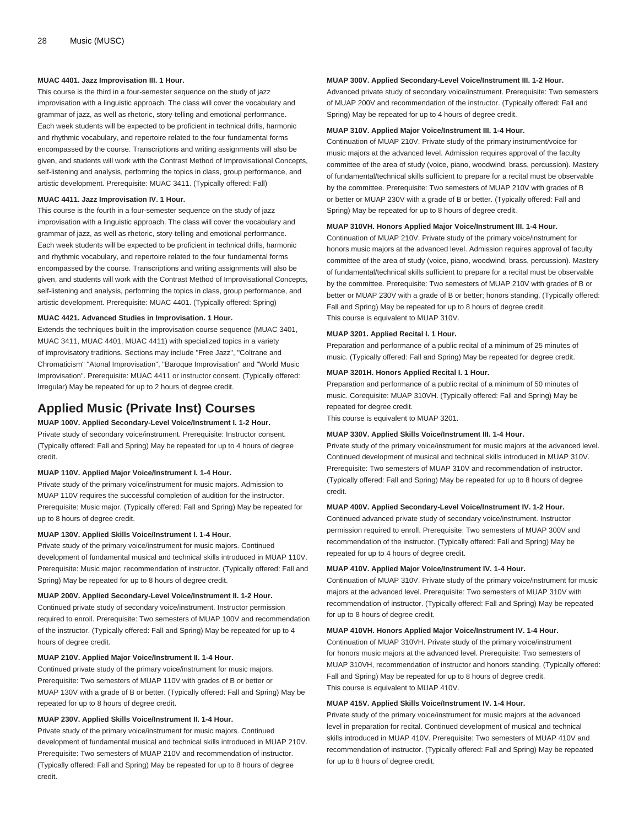#### **MUAC 4401. Jazz Improvisation III. 1 Hour.**

This course is the third in a four-semester sequence on the study of jazz improvisation with a linguistic approach. The class will cover the vocabulary and grammar of jazz, as well as rhetoric, story-telling and emotional performance. Each week students will be expected to be proficient in technical drills, harmonic and rhythmic vocabulary, and repertoire related to the four fundamental forms encompassed by the course. Transcriptions and writing assignments will also be given, and students will work with the Contrast Method of Improvisational Concepts, self-listening and analysis, performing the topics in class, group performance, and artistic development. Prerequisite: [MUAC 3411](/search/?P=MUAC%203411). (Typically offered: Fall)

#### **MUAC 4411. Jazz Improvisation IV. 1 Hour.**

This course is the fourth in a four-semester sequence on the study of jazz improvisation with a linguistic approach. The class will cover the vocabulary and grammar of jazz, as well as rhetoric, story-telling and emotional performance. Each week students will be expected to be proficient in technical drills, harmonic and rhythmic vocabulary, and repertoire related to the four fundamental forms encompassed by the course. Transcriptions and writing assignments will also be given, and students will work with the Contrast Method of Improvisational Concepts, self-listening and analysis, performing the topics in class, group performance, and artistic development. Prerequisite: [MUAC 4401](/search/?P=MUAC%204401). (Typically offered: Spring)

#### **MUAC 4421. Advanced Studies in Improvisation. 1 Hour.**

Extends the techniques built in the improvisation course sequence [\(MUAC 3401](/search/?P=MUAC%203401), [MUAC 3411](/search/?P=MUAC%203411), [MUAC 4401](/search/?P=MUAC%204401), [MUAC 4411](/search/?P=MUAC%204411)) with specialized topics in a variety of improvisatory traditions. Sections may include "Free Jazz", "Coltrane and Chromaticism" "Atonal Improvisation", "Baroque Improvisation" and "World Music Improvisation". Prerequisite: [MUAC 4411](/search/?P=MUAC%204411) or instructor consent. (Typically offered: Irregular) May be repeated for up to 2 hours of degree credit.

### **Applied Music (Private Inst) Courses**

### **MUAP 100V. Applied Secondary-Level Voice/Instrument I. 1-2 Hour.**

Private study of secondary voice/instrument. Prerequisite: Instructor consent. (Typically offered: Fall and Spring) May be repeated for up to 4 hours of degree credit.

#### **MUAP 110V. Applied Major Voice/Instrument I. 1-4 Hour.**

Private study of the primary voice/instrument for music majors. Admission to [MUAP 110V](/search/?P=MUAP%20110V) requires the successful completion of audition for the instructor. Prerequisite: Music major. (Typically offered: Fall and Spring) May be repeated for up to 8 hours of degree credit.

#### **MUAP 130V. Applied Skills Voice/Instrument I. 1-4 Hour.**

Private study of the primary voice/instrument for music majors. Continued development of fundamental musical and technical skills introduced in [MUAP 110V.](/search/?P=MUAP%20110V) Prerequisite: Music major; recommendation of instructor. (Typically offered: Fall and Spring) May be repeated for up to 8 hours of degree credit.

#### **MUAP 200V. Applied Secondary-Level Voice/Instrument II. 1-2 Hour.**

Continued private study of secondary voice/instrument. Instructor permission required to enroll. Prerequisite: Two semesters of [MUAP 100V](/search/?P=MUAP%20100V) and recommendation of the instructor. (Typically offered: Fall and Spring) May be repeated for up to 4 hours of degree credit.

#### **MUAP 210V. Applied Major Voice/Instrument II. 1-4 Hour.**

Continued private study of the primary voice/instrument for music majors. Prerequisite: Two semesters of [MUAP 110V](/search/?P=MUAP%20110V) with grades of B or better or [MUAP 130V](/search/?P=MUAP%20130V) with a grade of B or better. (Typically offered: Fall and Spring) May be repeated for up to 8 hours of degree credit.

#### **MUAP 230V. Applied Skills Voice/Instrument II. 1-4 Hour.**

Private study of the primary voice/instrument for music majors. Continued development of fundamental musical and technical skills introduced in [MUAP 210V.](/search/?P=MUAP%20210V) Prerequisite: Two semesters of [MUAP 210V](/search/?P=MUAP%20210V) and recommendation of instructor. (Typically offered: Fall and Spring) May be repeated for up to 8 hours of degree credit.

#### **MUAP 300V. Applied Secondary-Level Voice/Instrument III. 1-2 Hour.**

Advanced private study of secondary voice/instrument. Prerequisite: Two semesters of [MUAP 200V](/search/?P=MUAP%20200V) and recommendation of the instructor. (Typically offered: Fall and Spring) May be repeated for up to 4 hours of degree credit.

#### **MUAP 310V. Applied Major Voice/Instrument III. 1-4 Hour.**

Continuation of [MUAP 210V.](/search/?P=MUAP%20210V) Private study of the primary instrument/voice for music majors at the advanced level. Admission requires approval of the faculty committee of the area of study (voice, piano, woodwind, brass, percussion). Mastery of fundamental/technical skills sufficient to prepare for a recital must be observable by the committee. Prerequisite: Two semesters of [MUAP 210V](/search/?P=MUAP%20210V) with grades of B or better or [MUAP 230V](/search/?P=MUAP%20230V) with a grade of B or better. (Typically offered: Fall and Spring) May be repeated for up to 8 hours of degree credit.

#### **MUAP 310VH. Honors Applied Major Voice/Instrument III. 1-4 Hour.**

Continuation of [MUAP 210V.](/search/?P=MUAP%20210V) Private study of the primary voice/instrument for honors music majors at the advanced level. Admission requires approval of faculty committee of the area of study (voice, piano, woodwind, brass, percussion). Mastery of fundamental/technical skills sufficient to prepare for a recital must be observable by the committee. Prerequisite: Two semesters of [MUAP 210V](/search/?P=MUAP%20210V) with grades of B or better or [MUAP 230V](/search/?P=MUAP%20230V) with a grade of B or better; honors standing. (Typically offered: Fall and Spring) May be repeated for up to 8 hours of degree credit. This course is equivalent to [MUAP 310V](/search/?P=MUAP%20310V).

#### **MUAP 3201. Applied Recital I. 1 Hour.**

Preparation and performance of a public recital of a minimum of 25 minutes of music. (Typically offered: Fall and Spring) May be repeated for degree credit.

#### **MUAP 3201H. Honors Applied Recital I. 1 Hour.**

Preparation and performance of a public recital of a minimum of 50 minutes of music. Corequisite: [MUAP 310VH](/search/?P=MUAP%20310VH). (Typically offered: Fall and Spring) May be repeated for degree credit.

This course is equivalent to [MUAP 3201.](/search/?P=MUAP%203201)

#### **MUAP 330V. Applied Skills Voice/Instrument III. 1-4 Hour.**

Private study of the primary voice/instrument for music majors at the advanced level. Continued development of musical and technical skills introduced in [MUAP 310V](/search/?P=MUAP%20310V). Prerequisite: Two semesters of [MUAP 310V](/search/?P=MUAP%20310V) and recommendation of instructor. (Typically offered: Fall and Spring) May be repeated for up to 8 hours of degree credit.

#### **MUAP 400V. Applied Secondary-Level Voice/Instrument IV. 1-2 Hour.**

Continued advanced private study of secondary voice/instrument. Instructor permission required to enroll. Prerequisite: Two semesters of [MUAP 300V](/search/?P=MUAP%20300V) and recommendation of the instructor. (Typically offered: Fall and Spring) May be repeated for up to 4 hours of degree credit.

#### **MUAP 410V. Applied Major Voice/Instrument IV. 1-4 Hour.**

Continuation of [MUAP 310V.](/search/?P=MUAP%20310V) Private study of the primary voice/instrument for music majors at the advanced level. Prerequisite: Two semesters of [MUAP 310V](/search/?P=MUAP%20310V) with recommendation of instructor. (Typically offered: Fall and Spring) May be repeated for up to 8 hours of degree credit.

#### **MUAP 410VH. Honors Applied Major Voice/Instrument IV. 1-4 Hour.**

Continuation of [MUAP 310VH.](/search/?P=MUAP%20310VH) Private study of the primary voice/instrument for honors music majors at the advanced level. Prerequisite: Two semesters of [MUAP 310VH,](/search/?P=MUAP%20310VH) recommendation of instructor and honors standing. (Typically offered: Fall and Spring) May be repeated for up to 8 hours of degree credit. This course is equivalent to [MUAP 410V](/search/?P=MUAP%20410V).

#### **MUAP 415V. Applied Skills Voice/Instrument IV. 1-4 Hour.**

Private study of the primary voice/instrument for music majors at the advanced level in preparation for recital. Continued development of musical and technical skills introduced in [MUAP 410V.](/search/?P=MUAP%20410V) Prerequisite: Two semesters of [MUAP 410V](/search/?P=MUAP%20410V) and recommendation of instructor. (Typically offered: Fall and Spring) May be repeated for up to 8 hours of degree credit.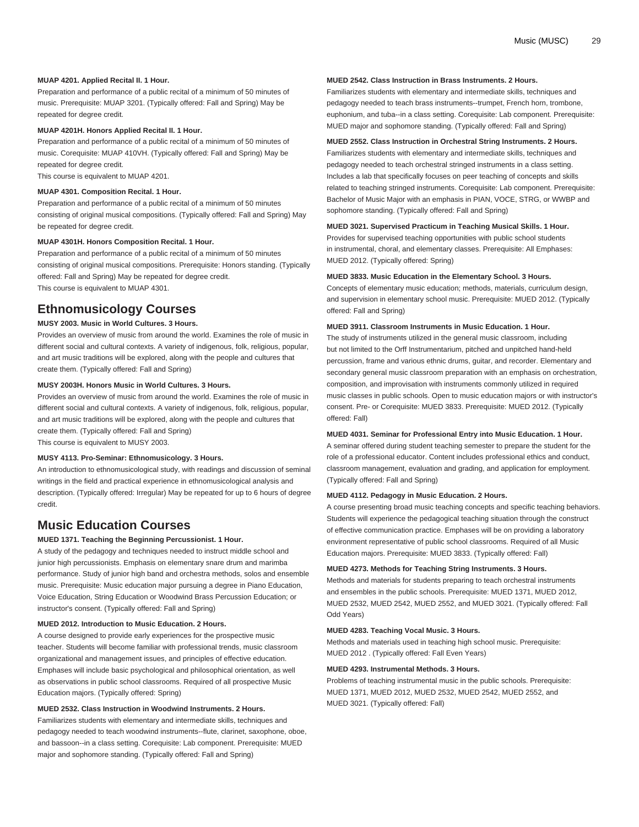#### **MUAP 4201. Applied Recital II. 1 Hour.**

Preparation and performance of a public recital of a minimum of 50 minutes of music. Prerequisite: [MUAP 3201](/search/?P=MUAP%203201). (Typically offered: Fall and Spring) May be repeated for degree credit.

#### **MUAP 4201H. Honors Applied Recital II. 1 Hour.**

Preparation and performance of a public recital of a minimum of 50 minutes of music. Corequisite: [MUAP 410VH](/search/?P=MUAP%20410VH). (Typically offered: Fall and Spring) May be repeated for degree credit.

This course is equivalent to [MUAP 4201](/search/?P=MUAP%204201).

#### **MUAP 4301. Composition Recital. 1 Hour.**

Preparation and performance of a public recital of a minimum of 50 minutes consisting of original musical compositions. (Typically offered: Fall and Spring) May be repeated for degree credit.

#### **MUAP 4301H. Honors Composition Recital. 1 Hour.**

Preparation and performance of a public recital of a minimum of 50 minutes consisting of original musical compositions. Prerequisite: Honors standing. (Typically offered: Fall and Spring) May be repeated for degree credit. This course is equivalent to [MUAP 4301](/search/?P=MUAP%204301).

### **Ethnomusicology Courses**

#### **MUSY 2003. Music in World Cultures. 3 Hours.**

Provides an overview of music from around the world. Examines the role of music in different social and cultural contexts. A variety of indigenous, folk, religious, popular, and art music traditions will be explored, along with the people and cultures that create them. (Typically offered: Fall and Spring)

### **MUSY 2003H. Honors Music in World Cultures. 3 Hours.**

Provides an overview of music from around the world. Examines the role of music in different social and cultural contexts. A variety of indigenous, folk, religious, popular, and art music traditions will be explored, along with the people and cultures that create them. (Typically offered: Fall and Spring) This course is equivalent to [MUSY 2003](/search/?P=MUSY%202003).

#### **MUSY 4113. Pro-Seminar: Ethnomusicology. 3 Hours.**

An introduction to ethnomusicological study, with readings and discussion of seminal writings in the field and practical experience in ethnomusicological analysis and description. (Typically offered: Irregular) May be repeated for up to 6 hours of degree credit.

### **Music Education Courses**

### **MUED 1371. Teaching the Beginning Percussionist. 1 Hour.**

A study of the pedagogy and techniques needed to instruct middle school and junior high percussionists. Emphasis on elementary snare drum and marimba performance. Study of junior high band and orchestra methods, solos and ensemble music. Prerequisite: Music education major pursuing a degree in Piano Education, Voice Education, String Education or Woodwind Brass Percussion Education; or instructor's consent. (Typically offered: Fall and Spring)

#### **MUED 2012. Introduction to Music Education. 2 Hours.**

A course designed to provide early experiences for the prospective music teacher. Students will become familiar with professional trends, music classroom organizational and management issues, and principles of effective education. Emphases will include basic psychological and philosophical orientation, as well as observations in public school classrooms. Required of all prospective Music Education majors. (Typically offered: Spring)

#### **MUED 2532. Class Instruction in Woodwind Instruments. 2 Hours.**

Familiarizes students with elementary and intermediate skills, techniques and pedagogy needed to teach woodwind instruments--flute, clarinet, saxophone, oboe, and bassoon--in a class setting. Corequisite: Lab component. Prerequisite: MUED major and sophomore standing. (Typically offered: Fall and Spring)

#### **MUED 2542. Class Instruction in Brass Instruments. 2 Hours.**

Familiarizes students with elementary and intermediate skills, techniques and pedagogy needed to teach brass instruments--trumpet, French horn, trombone, euphonium, and tuba--in a class setting. Corequisite: Lab component. Prerequisite: MUED major and sophomore standing. (Typically offered: Fall and Spring)

### **MUED 2552. Class Instruction in Orchestral String Instruments. 2 Hours.**

Familiarizes students with elementary and intermediate skills, techniques and pedagogy needed to teach orchestral stringed instruments in a class setting. Includes a lab that specifically focuses on peer teaching of concepts and skills related to teaching stringed instruments. Corequisite: Lab component. Prerequisite: Bachelor of Music Major with an emphasis in PIAN, VOCE, STRG, or WWBP and sophomore standing. (Typically offered: Fall and Spring)

#### **MUED 3021. Supervised Practicum in Teaching Musical Skills. 1 Hour.**

Provides for supervised teaching opportunities with public school students in instrumental, choral, and elementary classes. Prerequisite: All Emphases: [MUED 2012](/search/?P=MUED%202012). (Typically offered: Spring)

#### **MUED 3833. Music Education in the Elementary School. 3 Hours.**

Concepts of elementary music education; methods, materials, curriculum design, and supervision in elementary school music. Prerequisite: [MUED 2012.](/search/?P=MUED%202012) (Typically offered: Fall and Spring)

#### **MUED 3911. Classroom Instruments in Music Education. 1 Hour.**

The study of instruments utilized in the general music classroom, including but not limited to the Orff Instrumentarium, pitched and unpitched hand-held percussion, frame and various ethnic drums, guitar, and recorder. Elementary and secondary general music classroom preparation with an emphasis on orchestration, composition, and improvisation with instruments commonly utilized in required music classes in public schools. Open to music education majors or with instructor's consent. Pre- or Corequisite: [MUED 3833](/search/?P=MUED%203833). Prerequisite: [MUED 2012.](/search/?P=MUED%202012) (Typically offered: Fall)

#### **MUED 4031. Seminar for Professional Entry into Music Education. 1 Hour.**

A seminar offered during student teaching semester to prepare the student for the role of a professional educator. Content includes professional ethics and conduct, classroom management, evaluation and grading, and application for employment. (Typically offered: Fall and Spring)

#### **MUED 4112. Pedagogy in Music Education. 2 Hours.**

A course presenting broad music teaching concepts and specific teaching behaviors. Students will experience the pedagogical teaching situation through the construct of effective communication practice. Emphases will be on providing a laboratory environment representative of public school classrooms. Required of all Music Education majors. Prerequisite: [MUED 3833.](/search/?P=MUED%203833) (Typically offered: Fall)

#### **MUED 4273. Methods for Teaching String Instruments. 3 Hours.**

Methods and materials for students preparing to teach orchestral instruments and ensembles in the public schools. Prerequisite: [MUED 1371,](/search/?P=MUED%201371) [MUED 2012,](/search/?P=MUED%202012) [MUED 2532](/search/?P=MUED%202532), [MUED 2542](/search/?P=MUED%202542), [MUED 2552](/search/?P=MUED%202552), and [MUED 3021.](/search/?P=MUED%203021) (Typically offered: Fall Odd Years)

#### **MUED 4283. Teaching Vocal Music. 3 Hours.**

Methods and materials used in teaching high school music. Prerequisite: [MUED 2012](/search/?P=MUED%202012) . (Typically offered: Fall Even Years)

#### **MUED 4293. Instrumental Methods. 3 Hours.**

Problems of teaching instrumental music in the public schools. Prerequisite: [MUED 1371](/search/?P=MUED%201371), [MUED 2012](/search/?P=MUED%202012), [MUED 2532](/search/?P=MUED%202532), [MUED 2542](/search/?P=MUED%202542), [MUED 2552](/search/?P=MUED%202552), and [MUED 3021](/search/?P=MUED%203021). (Typically offered: Fall)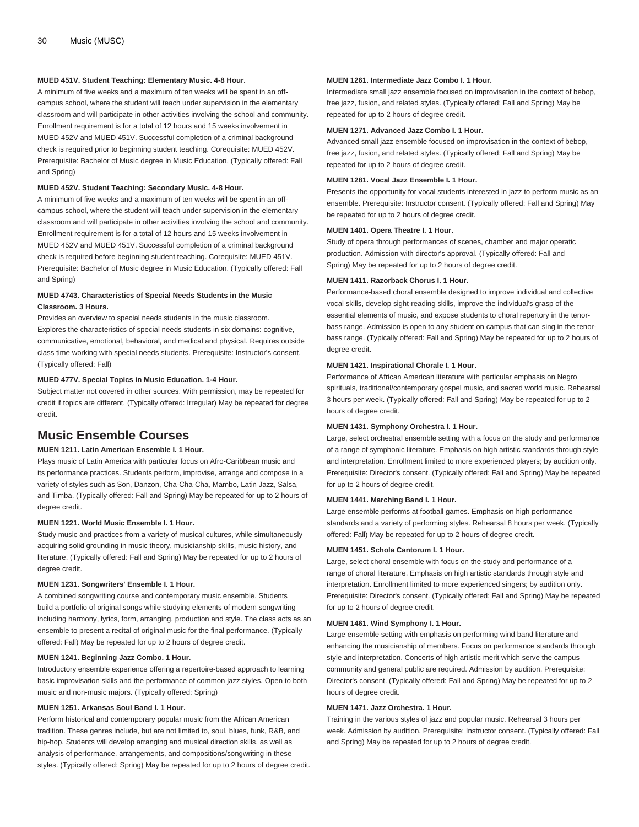#### **MUED 451V. Student Teaching: Elementary Music. 4-8 Hour.**

A minimum of five weeks and a maximum of ten weeks will be spent in an offcampus school, where the student will teach under supervision in the elementary classroom and will participate in other activities involving the school and community. Enrollment requirement is for a total of 12 hours and 15 weeks involvement in [MUED 452V](/search/?P=MUED%20452V) and [MUED 451V](/search/?P=MUED%20451V). Successful completion of a criminal background check is required prior to beginning student teaching. Corequisite: [MUED 452V](/search/?P=MUED%20452V). Prerequisite: Bachelor of Music degree in Music Education. (Typically offered: Fall and Spring)

#### **MUED 452V. Student Teaching: Secondary Music. 4-8 Hour.**

A minimum of five weeks and a maximum of ten weeks will be spent in an offcampus school, where the student will teach under supervision in the elementary classroom and will participate in other activities involving the school and community. Enrollment requirement is for a total of 12 hours and 15 weeks involvement in [MUED 452V](/search/?P=MUED%20452V) and [MUED 451V](/search/?P=MUED%20451V). Successful completion of a criminal background check is required before beginning student teaching. Corequisite: [MUED 451V](/search/?P=MUED%20451V). Prerequisite: Bachelor of Music degree in Music Education. (Typically offered: Fall and Spring)

#### **MUED 4743. Characteristics of Special Needs Students in the Music Classroom. 3 Hours.**

Provides an overview to special needs students in the music classroom. Explores the characteristics of special needs students in six domains: cognitive, communicative, emotional, behavioral, and medical and physical. Requires outside class time working with special needs students. Prerequisite: Instructor's consent. (Typically offered: Fall)

#### **MUED 477V. Special Topics in Music Education. 1-4 Hour.**

Subject matter not covered in other sources. With permission, may be repeated for credit if topics are different. (Typically offered: Irregular) May be repeated for degree credit.

### **Music Ensemble Courses**

#### **MUEN 1211. Latin American Ensemble I. 1 Hour.**

Plays music of Latin America with particular focus on Afro-Caribbean music and its performance practices. Students perform, improvise, arrange and compose in a variety of styles such as Son, Danzon, Cha-Cha-Cha, Mambo, Latin Jazz, Salsa, and Timba. (Typically offered: Fall and Spring) May be repeated for up to 2 hours of degree credit.

#### **MUEN 1221. World Music Ensemble I. 1 Hour.**

Study music and practices from a variety of musical cultures, while simultaneously acquiring solid grounding in music theory, musicianship skills, music history, and literature. (Typically offered: Fall and Spring) May be repeated for up to 2 hours of degree credit.

#### **MUEN 1231. Songwriters' Ensemble I. 1 Hour.**

A combined songwriting course and contemporary music ensemble. Students build a portfolio of original songs while studying elements of modern songwriting including harmony, lyrics, form, arranging, production and style. The class acts as an ensemble to present a recital of original music for the final performance. (Typically offered: Fall) May be repeated for up to 2 hours of degree credit.

#### **MUEN 1241. Beginning Jazz Combo. 1 Hour.**

Introductory ensemble experience offering a repertoire-based approach to learning basic improvisation skills and the performance of common jazz styles. Open to both music and non-music majors. (Typically offered: Spring)

#### **MUEN 1251. Arkansas Soul Band I. 1 Hour.**

Perform historical and contemporary popular music from the African American tradition. These genres include, but are not limited to, soul, blues, funk, R&B, and hip-hop. Students will develop arranging and musical direction skills, as well as analysis of performance, arrangements, and compositions/songwriting in these styles. (Typically offered: Spring) May be repeated for up to 2 hours of degree credit.

#### **MUEN 1261. Intermediate Jazz Combo I. 1 Hour.**

Intermediate small jazz ensemble focused on improvisation in the context of bebop, free jazz, fusion, and related styles. (Typically offered: Fall and Spring) May be repeated for up to 2 hours of degree credit.

#### **MUEN 1271. Advanced Jazz Combo I. 1 Hour.**

Advanced small jazz ensemble focused on improvisation in the context of bebop, free jazz, fusion, and related styles. (Typically offered: Fall and Spring) May be repeated for up to 2 hours of degree credit.

#### **MUEN 1281. Vocal Jazz Ensemble I. 1 Hour.**

Presents the opportunity for vocal students interested in jazz to perform music as an ensemble. Prerequisite: Instructor consent. (Typically offered: Fall and Spring) May be repeated for up to 2 hours of degree credit.

#### **MUEN 1401. Opera Theatre I. 1 Hour.**

Study of opera through performances of scenes, chamber and major operatic production. Admission with director's approval. (Typically offered: Fall and Spring) May be repeated for up to 2 hours of degree credit.

#### **MUEN 1411. Razorback Chorus I. 1 Hour.**

Performance-based choral ensemble designed to improve individual and collective vocal skills, develop sight-reading skills, improve the individual's grasp of the essential elements of music, and expose students to choral repertory in the tenorbass range. Admission is open to any student on campus that can sing in the tenorbass range. (Typically offered: Fall and Spring) May be repeated for up to 2 hours of degree credit.

#### **MUEN 1421. Inspirational Chorale I. 1 Hour.**

Performance of African American literature with particular emphasis on Negro spirituals, traditional/contemporary gospel music, and sacred world music. Rehearsal 3 hours per week. (Typically offered: Fall and Spring) May be repeated for up to 2 hours of degree credit.

#### **MUEN 1431. Symphony Orchestra I. 1 Hour.**

Large, select orchestral ensemble setting with a focus on the study and performance of a range of symphonic literature. Emphasis on high artistic standards through style and interpretation. Enrollment limited to more experienced players; by audition only. Prerequisite: Director's consent. (Typically offered: Fall and Spring) May be repeated for up to 2 hours of degree credit.

#### **MUEN 1441. Marching Band I. 1 Hour.**

Large ensemble performs at football games. Emphasis on high performance standards and a variety of performing styles. Rehearsal 8 hours per week. (Typically offered: Fall) May be repeated for up to 2 hours of degree credit.

#### **MUEN 1451. Schola Cantorum I. 1 Hour.**

Large, select choral ensemble with focus on the study and performance of a range of choral literature. Emphasis on high artistic standards through style and interpretation. Enrollment limited to more experienced singers; by audition only. Prerequisite: Director's consent. (Typically offered: Fall and Spring) May be repeated for up to 2 hours of degree credit.

#### **MUEN 1461. Wind Symphony I. 1 Hour.**

Large ensemble setting with emphasis on performing wind band literature and enhancing the musicianship of members. Focus on performance standards through style and interpretation. Concerts of high artistic merit which serve the campus community and general public are required. Admission by audition. Prerequisite: Director's consent. (Typically offered: Fall and Spring) May be repeated for up to 2 hours of degree credit.

#### **MUEN 1471. Jazz Orchestra. 1 Hour.**

Training in the various styles of jazz and popular music. Rehearsal 3 hours per week. Admission by audition. Prerequisite: Instructor consent. (Typically offered: Fall and Spring) May be repeated for up to 2 hours of degree credit.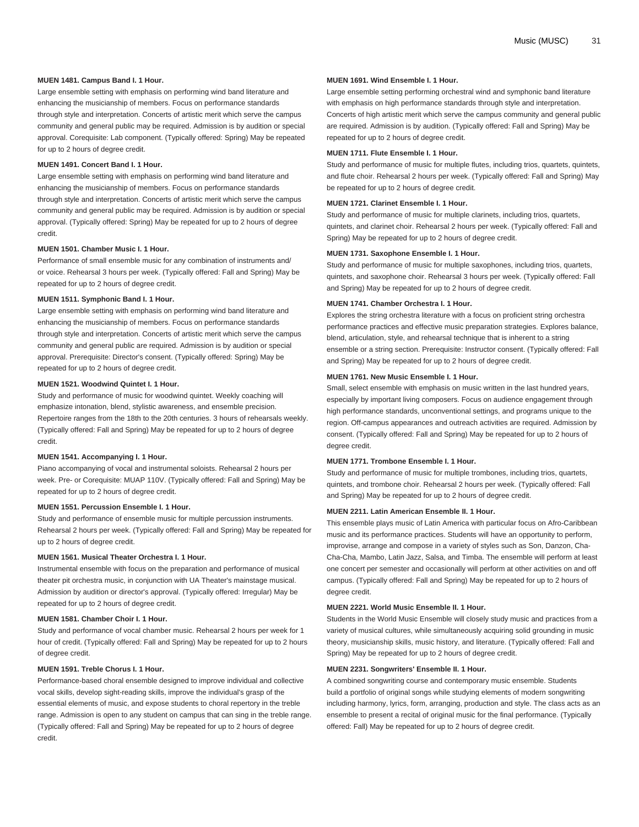#### **MUEN 1481. Campus Band I. 1 Hour.**

Large ensemble setting with emphasis on performing wind band literature and enhancing the musicianship of members. Focus on performance standards through style and interpretation. Concerts of artistic merit which serve the campus community and general public may be required. Admission is by audition or special approval. Corequisite: Lab component. (Typically offered: Spring) May be repeated for up to 2 hours of degree credit.

#### **MUEN 1491. Concert Band I. 1 Hour.**

Large ensemble setting with emphasis on performing wind band literature and enhancing the musicianship of members. Focus on performance standards through style and interpretation. Concerts of artistic merit which serve the campus community and general public may be required. Admission is by audition or special approval. (Typically offered: Spring) May be repeated for up to 2 hours of degree credit.

#### **MUEN 1501. Chamber Music I. 1 Hour.**

Performance of small ensemble music for any combination of instruments and/ or voice. Rehearsal 3 hours per week. (Typically offered: Fall and Spring) May be repeated for up to 2 hours of degree credit.

#### **MUEN 1511. Symphonic Band I. 1 Hour.**

Large ensemble setting with emphasis on performing wind band literature and enhancing the musicianship of members. Focus on performance standards through style and interpretation. Concerts of artistic merit which serve the campus community and general public are required. Admission is by audition or special approval. Prerequisite: Director's consent. (Typically offered: Spring) May be repeated for up to 2 hours of degree credit.

#### **MUEN 1521. Woodwind Quintet I. 1 Hour.**

Study and performance of music for woodwind quintet. Weekly coaching will emphasize intonation, blend, stylistic awareness, and ensemble precision. Repertoire ranges from the 18th to the 20th centuries. 3 hours of rehearsals weekly. (Typically offered: Fall and Spring) May be repeated for up to 2 hours of degree credit.

#### **MUEN 1541. Accompanying I. 1 Hour.**

Piano accompanying of vocal and instrumental soloists. Rehearsal 2 hours per week. Pre- or Corequisite: [MUAP 110V](/search/?P=MUAP%20110V). (Typically offered: Fall and Spring) May be repeated for up to 2 hours of degree credit.

#### **MUEN 1551. Percussion Ensemble I. 1 Hour.**

Study and performance of ensemble music for multiple percussion instruments. Rehearsal 2 hours per week. (Typically offered: Fall and Spring) May be repeated for up to 2 hours of degree credit.

#### **MUEN 1561. Musical Theater Orchestra I. 1 Hour.**

Instrumental ensemble with focus on the preparation and performance of musical theater pit orchestra music, in conjunction with UA Theater's mainstage musical. Admission by audition or director's approval. (Typically offered: Irregular) May be repeated for up to 2 hours of degree credit.

#### **MUEN 1581. Chamber Choir I. 1 Hour.**

Study and performance of vocal chamber music. Rehearsal 2 hours per week for 1 hour of credit. (Typically offered: Fall and Spring) May be repeated for up to 2 hours of degree credit.

#### **MUEN 1591. Treble Chorus I. 1 Hour.**

Performance-based choral ensemble designed to improve individual and collective vocal skills, develop sight-reading skills, improve the individual's grasp of the essential elements of music, and expose students to choral repertory in the treble range. Admission is open to any student on campus that can sing in the treble range. (Typically offered: Fall and Spring) May be repeated for up to 2 hours of degree credit.

#### **MUEN 1691. Wind Ensemble I. 1 Hour.**

Large ensemble setting performing orchestral wind and symphonic band literature with emphasis on high performance standards through style and interpretation. Concerts of high artistic merit which serve the campus community and general public are required. Admission is by audition. (Typically offered: Fall and Spring) May be repeated for up to 2 hours of degree credit.

#### **MUEN 1711. Flute Ensemble I. 1 Hour.**

Study and performance of music for multiple flutes, including trios, quartets, quintets, and flute choir. Rehearsal 2 hours per week. (Typically offered: Fall and Spring) May be repeated for up to 2 hours of degree credit.

#### **MUEN 1721. Clarinet Ensemble I. 1 Hour.**

Study and performance of music for multiple clarinets, including trios, quartets, quintets, and clarinet choir. Rehearsal 2 hours per week. (Typically offered: Fall and Spring) May be repeated for up to 2 hours of degree credit.

#### **MUEN 1731. Saxophone Ensemble I. 1 Hour.**

Study and performance of music for multiple saxophones, including trios, quartets, quintets, and saxophone choir. Rehearsal 3 hours per week. (Typically offered: Fall and Spring) May be repeated for up to 2 hours of degree credit.

#### **MUEN 1741. Chamber Orchestra I. 1 Hour.**

Explores the string orchestra literature with a focus on proficient string orchestra performance practices and effective music preparation strategies. Explores balance, blend, articulation, style, and rehearsal technique that is inherent to a string ensemble or a string section. Prerequisite: Instructor consent. (Typically offered: Fall and Spring) May be repeated for up to 2 hours of degree credit.

#### **MUEN 1761. New Music Ensemble I. 1 Hour.**

Small, select ensemble with emphasis on music written in the last hundred years, especially by important living composers. Focus on audience engagement through high performance standards, unconventional settings, and programs unique to the region. Off-campus appearances and outreach activities are required. Admission by consent. (Typically offered: Fall and Spring) May be repeated for up to 2 hours of degree credit.

#### **MUEN 1771. Trombone Ensemble I. 1 Hour.**

Study and performance of music for multiple trombones, including trios, quartets, quintets, and trombone choir. Rehearsal 2 hours per week. (Typically offered: Fall and Spring) May be repeated for up to 2 hours of degree credit.

#### **MUEN 2211. Latin American Ensemble II. 1 Hour.**

This ensemble plays music of Latin America with particular focus on Afro-Caribbean music and its performance practices. Students will have an opportunity to perform, improvise, arrange and compose in a variety of styles such as Son, Danzon, Cha-Cha-Cha, Mambo, Latin Jazz, Salsa, and Timba. The ensemble will perform at least one concert per semester and occasionally will perform at other activities on and off campus. (Typically offered: Fall and Spring) May be repeated for up to 2 hours of degree credit.

#### **MUEN 2221. World Music Ensemble II. 1 Hour.**

Students in the World Music Ensemble will closely study music and practices from a variety of musical cultures, while simultaneously acquiring solid grounding in music theory, musicianship skills, music history, and literature. (Typically offered: Fall and Spring) May be repeated for up to 2 hours of degree credit.

#### **MUEN 2231. Songwriters' Ensemble II. 1 Hour.**

A combined songwriting course and contemporary music ensemble. Students build a portfolio of original songs while studying elements of modern songwriting including harmony, lyrics, form, arranging, production and style. The class acts as an ensemble to present a recital of original music for the final performance. (Typically offered: Fall) May be repeated for up to 2 hours of degree credit.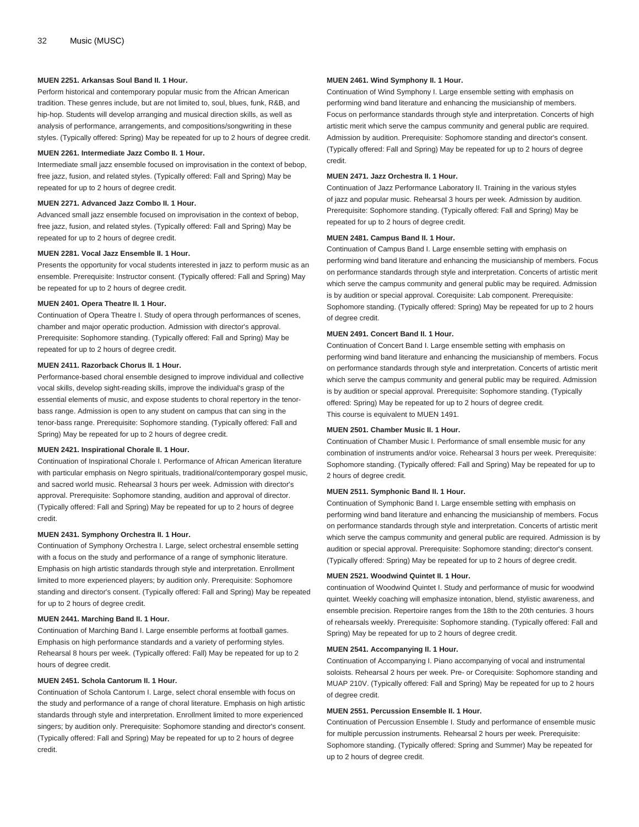#### **MUEN 2251. Arkansas Soul Band II. 1 Hour.**

Perform historical and contemporary popular music from the African American tradition. These genres include, but are not limited to, soul, blues, funk, R&B, and hip-hop. Students will develop arranging and musical direction skills, as well as analysis of performance, arrangements, and compositions/songwriting in these styles. (Typically offered: Spring) May be repeated for up to 2 hours of degree credit.

#### **MUEN 2261. Intermediate Jazz Combo II. 1 Hour.**

Intermediate small jazz ensemble focused on improvisation in the context of bebop, free jazz, fusion, and related styles. (Typically offered: Fall and Spring) May be repeated for up to 2 hours of degree credit.

#### **MUEN 2271. Advanced Jazz Combo II. 1 Hour.**

Advanced small jazz ensemble focused on improvisation in the context of bebop, free jazz, fusion, and related styles. (Typically offered: Fall and Spring) May be repeated for up to 2 hours of degree credit.

#### **MUEN 2281. Vocal Jazz Ensemble II. 1 Hour.**

Presents the opportunity for vocal students interested in jazz to perform music as an ensemble. Prerequisite: Instructor consent. (Typically offered: Fall and Spring) May be repeated for up to 2 hours of degree credit.

#### **MUEN 2401. Opera Theatre II. 1 Hour.**

Continuation of Opera Theatre I. Study of opera through performances of scenes, chamber and major operatic production. Admission with director's approval. Prerequisite: Sophomore standing. (Typically offered: Fall and Spring) May be repeated for up to 2 hours of degree credit.

#### **MUEN 2411. Razorback Chorus II. 1 Hour.**

Performance-based choral ensemble designed to improve individual and collective vocal skills, develop sight-reading skills, improve the individual's grasp of the essential elements of music, and expose students to choral repertory in the tenorbass range. Admission is open to any student on campus that can sing in the tenor-bass range. Prerequisite: Sophomore standing. (Typically offered: Fall and Spring) May be repeated for up to 2 hours of degree credit.

#### **MUEN 2421. Inspirational Chorale II. 1 Hour.**

Continuation of Inspirational Chorale I. Performance of African American literature with particular emphasis on Negro spirituals, traditional/contemporary gospel music, and sacred world music. Rehearsal 3 hours per week. Admission with director's approval. Prerequisite: Sophomore standing, audition and approval of director. (Typically offered: Fall and Spring) May be repeated for up to 2 hours of degree credit.

#### **MUEN 2431. Symphony Orchestra II. 1 Hour.**

Continuation of Symphony Orchestra I. Large, select orchestral ensemble setting with a focus on the study and performance of a range of symphonic literature. Emphasis on high artistic standards through style and interpretation. Enrollment limited to more experienced players; by audition only. Prerequisite: Sophomore standing and director's consent. (Typically offered: Fall and Spring) May be repeated for up to 2 hours of degree credit.

#### **MUEN 2441. Marching Band II. 1 Hour.**

Continuation of Marching Band I. Large ensemble performs at football games. Emphasis on high performance standards and a variety of performing styles. Rehearsal 8 hours per week. (Typically offered: Fall) May be repeated for up to 2 hours of degree credit.

#### **MUEN 2451. Schola Cantorum II. 1 Hour.**

Continuation of Schola Cantorum I. Large, select choral ensemble with focus on the study and performance of a range of choral literature. Emphasis on high artistic standards through style and interpretation. Enrollment limited to more experienced singers; by audition only. Prerequisite: Sophomore standing and director's consent. (Typically offered: Fall and Spring) May be repeated for up to 2 hours of degree credit.

#### **MUEN 2461. Wind Symphony II. 1 Hour.**

Continuation of Wind Symphony I. Large ensemble setting with emphasis on performing wind band literature and enhancing the musicianship of members. Focus on performance standards through style and interpretation. Concerts of high artistic merit which serve the campus community and general public are required. Admission by audition. Prerequisite: Sophomore standing and director's consent. (Typically offered: Fall and Spring) May be repeated for up to 2 hours of degree credit.

#### **MUEN 2471. Jazz Orchestra II. 1 Hour.**

Continuation of Jazz Performance Laboratory II. Training in the various styles of jazz and popular music. Rehearsal 3 hours per week. Admission by audition. Prerequisite: Sophomore standing. (Typically offered: Fall and Spring) May be repeated for up to 2 hours of degree credit.

#### **MUEN 2481. Campus Band II. 1 Hour.**

Continuation of Campus Band I. Large ensemble setting with emphasis on performing wind band literature and enhancing the musicianship of members. Focus on performance standards through style and interpretation. Concerts of artistic merit which serve the campus community and general public may be required. Admission is by audition or special approval. Corequisite: Lab component. Prerequisite: Sophomore standing. (Typically offered: Spring) May be repeated for up to 2 hours of degree credit.

#### **MUEN 2491. Concert Band II. 1 Hour.**

Continuation of Concert Band I. Large ensemble setting with emphasis on performing wind band literature and enhancing the musicianship of members. Focus on performance standards through style and interpretation. Concerts of artistic merit which serve the campus community and general public may be required. Admission is by audition or special approval. Prerequisite: Sophomore standing. (Typically offered: Spring) May be repeated for up to 2 hours of degree credit. This course is equivalent to [MUEN 1491](/search/?P=MUEN%201491).

#### **MUEN 2501. Chamber Music II. 1 Hour.**

Continuation of Chamber Music I. Performance of small ensemble music for any combination of instruments and/or voice. Rehearsal 3 hours per week. Prerequisite: Sophomore standing. (Typically offered: Fall and Spring) May be repeated for up to 2 hours of degree credit.

#### **MUEN 2511. Symphonic Band II. 1 Hour.**

Continuation of Symphonic Band I. Large ensemble setting with emphasis on performing wind band literature and enhancing the musicianship of members. Focus on performance standards through style and interpretation. Concerts of artistic merit which serve the campus community and general public are required. Admission is by audition or special approval. Prerequisite: Sophomore standing; director's consent. (Typically offered: Spring) May be repeated for up to 2 hours of degree credit.

#### **MUEN 2521. Woodwind Quintet II. 1 Hour.**

continuation of Woodwind Quintet I. Study and performance of music for woodwind quintet. Weekly coaching will emphasize intonation, blend, stylistic awareness, and ensemble precision. Repertoire ranges from the 18th to the 20th centuries. 3 hours of rehearsals weekly. Prerequisite: Sophomore standing. (Typically offered: Fall and Spring) May be repeated for up to 2 hours of degree credit.

#### **MUEN 2541. Accompanying II. 1 Hour.**

Continuation of Accompanying I. Piano accompanying of vocal and instrumental soloists. Rehearsal 2 hours per week. Pre- or Corequisite: Sophomore standing and [MUAP 210V.](/search/?P=MUAP%20210V) (Typically offered: Fall and Spring) May be repeated for up to 2 hours of degree credit.

#### **MUEN 2551. Percussion Ensemble II. 1 Hour.**

Continuation of Percussion Ensemble I. Study and performance of ensemble music for multiple percussion instruments. Rehearsal 2 hours per week. Prerequisite: Sophomore standing. (Typically offered: Spring and Summer) May be repeated for up to 2 hours of degree credit.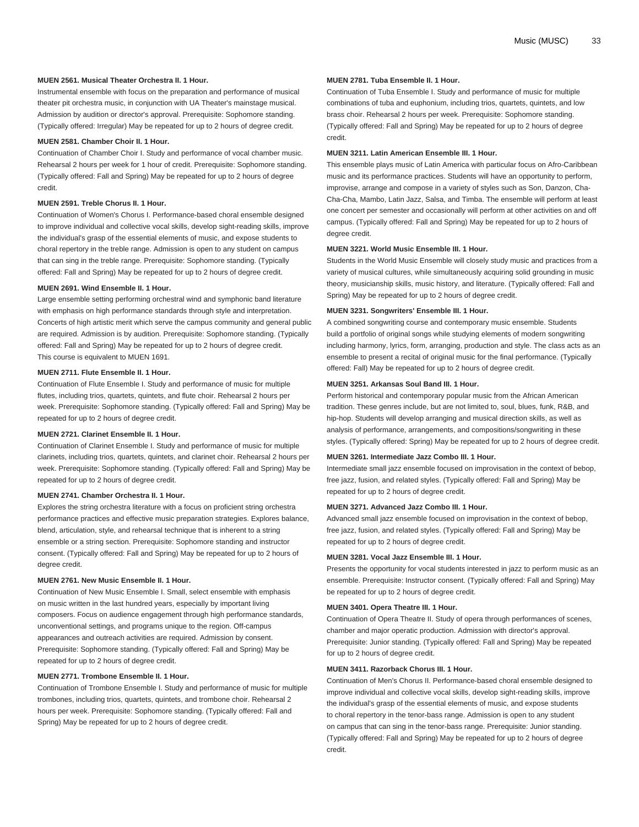#### **MUEN 2561. Musical Theater Orchestra II. 1 Hour.**

Instrumental ensemble with focus on the preparation and performance of musical theater pit orchestra music, in conjunction with UA Theater's mainstage musical. Admission by audition or director's approval. Prerequisite: Sophomore standing. (Typically offered: Irregular) May be repeated for up to 2 hours of degree credit.

#### **MUEN 2581. Chamber Choir II. 1 Hour.**

Continuation of Chamber Choir I. Study and performance of vocal chamber music. Rehearsal 2 hours per week for 1 hour of credit. Prerequisite: Sophomore standing. (Typically offered: Fall and Spring) May be repeated for up to 2 hours of degree credit.

#### **MUEN 2591. Treble Chorus II. 1 Hour.**

Continuation of Women's Chorus I. Performance-based choral ensemble designed to improve individual and collective vocal skills, develop sight-reading skills, improve the individual's grasp of the essential elements of music, and expose students to choral repertory in the treble range. Admission is open to any student on campus that can sing in the treble range. Prerequisite: Sophomore standing. (Typically offered: Fall and Spring) May be repeated for up to 2 hours of degree credit.

#### **MUEN 2691. Wind Ensemble II. 1 Hour.**

Large ensemble setting performing orchestral wind and symphonic band literature with emphasis on high performance standards through style and interpretation. Concerts of high artistic merit which serve the campus community and general public are required. Admission is by audition. Prerequisite: Sophomore standing. (Typically offered: Fall and Spring) May be repeated for up to 2 hours of degree credit. This course is equivalent to [MUEN 1691.](/search/?P=MUEN%201691)

#### **MUEN 2711. Flute Ensemble II. 1 Hour.**

Continuation of Flute Ensemble I. Study and performance of music for multiple flutes, including trios, quartets, quintets, and flute choir. Rehearsal 2 hours per week. Prerequisite: Sophomore standing. (Typically offered: Fall and Spring) May be repeated for up to 2 hours of degree credit.

#### **MUEN 2721. Clarinet Ensemble II. 1 Hour.**

Continuation of Clarinet Ensemble I. Study and performance of music for multiple clarinets, including trios, quartets, quintets, and clarinet choir. Rehearsal 2 hours per week. Prerequisite: Sophomore standing. (Typically offered: Fall and Spring) May be repeated for up to 2 hours of degree credit.

#### **MUEN 2741. Chamber Orchestra II. 1 Hour.**

Explores the string orchestra literature with a focus on proficient string orchestra performance practices and effective music preparation strategies. Explores balance, blend, articulation, style, and rehearsal technique that is inherent to a string ensemble or a string section. Prerequisite: Sophomore standing and instructor consent. (Typically offered: Fall and Spring) May be repeated for up to 2 hours of degree credit.

#### **MUEN 2761. New Music Ensemble II. 1 Hour.**

Continuation of New Music Ensemble I. Small, select ensemble with emphasis on music written in the last hundred years, especially by important living composers. Focus on audience engagement through high performance standards, unconventional settings, and programs unique to the region. Off-campus appearances and outreach activities are required. Admission by consent. Prerequisite: Sophomore standing. (Typically offered: Fall and Spring) May be repeated for up to 2 hours of degree credit.

### **MUEN 2771. Trombone Ensemble II. 1 Hour.**

Continuation of Trombone Ensemble I. Study and performance of music for multiple trombones, including trios, quartets, quintets, and trombone choir. Rehearsal 2 hours per week. Prerequisite: Sophomore standing. (Typically offered: Fall and Spring) May be repeated for up to 2 hours of degree credit.

#### **MUEN 2781. Tuba Ensemble II. 1 Hour.**

Continuation of Tuba Ensemble I. Study and performance of music for multiple combinations of tuba and euphonium, including trios, quartets, quintets, and low brass choir. Rehearsal 2 hours per week. Prerequisite: Sophomore standing. (Typically offered: Fall and Spring) May be repeated for up to 2 hours of degree credit.

#### **MUEN 3211. Latin American Ensemble III. 1 Hour.**

This ensemble plays music of Latin America with particular focus on Afro-Caribbean music and its performance practices. Students will have an opportunity to perform, improvise, arrange and compose in a variety of styles such as Son, Danzon, Cha-Cha-Cha, Mambo, Latin Jazz, Salsa, and Timba. The ensemble will perform at least one concert per semester and occasionally will perform at other activities on and off campus. (Typically offered: Fall and Spring) May be repeated for up to 2 hours of degree credit.

#### **MUEN 3221. World Music Ensemble III. 1 Hour.**

Students in the World Music Ensemble will closely study music and practices from a variety of musical cultures, while simultaneously acquiring solid grounding in music theory, musicianship skills, music history, and literature. (Typically offered: Fall and Spring) May be repeated for up to 2 hours of degree credit.

#### **MUEN 3231. Songwriters' Ensemble III. 1 Hour.**

A combined songwriting course and contemporary music ensemble. Students build a portfolio of original songs while studying elements of modern songwriting including harmony, lyrics, form, arranging, production and style. The class acts as an ensemble to present a recital of original music for the final performance. (Typically offered: Fall) May be repeated for up to 2 hours of degree credit.

#### **MUEN 3251. Arkansas Soul Band III. 1 Hour.**

Perform historical and contemporary popular music from the African American tradition. These genres include, but are not limited to, soul, blues, funk, R&B, and hip-hop. Students will develop arranging and musical direction skills, as well as analysis of performance, arrangements, and compositions/songwriting in these styles. (Typically offered: Spring) May be repeated for up to 2 hours of degree credit.

#### **MUEN 3261. Intermediate Jazz Combo III. 1 Hour.**

Intermediate small jazz ensemble focused on improvisation in the context of bebop, free jazz, fusion, and related styles. (Typically offered: Fall and Spring) May be repeated for up to 2 hours of degree credit.

#### **MUEN 3271. Advanced Jazz Combo III. 1 Hour.**

Advanced small jazz ensemble focused on improvisation in the context of bebop, free jazz, fusion, and related styles. (Typically offered: Fall and Spring) May be repeated for up to 2 hours of degree credit.

#### **MUEN 3281. Vocal Jazz Ensemble III. 1 Hour.**

Presents the opportunity for vocal students interested in jazz to perform music as an ensemble. Prerequisite: Instructor consent. (Typically offered: Fall and Spring) May be repeated for up to 2 hours of degree credit.

#### **MUEN 3401. Opera Theatre III. 1 Hour.**

Continuation of Opera Theatre II. Study of opera through performances of scenes, chamber and major operatic production. Admission with director's approval. Prerequisite: Junior standing. (Typically offered: Fall and Spring) May be repeated for up to 2 hours of degree credit.

#### **MUEN 3411. Razorback Chorus III. 1 Hour.**

Continuation of Men's Chorus II. Performance-based choral ensemble designed to improve individual and collective vocal skills, develop sight-reading skills, improve the individual's grasp of the essential elements of music, and expose students to choral repertory in the tenor-bass range. Admission is open to any student on campus that can sing in the tenor-bass range. Prerequisite: Junior standing. (Typically offered: Fall and Spring) May be repeated for up to 2 hours of degree credit.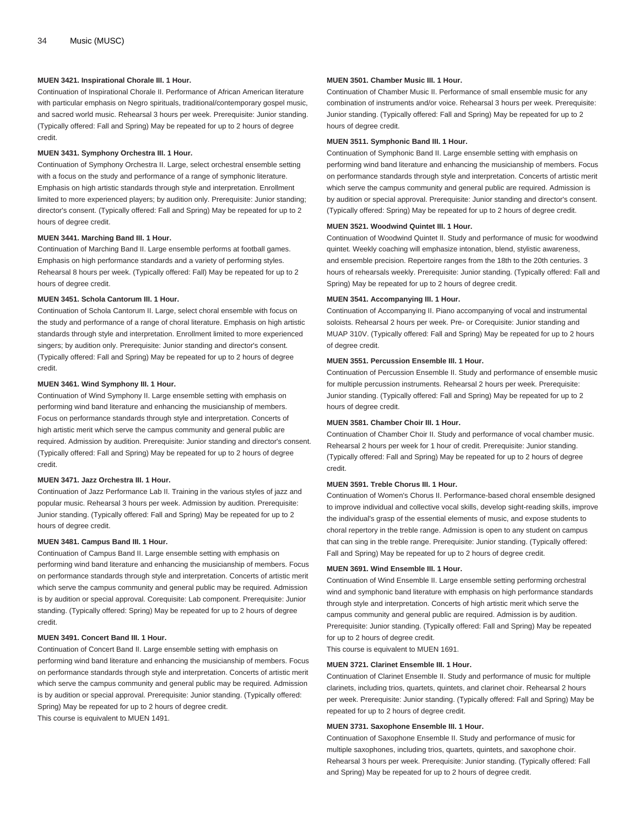#### **MUEN 3421. Inspirational Chorale III. 1 Hour.**

Continuation of Inspirational Chorale II. Performance of African American literature with particular emphasis on Negro spirituals, traditional/contemporary gospel music, and sacred world music. Rehearsal 3 hours per week. Prerequisite: Junior standing. (Typically offered: Fall and Spring) May be repeated for up to 2 hours of degree credit.

#### **MUEN 3431. Symphony Orchestra III. 1 Hour.**

Continuation of Symphony Orchestra II. Large, select orchestral ensemble setting with a focus on the study and performance of a range of symphonic literature. Emphasis on high artistic standards through style and interpretation. Enrollment limited to more experienced players; by audition only. Prerequisite: Junior standing; director's consent. (Typically offered: Fall and Spring) May be repeated for up to 2 hours of degree credit.

#### **MUEN 3441. Marching Band III. 1 Hour.**

Continuation of Marching Band II. Large ensemble performs at football games. Emphasis on high performance standards and a variety of performing styles. Rehearsal 8 hours per week. (Typically offered: Fall) May be repeated for up to 2 hours of degree credit.

#### **MUEN 3451. Schola Cantorum III. 1 Hour.**

Continuation of Schola Cantorum II. Large, select choral ensemble with focus on the study and performance of a range of choral literature. Emphasis on high artistic standards through style and interpretation. Enrollment limited to more experienced singers; by audition only. Prerequisite: Junior standing and director's consent. (Typically offered: Fall and Spring) May be repeated for up to 2 hours of degree credit.

#### **MUEN 3461. Wind Symphony III. 1 Hour.**

Continuation of Wind Symphony II. Large ensemble setting with emphasis on performing wind band literature and enhancing the musicianship of members. Focus on performance standards through style and interpretation. Concerts of high artistic merit which serve the campus community and general public are required. Admission by audition. Prerequisite: Junior standing and director's consent. (Typically offered: Fall and Spring) May be repeated for up to 2 hours of degree credit.

#### **MUEN 3471. Jazz Orchestra III. 1 Hour.**

Continuation of Jazz Performance Lab II. Training in the various styles of jazz and popular music. Rehearsal 3 hours per week. Admission by audition. Prerequisite: Junior standing. (Typically offered: Fall and Spring) May be repeated for up to 2 hours of degree credit.

### **MUEN 3481. Campus Band III. 1 Hour.**

Continuation of Campus Band II. Large ensemble setting with emphasis on performing wind band literature and enhancing the musicianship of members. Focus on performance standards through style and interpretation. Concerts of artistic merit which serve the campus community and general public may be required. Admission is by audition or special approval. Corequisite: Lab component. Prerequisite: Junior standing. (Typically offered: Spring) May be repeated for up to 2 hours of degree credit.

#### **MUEN 3491. Concert Band III. 1 Hour.**

Continuation of Concert Band II. Large ensemble setting with emphasis on performing wind band literature and enhancing the musicianship of members. Focus on performance standards through style and interpretation. Concerts of artistic merit which serve the campus community and general public may be required. Admission is by audition or special approval. Prerequisite: Junior standing. (Typically offered: Spring) May be repeated for up to 2 hours of degree credit. This course is equivalent to [MUEN 1491.](/search/?P=MUEN%201491)

#### **MUEN 3501. Chamber Music III. 1 Hour.**

Continuation of Chamber Music II. Performance of small ensemble music for any combination of instruments and/or voice. Rehearsal 3 hours per week. Prerequisite: Junior standing. (Typically offered: Fall and Spring) May be repeated for up to 2 hours of degree credit.

#### **MUEN 3511. Symphonic Band III. 1 Hour.**

Continuation of Symphonic Band II. Large ensemble setting with emphasis on performing wind band literature and enhancing the musicianship of members. Focus on performance standards through style and interpretation. Concerts of artistic merit which serve the campus community and general public are required. Admission is by audition or special approval. Prerequisite: Junior standing and director's consent. (Typically offered: Spring) May be repeated for up to 2 hours of degree credit.

#### **MUEN 3521. Woodwind Quintet III. 1 Hour.**

Continuation of Woodwind Quintet II. Study and performance of music for woodwind quintet. Weekly coaching will emphasize intonation, blend, stylistic awareness, and ensemble precision. Repertoire ranges from the 18th to the 20th centuries. 3 hours of rehearsals weekly. Prerequisite: Junior standing. (Typically offered: Fall and Spring) May be repeated for up to 2 hours of degree credit.

#### **MUEN 3541. Accompanying III. 1 Hour.**

Continuation of Accompanying II. Piano accompanying of vocal and instrumental soloists. Rehearsal 2 hours per week. Pre- or Corequisite: Junior standing and [MUAP 310V.](/search/?P=MUAP%20310V) (Typically offered: Fall and Spring) May be repeated for up to 2 hours of degree credit.

#### **MUEN 3551. Percussion Ensemble III. 1 Hour.**

Continuation of Percussion Ensemble II. Study and performance of ensemble music for multiple percussion instruments. Rehearsal 2 hours per week. Prerequisite: Junior standing. (Typically offered: Fall and Spring) May be repeated for up to 2 hours of degree credit.

#### **MUEN 3581. Chamber Choir III. 1 Hour.**

Continuation of Chamber Choir II. Study and performance of vocal chamber music. Rehearsal 2 hours per week for 1 hour of credit. Prerequisite: Junior standing. (Typically offered: Fall and Spring) May be repeated for up to 2 hours of degree credit.

#### **MUEN 3591. Treble Chorus III. 1 Hour.**

Continuation of Women's Chorus II. Performance-based choral ensemble designed to improve individual and collective vocal skills, develop sight-reading skills, improve the individual's grasp of the essential elements of music, and expose students to choral repertory in the treble range. Admission is open to any student on campus that can sing in the treble range. Prerequisite: Junior standing. (Typically offered: Fall and Spring) May be repeated for up to 2 hours of degree credit.

#### **MUEN 3691. Wind Ensemble III. 1 Hour.**

Continuation of Wind Ensemble II. Large ensemble setting performing orchestral wind and symphonic band literature with emphasis on high performance standards through style and interpretation. Concerts of high artistic merit which serve the campus community and general public are required. Admission is by audition. Prerequisite: Junior standing. (Typically offered: Fall and Spring) May be repeated for up to 2 hours of degree credit.

This course is equivalent to [MUEN 1691](/search/?P=MUEN%201691).

#### **MUEN 3721. Clarinet Ensemble III. 1 Hour.**

Continuation of Clarinet Ensemble II. Study and performance of music for multiple clarinets, including trios, quartets, quintets, and clarinet choir. Rehearsal 2 hours per week. Prerequisite: Junior standing. (Typically offered: Fall and Spring) May be repeated for up to 2 hours of degree credit.

#### **MUEN 3731. Saxophone Ensemble III. 1 Hour.**

Continuation of Saxophone Ensemble II. Study and performance of music for multiple saxophones, including trios, quartets, quintets, and saxophone choir. Rehearsal 3 hours per week. Prerequisite: Junior standing. (Typically offered: Fall and Spring) May be repeated for up to 2 hours of degree credit.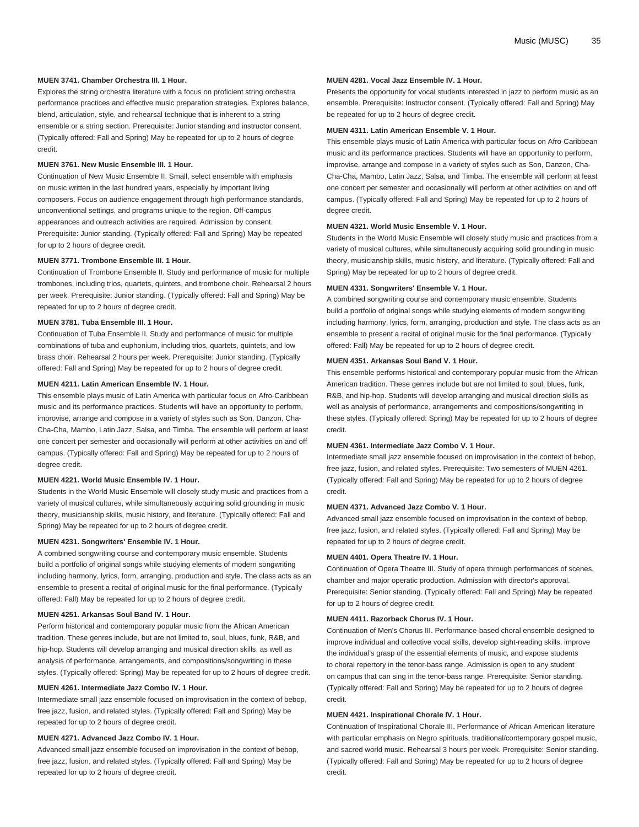#### **MUEN 3741. Chamber Orchestra III. 1 Hour.**

Explores the string orchestra literature with a focus on proficient string orchestra performance practices and effective music preparation strategies. Explores balance, blend, articulation, style, and rehearsal technique that is inherent to a string ensemble or a string section. Prerequisite: Junior standing and instructor consent. (Typically offered: Fall and Spring) May be repeated for up to 2 hours of degree credit.

#### **MUEN 3761. New Music Ensemble III. 1 Hour.**

Continuation of New Music Ensemble II. Small, select ensemble with emphasis on music written in the last hundred years, especially by important living composers. Focus on audience engagement through high performance standards, unconventional settings, and programs unique to the region. Off-campus appearances and outreach activities are required. Admission by consent. Prerequisite: Junior standing. (Typically offered: Fall and Spring) May be repeated for up to 2 hours of degree credit.

#### **MUEN 3771. Trombone Ensemble III. 1 Hour.**

Continuation of Trombone Ensemble II. Study and performance of music for multiple trombones, including trios, quartets, quintets, and trombone choir. Rehearsal 2 hours per week. Prerequisite: Junior standing. (Typically offered: Fall and Spring) May be repeated for up to 2 hours of degree credit.

#### **MUEN 3781. Tuba Ensemble III. 1 Hour.**

Continuation of Tuba Ensemble II. Study and performance of music for multiple combinations of tuba and euphonium, including trios, quartets, quintets, and low brass choir. Rehearsal 2 hours per week. Prerequisite: Junior standing. (Typically offered: Fall and Spring) May be repeated for up to 2 hours of degree credit.

#### **MUEN 4211. Latin American Ensemble IV. 1 Hour.**

This ensemble plays music of Latin America with particular focus on Afro-Caribbean music and its performance practices. Students will have an opportunity to perform, improvise, arrange and compose in a variety of styles such as Son, Danzon, Cha-Cha-Cha, Mambo, Latin Jazz, Salsa, and Timba. The ensemble will perform at least one concert per semester and occasionally will perform at other activities on and off campus. (Typically offered: Fall and Spring) May be repeated for up to 2 hours of degree credit.

#### **MUEN 4221. World Music Ensemble IV. 1 Hour.**

Students in the World Music Ensemble will closely study music and practices from a variety of musical cultures, while simultaneously acquiring solid grounding in music theory, musicianship skills, music history, and literature. (Typically offered: Fall and Spring) May be repeated for up to 2 hours of degree credit.

#### **MUEN 4231. Songwriters' Ensemble IV. 1 Hour.**

A combined songwriting course and contemporary music ensemble. Students build a portfolio of original songs while studying elements of modern songwriting including harmony, lyrics, form, arranging, production and style. The class acts as an ensemble to present a recital of original music for the final performance. (Typically offered: Fall) May be repeated for up to 2 hours of degree credit.

#### **MUEN 4251. Arkansas Soul Band IV. 1 Hour.**

Perform historical and contemporary popular music from the African American tradition. These genres include, but are not limited to, soul, blues, funk, R&B, and hip-hop. Students will develop arranging and musical direction skills, as well as analysis of performance, arrangements, and compositions/songwriting in these styles. (Typically offered: Spring) May be repeated for up to 2 hours of degree credit.

#### **MUEN 4261. Intermediate Jazz Combo IV. 1 Hour.**

Intermediate small jazz ensemble focused on improvisation in the context of bebop, free jazz, fusion, and related styles. (Typically offered: Fall and Spring) May be repeated for up to 2 hours of degree credit.

#### **MUEN 4271. Advanced Jazz Combo IV. 1 Hour.**

Advanced small jazz ensemble focused on improvisation in the context of bebop, free jazz, fusion, and related styles. (Typically offered: Fall and Spring) May be repeated for up to 2 hours of degree credit.

#### **MUEN 4281. Vocal Jazz Ensemble IV. 1 Hour.**

Presents the opportunity for vocal students interested in jazz to perform music as an ensemble. Prerequisite: Instructor consent. (Typically offered: Fall and Spring) May be repeated for up to 2 hours of degree credit.

#### **MUEN 4311. Latin American Ensemble V. 1 Hour.**

This ensemble plays music of Latin America with particular focus on Afro-Caribbean music and its performance practices. Students will have an opportunity to perform, improvise, arrange and compose in a variety of styles such as Son, Danzon, Cha-Cha-Cha, Mambo, Latin Jazz, Salsa, and Timba. The ensemble will perform at least one concert per semester and occasionally will perform at other activities on and off campus. (Typically offered: Fall and Spring) May be repeated for up to 2 hours of degree credit.

#### **MUEN 4321. World Music Ensemble V. 1 Hour.**

Students in the World Music Ensemble will closely study music and practices from a variety of musical cultures, while simultaneously acquiring solid grounding in music theory, musicianship skills, music history, and literature. (Typically offered: Fall and Spring) May be repeated for up to 2 hours of degree credit.

#### **MUEN 4331. Songwriters' Ensemble V. 1 Hour.**

A combined songwriting course and contemporary music ensemble. Students build a portfolio of original songs while studying elements of modern songwriting including harmony, lyrics, form, arranging, production and style. The class acts as an ensemble to present a recital of original music for the final performance. (Typically offered: Fall) May be repeated for up to 2 hours of degree credit.

#### **MUEN 4351. Arkansas Soul Band V. 1 Hour.**

This ensemble performs historical and contemporary popular music from the African American tradition. These genres include but are not limited to soul, blues, funk, R&B, and hip-hop. Students will develop arranging and musical direction skills as well as analysis of performance, arrangements and compositions/songwriting in these styles. (Typically offered: Spring) May be repeated for up to 2 hours of degree credit.

#### **MUEN 4361. Intermediate Jazz Combo V. 1 Hour.**

Intermediate small jazz ensemble focused on improvisation in the context of bebop, free jazz, fusion, and related styles. Prerequisite: Two semesters of [MUEN 4261](/search/?P=MUEN%204261). (Typically offered: Fall and Spring) May be repeated for up to 2 hours of degree credit.

#### **MUEN 4371. Advanced Jazz Combo V. 1 Hour.**

Advanced small jazz ensemble focused on improvisation in the context of bebop, free jazz, fusion, and related styles. (Typically offered: Fall and Spring) May be repeated for up to 2 hours of degree credit.

#### **MUEN 4401. Opera Theatre IV. 1 Hour.**

Continuation of Opera Theatre III. Study of opera through performances of scenes, chamber and major operatic production. Admission with director's approval. Prerequisite: Senior standing. (Typically offered: Fall and Spring) May be repeated for up to 2 hours of degree credit.

#### **MUEN 4411. Razorback Chorus IV. 1 Hour.**

Continuation of Men's Chorus III. Performance-based choral ensemble designed to improve individual and collective vocal skills, develop sight-reading skills, improve the individual's grasp of the essential elements of music, and expose students to choral repertory in the tenor-bass range. Admission is open to any student on campus that can sing in the tenor-bass range. Prerequisite: Senior standing. (Typically offered: Fall and Spring) May be repeated for up to 2 hours of degree credit.

#### **MUEN 4421. Inspirational Chorale IV. 1 Hour.**

Continuation of Inspirational Chorale III. Performance of African American literature with particular emphasis on Negro spirituals, traditional/contemporary gospel music, and sacred world music. Rehearsal 3 hours per week. Prerequisite: Senior standing. (Typically offered: Fall and Spring) May be repeated for up to 2 hours of degree credit.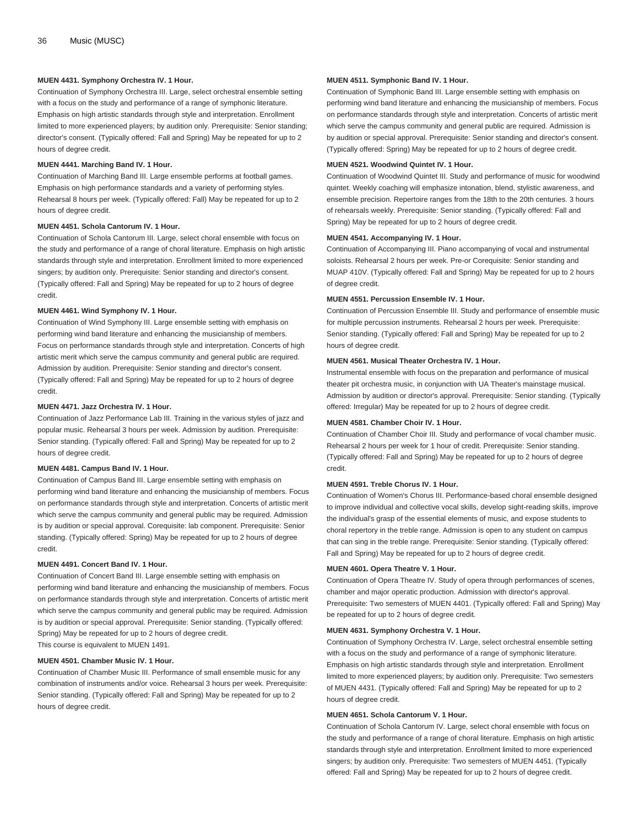#### **MUEN 4431. Symphony Orchestra IV. 1 Hour.**

Continuation of Symphony Orchestra III. Large, select orchestral ensemble setting with a focus on the study and performance of a range of symphonic literature. Emphasis on high artistic standards through style and interpretation. Enrollment limited to more experienced players; by audition only. Prerequisite: Senior standing; director's consent. (Typically offered: Fall and Spring) May be repeated for up to 2 hours of degree credit.

#### **MUEN 4441. Marching Band IV. 1 Hour.**

Continuation of Marching Band III. Large ensemble performs at football games. Emphasis on high performance standards and a variety of performing styles. Rehearsal 8 hours per week. (Typically offered: Fall) May be repeated for up to 2 hours of degree credit.

#### **MUEN 4451. Schola Cantorum IV. 1 Hour.**

Continuation of Schola Cantorum III. Large, select choral ensemble with focus on the study and performance of a range of choral literature. Emphasis on high artistic standards through style and interpretation. Enrollment limited to more experienced singers; by audition only. Prerequisite: Senior standing and director's consent. (Typically offered: Fall and Spring) May be repeated for up to 2 hours of degree credit.

#### **MUEN 4461. Wind Symphony IV. 1 Hour.**

Continuation of Wind Symphony III. Large ensemble setting with emphasis on performing wind band literature and enhancing the musicianship of members. Focus on performance standards through style and interpretation. Concerts of high artistic merit which serve the campus community and general public are required. Admission by audition. Prerequisite: Senior standing and director's consent. (Typically offered: Fall and Spring) May be repeated for up to 2 hours of degree credit.

#### **MUEN 4471. Jazz Orchestra IV. 1 Hour.**

Continuation of Jazz Performance Lab III. Training in the various styles of jazz and popular music. Rehearsal 3 hours per week. Admission by audition. Prerequisite: Senior standing. (Typically offered: Fall and Spring) May be repeated for up to 2 hours of degree credit.

#### **MUEN 4481. Campus Band IV. 1 Hour.**

Continuation of Campus Band III. Large ensemble setting with emphasis on performing wind band literature and enhancing the musicianship of members. Focus on performance standards through style and interpretation. Concerts of artistic merit which serve the campus community and general public may be required. Admission is by audition or special approval. Corequisite: lab component. Prerequisite: Senior standing. (Typically offered: Spring) May be repeated for up to 2 hours of degree credit.

#### **MUEN 4491. Concert Band IV. 1 Hour.**

Continuation of Concert Band III. Large ensemble setting with emphasis on performing wind band literature and enhancing the musicianship of members. Focus on performance standards through style and interpretation. Concerts of artistic merit which serve the campus community and general public may be required. Admission is by audition or special approval. Prerequisite: Senior standing. (Typically offered: Spring) May be repeated for up to 2 hours of degree credit. This course is equivalent to [MUEN 1491.](/search/?P=MUEN%201491)

#### **MUEN 4501. Chamber Music IV. 1 Hour.**

Continuation of Chamber Music III. Performance of small ensemble music for any combination of instruments and/or voice. Rehearsal 3 hours per week. Prerequisite: Senior standing. (Typically offered: Fall and Spring) May be repeated for up to 2 hours of degree credit.

#### **MUEN 4511. Symphonic Band IV. 1 Hour.**

Continuation of Symphonic Band III. Large ensemble setting with emphasis on performing wind band literature and enhancing the musicianship of members. Focus on performance standards through style and interpretation. Concerts of artistic merit which serve the campus community and general public are required. Admission is by audition or special approval. Prerequisite: Senior standing and director's consent. (Typically offered: Spring) May be repeated for up to 2 hours of degree credit.

#### **MUEN 4521. Woodwind Quintet IV. 1 Hour.**

Continuation of Woodwind Quintet III. Study and performance of music for woodwind quintet. Weekly coaching will emphasize intonation, blend, stylistic awareness, and ensemble precision. Repertoire ranges from the 18th to the 20th centuries. 3 hours of rehearsals weekly. Prerequisite: Senior standing. (Typically offered: Fall and Spring) May be repeated for up to 2 hours of degree credit.

#### **MUEN 4541. Accompanying IV. 1 Hour.**

Continuation of Accompanying III. Piano accompanying of vocal and instrumental soloists. Rehearsal 2 hours per week. Pre-or Corequisite: Senior standing and [MUAP 410V.](/search/?P=MUAP%20410V) (Typically offered: Fall and Spring) May be repeated for up to 2 hours of degree credit.

#### **MUEN 4551. Percussion Ensemble IV. 1 Hour.**

Continuation of Percussion Ensemble III. Study and performance of ensemble music for multiple percussion instruments. Rehearsal 2 hours per week. Prerequisite: Senior standing. (Typically offered: Fall and Spring) May be repeated for up to 2 hours of degree credit.

#### **MUEN 4561. Musical Theater Orchestra IV. 1 Hour.**

Instrumental ensemble with focus on the preparation and performance of musical theater pit orchestra music, in conjunction with UA Theater's mainstage musical. Admission by audition or director's approval. Prerequisite: Senior standing. (Typically offered: Irregular) May be repeated for up to 2 hours of degree credit.

#### **MUEN 4581. Chamber Choir IV. 1 Hour.**

Continuation of Chamber Choir III. Study and performance of vocal chamber music. Rehearsal 2 hours per week for 1 hour of credit. Prerequisite: Senior standing. (Typically offered: Fall and Spring) May be repeated for up to 2 hours of degree credit.

#### **MUEN 4591. Treble Chorus IV. 1 Hour.**

Continuation of Women's Chorus III. Performance-based choral ensemble designed to improve individual and collective vocal skills, develop sight-reading skills, improve the individual's grasp of the essential elements of music, and expose students to choral repertory in the treble range. Admission is open to any student on campus that can sing in the treble range. Prerequisite: Senior standing. (Typically offered: Fall and Spring) May be repeated for up to 2 hours of degree credit.

#### **MUEN 4601. Opera Theatre V. 1 Hour.**

Continuation of Opera Theatre IV. Study of opera through performances of scenes, chamber and major operatic production. Admission with director's approval. Prerequisite: Two semesters of [MUEN 4401.](/search/?P=MUEN%204401) (Typically offered: Fall and Spring) May be repeated for up to 2 hours of degree credit.

#### **MUEN 4631. Symphony Orchestra V. 1 Hour.**

Continuation of Symphony Orchestra IV. Large, select orchestral ensemble setting with a focus on the study and performance of a range of symphonic literature. Emphasis on high artistic standards through style and interpretation. Enrollment limited to more experienced players; by audition only. Prerequisite: Two semesters of [MUEN 4431](/search/?P=MUEN%204431). (Typically offered: Fall and Spring) May be repeated for up to 2 hours of degree credit.

#### **MUEN 4651. Schola Cantorum V. 1 Hour.**

Continuation of Schola Cantorum IV. Large, select choral ensemble with focus on the study and performance of a range of choral literature. Emphasis on high artistic standards through style and interpretation. Enrollment limited to more experienced singers; by audition only. Prerequisite: Two semesters of [MUEN 4451.](/search/?P=MUEN%204451) (Typically offered: Fall and Spring) May be repeated for up to 2 hours of degree credit.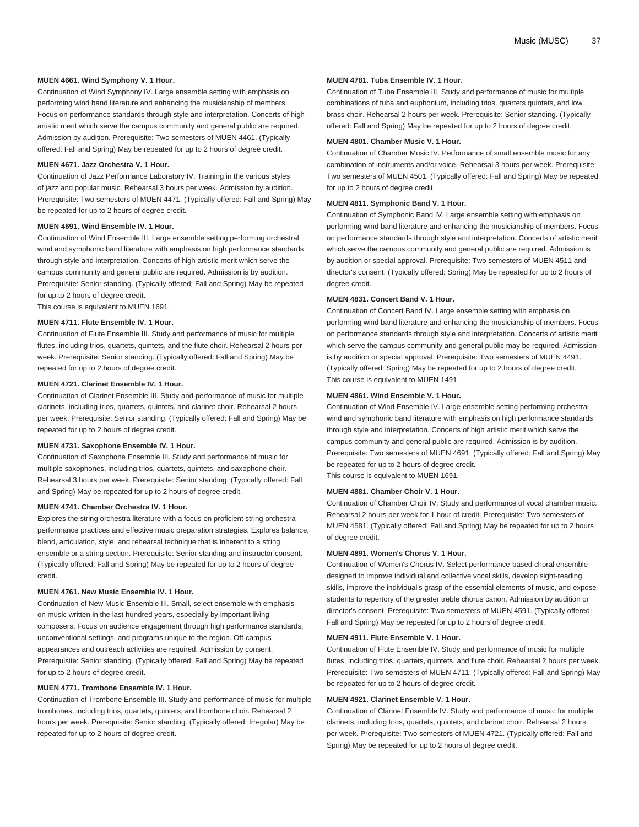#### **MUEN 4661. Wind Symphony V. 1 Hour.**

Continuation of Wind Symphony IV. Large ensemble setting with emphasis on performing wind band literature and enhancing the musicianship of members. Focus on performance standards through style and interpretation. Concerts of high artistic merit which serve the campus community and general public are required. Admission by audition. Prerequisite: Two semesters of [MUEN 4461.](/search/?P=MUEN%204461) (Typically offered: Fall and Spring) May be repeated for up to 2 hours of degree credit.

#### **MUEN 4671. Jazz Orchestra V. 1 Hour.**

Continuation of Jazz Performance Laboratory IV. Training in the various styles of jazz and popular music. Rehearsal 3 hours per week. Admission by audition. Prerequisite: Two semesters of [MUEN 4471.](/search/?P=MUEN%204471) (Typically offered: Fall and Spring) May be repeated for up to 2 hours of degree credit.

#### **MUEN 4691. Wind Ensemble IV. 1 Hour.**

Continuation of Wind Ensemble III. Large ensemble setting performing orchestral wind and symphonic band literature with emphasis on high performance standards through style and interpretation. Concerts of high artistic merit which serve the campus community and general public are required. Admission is by audition. Prerequisite: Senior standing. (Typically offered: Fall and Spring) May be repeated for up to 2 hours of degree credit.

This course is equivalent to [MUEN 1691.](/search/?P=MUEN%201691)

#### **MUEN 4711. Flute Ensemble IV. 1 Hour.**

Continuation of Flute Ensemble III. Study and performance of music for multiple flutes, including trios, quartets, quintets, and the flute choir. Rehearsal 2 hours per week. Prerequisite: Senior standing. (Typically offered: Fall and Spring) May be repeated for up to 2 hours of degree credit.

#### **MUEN 4721. Clarinet Ensemble IV. 1 Hour.**

Continuation of Clarinet Ensemble III. Study and performance of music for multiple clarinets, including trios, quartets, quintets, and clarinet choir. Rehearsal 2 hours per week. Prerequisite: Senior standing. (Typically offered: Fall and Spring) May be repeated for up to 2 hours of degree credit.

#### **MUEN 4731. Saxophone Ensemble IV. 1 Hour.**

Continuation of Saxophone Ensemble III. Study and performance of music for multiple saxophones, including trios, quartets, quintets, and saxophone choir. Rehearsal 3 hours per week. Prerequisite: Senior standing. (Typically offered: Fall and Spring) May be repeated for up to 2 hours of degree credit.

#### **MUEN 4741. Chamber Orchestra IV. 1 Hour.**

Explores the string orchestra literature with a focus on proficient string orchestra performance practices and effective music preparation strategies. Explores balance, blend, articulation, style, and rehearsal technique that is inherent to a string ensemble or a string section. Prerequisite: Senior standing and instructor consent. (Typically offered: Fall and Spring) May be repeated for up to 2 hours of degree credit.

#### **MUEN 4761. New Music Ensemble IV. 1 Hour.**

Continuation of New Music Ensemble III. Small, select ensemble with emphasis on music written in the last hundred years, especially by important living composers. Focus on audience engagement through high performance standards, unconventional settings, and programs unique to the region. Off-campus appearances and outreach activities are required. Admission by consent. Prerequisite: Senior standing. (Typically offered: Fall and Spring) May be repeated for up to 2 hours of degree credit.

#### **MUEN 4771. Trombone Ensemble IV. 1 Hour.**

Continuation of Trombone Ensemble III. Study and performance of music for multiple trombones, including trios, quartets, quintets, and trombone choir. Rehearsal 2 hours per week. Prerequisite: Senior standing. (Typically offered: Irregular) May be repeated for up to 2 hours of degree credit.

#### **MUEN 4781. Tuba Ensemble IV. 1 Hour.**

Continuation of Tuba Ensemble III. Study and performance of music for multiple combinations of tuba and euphonium, including trios, quartets quintets, and low brass choir. Rehearsal 2 hours per week. Prerequisite: Senior standing. (Typically offered: Fall and Spring) May be repeated for up to 2 hours of degree credit.

#### **MUEN 4801. Chamber Music V. 1 Hour.**

Continuation of Chamber Music IV. Performance of small ensemble music for any combination of instruments and/or voice. Rehearsal 3 hours per week. Prerequisite: Two semesters of [MUEN 4501.](/search/?P=MUEN%204501) (Typically offered: Fall and Spring) May be repeated for up to 2 hours of degree credit.

#### **MUEN 4811. Symphonic Band V. 1 Hour.**

Continuation of Symphonic Band IV. Large ensemble setting with emphasis on performing wind band literature and enhancing the musicianship of members. Focus on performance standards through style and interpretation. Concerts of artistic merit which serve the campus community and general public are required. Admission is by audition or special approval. Prerequisite: Two semesters of [MUEN 4511](/search/?P=MUEN%204511) and director's consent. (Typically offered: Spring) May be repeated for up to 2 hours of degree credit.

#### **MUEN 4831. Concert Band V. 1 Hour.**

Continuation of Concert Band IV. Large ensemble setting with emphasis on performing wind band literature and enhancing the musicianship of members. Focus on performance standards through style and interpretation. Concerts of artistic merit which serve the campus community and general public may be required. Admission is by audition or special approval. Prerequisite: Two semesters of [MUEN 4491](/search/?P=MUEN%204491). (Typically offered: Spring) May be repeated for up to 2 hours of degree credit. This course is equivalent to [MUEN 1491](/search/?P=MUEN%201491).

### **MUEN 4861. Wind Ensemble V. 1 Hour.**

Continuation of Wind Ensemble IV. Large ensemble setting performing orchestral wind and symphonic band literature with emphasis on high performance standards through style and interpretation. Concerts of high artistic merit which serve the campus community and general public are required. Admission is by audition. Prerequisite: Two semesters of [MUEN 4691.](/search/?P=MUEN%204691) (Typically offered: Fall and Spring) May be repeated for up to 2 hours of degree credit. This course is equivalent to [MUEN 1691](/search/?P=MUEN%201691).

#### **MUEN 4881. Chamber Choir V. 1 Hour.**

Continuation of Chamber Choir IV. Study and performance of vocal chamber music. Rehearsal 2 hours per week for 1 hour of credit. Prerequisite: Two semesters of [MUEN 4581](/search/?P=MUEN%204581). (Typically offered: Fall and Spring) May be repeated for up to 2 hours of degree credit.

#### **MUEN 4891. Women's Chorus V. 1 Hour.**

Continuation of Women's Chorus IV. Select performance-based choral ensemble designed to improve individual and collective vocal skills, develop sight-reading skills, improve the individual's grasp of the essential elements of music, and expose students to repertory of the greater treble chorus canon. Admission by audition or director's consent. Prerequisite: Two semesters of [MUEN 4591](/search/?P=MUEN%204591). (Typically offered: Fall and Spring) May be repeated for up to 2 hours of degree credit.

#### **MUEN 4911. Flute Ensemble V. 1 Hour.**

Continuation of Flute Ensemble IV. Study and performance of music for multiple flutes, including trios, quartets, quintets, and flute choir. Rehearsal 2 hours per week. Prerequisite: Two semesters of [MUEN 4711.](/search/?P=MUEN%204711) (Typically offered: Fall and Spring) May be repeated for up to 2 hours of degree credit.

#### **MUEN 4921. Clarinet Ensemble V. 1 Hour.**

Continuation of Clarinet Ensemble IV. Study and performance of music for multiple clarinets, including trios, quartets, quintets, and clarinet choir. Rehearsal 2 hours per week. Prerequisite: Two semesters of [MUEN 4721](/search/?P=MUEN%204721). (Typically offered: Fall and Spring) May be repeated for up to 2 hours of degree credit.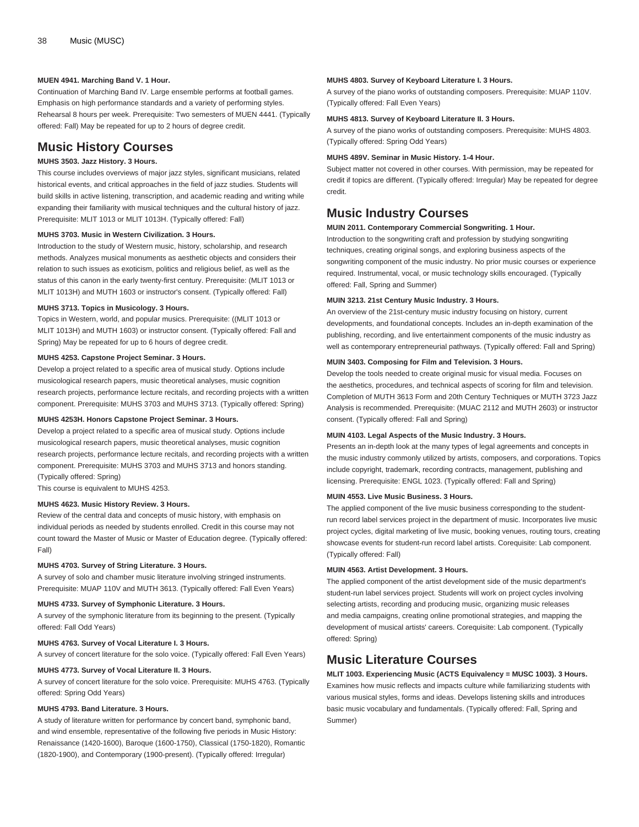#### **MUEN 4941. Marching Band V. 1 Hour.**

Continuation of Marching Band IV. Large ensemble performs at football games. Emphasis on high performance standards and a variety of performing styles. Rehearsal 8 hours per week. Prerequisite: Two semesters of [MUEN 4441.](/search/?P=MUEN%204441) (Typically offered: Fall) May be repeated for up to 2 hours of degree credit.

### **Music History Courses**

### **MUHS 3503. Jazz History. 3 Hours.**

This course includes overviews of major jazz styles, significant musicians, related historical events, and critical approaches in the field of jazz studies. Students will build skills in active listening, transcription, and academic reading and writing while expanding their familiarity with musical techniques and the cultural history of jazz. Prerequisite: [MLIT 1013](/search/?P=MLIT%201013) or [MLIT 1013H](/search/?P=MLIT%201013H). (Typically offered: Fall)

#### **MUHS 3703. Music in Western Civilization. 3 Hours.**

Introduction to the study of Western music, history, scholarship, and research methods. Analyzes musical monuments as aesthetic objects and considers their relation to such issues as exoticism, politics and religious belief, as well as the status of this canon in the early twenty-first century. Prerequisite: ([MLIT 1013](/search/?P=MLIT%201013) or [MLIT 1013H\)](/search/?P=MLIT%201013H) and [MUTH 1603](/search/?P=MUTH%201603) or instructor's consent. (Typically offered: Fall)

#### **MUHS 3713. Topics in Musicology. 3 Hours.**

Topics in Western, world, and popular musics. Prerequisite: ([\(MLIT 1013](/search/?P=MLIT%201013) or [MLIT 1013H\)](/search/?P=MLIT%201013H) and [MUTH 1603](/search/?P=MUTH%201603)) or instructor consent. (Typically offered: Fall and Spring) May be repeated for up to 6 hours of degree credit.

#### **MUHS 4253. Capstone Project Seminar. 3 Hours.**

Develop a project related to a specific area of musical study. Options include musicological research papers, music theoretical analyses, music cognition research projects, performance lecture recitals, and recording projects with a written component. Prerequisite: [MUHS 3703](/search/?P=MUHS%203703) and [MUHS 3713.](/search/?P=MUHS%203713) (Typically offered: Spring)

#### **MUHS 4253H. Honors Capstone Project Seminar. 3 Hours.**

Develop a project related to a specific area of musical study. Options include musicological research papers, music theoretical analyses, music cognition research projects, performance lecture recitals, and recording projects with a written component. Prerequisite: [MUHS 3703](/search/?P=MUHS%203703) and [MUHS 3713](/search/?P=MUHS%203713) and honors standing. (Typically offered: Spring)

This course is equivalent to [MUHS 4253.](/search/?P=MUHS%204253)

#### **MUHS 4623. Music History Review. 3 Hours.**

Review of the central data and concepts of music history, with emphasis on individual periods as needed by students enrolled. Credit in this course may not count toward the Master of Music or Master of Education degree. (Typically offered: Fall)

#### **MUHS 4703. Survey of String Literature. 3 Hours.**

A survey of solo and chamber music literature involving stringed instruments. Prerequisite: [MUAP 110V](/search/?P=MUAP%20110V) and [MUTH 3613](/search/?P=MUTH%203613). (Typically offered: Fall Even Years)

#### **MUHS 4733. Survey of Symphonic Literature. 3 Hours.**

A survey of the symphonic literature from its beginning to the present. (Typically offered: Fall Odd Years)

#### **MUHS 4763. Survey of Vocal Literature I. 3 Hours.**

A survey of concert literature for the solo voice. (Typically offered: Fall Even Years)

#### **MUHS 4773. Survey of Vocal Literature II. 3 Hours.**

A survey of concert literature for the solo voice. Prerequisite: [MUHS 4763](/search/?P=MUHS%204763). (Typically offered: Spring Odd Years)

#### **MUHS 4793. Band Literature. 3 Hours.**

A study of literature written for performance by concert band, symphonic band, and wind ensemble, representative of the following five periods in Music History: Renaissance (1420-1600), Baroque (1600-1750), Classical (1750-1820), Romantic (1820-1900), and Contemporary (1900-present). (Typically offered: Irregular)

#### **MUHS 4803. Survey of Keyboard Literature I. 3 Hours.**

A survey of the piano works of outstanding composers. Prerequisite: [MUAP 110V.](/search/?P=MUAP%20110V) (Typically offered: Fall Even Years)

#### **MUHS 4813. Survey of Keyboard Literature II. 3 Hours.**

A survey of the piano works of outstanding composers. Prerequisite: [MUHS 4803.](/search/?P=MUHS%204803) (Typically offered: Spring Odd Years)

#### **MUHS 489V. Seminar in Music History. 1-4 Hour.**

Subject matter not covered in other courses. With permission, may be repeated for credit if topics are different. (Typically offered: Irregular) May be repeated for degree credit.

### **Music Industry Courses**

#### **MUIN 2011. Contemporary Commercial Songwriting. 1 Hour.**

Introduction to the songwriting craft and profession by studying songwriting techniques, creating original songs, and exploring business aspects of the songwriting component of the music industry. No prior music courses or experience required. Instrumental, vocal, or music technology skills encouraged. (Typically offered: Fall, Spring and Summer)

#### **MUIN 3213. 21st Century Music Industry. 3 Hours.**

An overview of the 21st-century music industry focusing on history, current developments, and foundational concepts. Includes an in-depth examination of the publishing, recording, and live entertainment components of the music industry as well as contemporary entrepreneurial pathways. (Typically offered: Fall and Spring)

#### **MUIN 3403. Composing for Film and Television. 3 Hours.**

Develop the tools needed to create original music for visual media. Focuses on the aesthetics, procedures, and technical aspects of scoring for film and television. Completion of [MUTH 3613](/search/?P=MUTH%203613) Form and 20th Century Techniques or [MUTH 3723](/search/?P=MUTH%203723) Jazz Analysis is recommended. Prerequisite: [\(MUAC 2112](/search/?P=MUAC%202112) and [MUTH 2603\)](/search/?P=MUTH%202603) or instructor consent. (Typically offered: Fall and Spring)

#### **MUIN 4103. Legal Aspects of the Music Industry. 3 Hours.**

Presents an in-depth look at the many types of legal agreements and concepts in the music industry commonly utilized by artists, composers, and corporations. Topics include copyright, trademark, recording contracts, management, publishing and licensing. Prerequisite: [ENGL 1023](/search/?P=ENGL%201023). (Typically offered: Fall and Spring)

#### **MUIN 4553. Live Music Business. 3 Hours.**

The applied component of the live music business corresponding to the studentrun record label services project in the department of music. Incorporates live music project cycles, digital marketing of live music, booking venues, routing tours, creating showcase events for student-run record label artists. Corequisite: Lab component. (Typically offered: Fall)

#### **MUIN 4563. Artist Development. 3 Hours.**

The applied component of the artist development side of the music department's student-run label services project. Students will work on project cycles involving selecting artists, recording and producing music, organizing music releases and media campaigns, creating online promotional strategies, and mapping the development of musical artists' careers. Corequisite: Lab component. (Typically offered: Spring)

### **Music Literature Courses**

**MLIT 1003. Experiencing Music (ACTS Equivalency = MUSC 1003). 3 Hours.** Examines how music reflects and impacts culture while familiarizing students with various musical styles, forms and ideas. Develops listening skills and introduces basic music vocabulary and fundamentals. (Typically offered: Fall, Spring and Summer)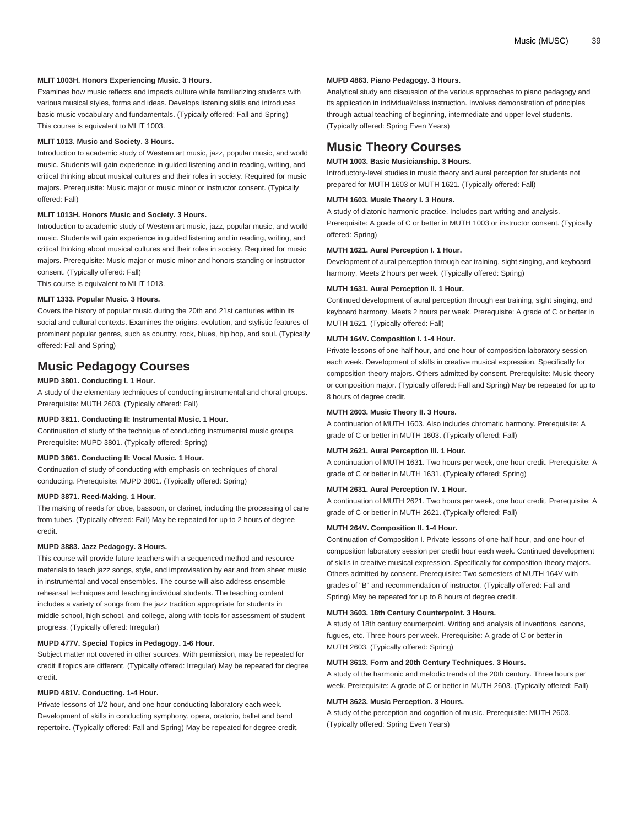#### **MLIT 1003H. Honors Experiencing Music. 3 Hours.**

Examines how music reflects and impacts culture while familiarizing students with various musical styles, forms and ideas. Develops listening skills and introduces basic music vocabulary and fundamentals. (Typically offered: Fall and Spring) This course is equivalent to [MLIT 1003](/search/?P=MLIT%201003).

#### **MLIT 1013. Music and Society. 3 Hours.**

Introduction to academic study of Western art music, jazz, popular music, and world music. Students will gain experience in guided listening and in reading, writing, and critical thinking about musical cultures and their roles in society. Required for music majors. Prerequisite: Music major or music minor or instructor consent. (Typically offered: Fall)

#### **MLIT 1013H. Honors Music and Society. 3 Hours.**

Introduction to academic study of Western art music, jazz, popular music, and world music. Students will gain experience in guided listening and in reading, writing, and critical thinking about musical cultures and their roles in society. Required for music majors. Prerequisite: Music major or music minor and honors standing or instructor consent. (Typically offered: Fall)

This course is equivalent to [MLIT 1013](/search/?P=MLIT%201013).

#### **MLIT 1333. Popular Music. 3 Hours.**

Covers the history of popular music during the 20th and 21st centuries within its social and cultural contexts. Examines the origins, evolution, and stylistic features of prominent popular genres, such as country, rock, blues, hip hop, and soul. (Typically offered: Fall and Spring)

### **Music Pedagogy Courses**

#### **MUPD 3801. Conducting I. 1 Hour.**

A study of the elementary techniques of conducting instrumental and choral groups. Prerequisite: [MUTH 2603.](/search/?P=MUTH%202603) (Typically offered: Fall)

#### **MUPD 3811. Conducting II: Instrumental Music. 1 Hour.**

Continuation of study of the technique of conducting instrumental music groups. Prerequisite: [MUPD 3801](/search/?P=MUPD%203801). (Typically offered: Spring)

#### **MUPD 3861. Conducting II: Vocal Music. 1 Hour.**

Continuation of study of conducting with emphasis on techniques of choral conducting. Prerequisite: [MUPD 3801](/search/?P=MUPD%203801). (Typically offered: Spring)

#### **MUPD 3871. Reed-Making. 1 Hour.**

The making of reeds for oboe, bassoon, or clarinet, including the processing of cane from tubes. (Typically offered: Fall) May be repeated for up to 2 hours of degree credit.

#### **MUPD 3883. Jazz Pedagogy. 3 Hours.**

This course will provide future teachers with a sequenced method and resource materials to teach jazz songs, style, and improvisation by ear and from sheet music in instrumental and vocal ensembles. The course will also address ensemble rehearsal techniques and teaching individual students. The teaching content includes a variety of songs from the jazz tradition appropriate for students in middle school, high school, and college, along with tools for assessment of student progress. (Typically offered: Irregular)

#### **MUPD 477V. Special Topics in Pedagogy. 1-6 Hour.**

Subject matter not covered in other sources. With permission, may be repeated for credit if topics are different. (Typically offered: Irregular) May be repeated for degree credit.

#### **MUPD 481V. Conducting. 1-4 Hour.**

Private lessons of 1/2 hour, and one hour conducting laboratory each week. Development of skills in conducting symphony, opera, oratorio, ballet and band repertoire. (Typically offered: Fall and Spring) May be repeated for degree credit.

#### **MUPD 4863. Piano Pedagogy. 3 Hours.**

Analytical study and discussion of the various approaches to piano pedagogy and its application in individual/class instruction. Involves demonstration of principles through actual teaching of beginning, intermediate and upper level students. (Typically offered: Spring Even Years)

### **Music Theory Courses**

### **MUTH 1003. Basic Musicianship. 3 Hours.**

Introductory-level studies in music theory and aural perception for students not prepared for [MUTH 1603](/search/?P=MUTH%201603) or [MUTH 1621.](/search/?P=MUTH%201621) (Typically offered: Fall)

#### **MUTH 1603. Music Theory I. 3 Hours.**

A study of diatonic harmonic practice. Includes part-writing and analysis. Prerequisite: A grade of C or better in [MUTH 1003](/search/?P=MUTH%201003) or instructor consent. (Typically offered: Spring)

#### **MUTH 1621. Aural Perception I. 1 Hour.**

Development of aural perception through ear training, sight singing, and keyboard harmony. Meets 2 hours per week. (Typically offered: Spring)

#### **MUTH 1631. Aural Perception II. 1 Hour.**

Continued development of aural perception through ear training, sight singing, and keyboard harmony. Meets 2 hours per week. Prerequisite: A grade of C or better in [MUTH 1621.](/search/?P=MUTH%201621) (Typically offered: Fall)

#### **MUTH 164V. Composition I. 1-4 Hour.**

Private lessons of one-half hour, and one hour of composition laboratory session each week. Development of skills in creative musical expression. Specifically for composition-theory majors. Others admitted by consent. Prerequisite: Music theory or composition major. (Typically offered: Fall and Spring) May be repeated for up to 8 hours of degree credit.

#### **MUTH 2603. Music Theory II. 3 Hours.**

A continuation of [MUTH 1603](/search/?P=MUTH%201603). Also includes chromatic harmony. Prerequisite: A grade of C or better in [MUTH 1603.](/search/?P=MUTH%201603) (Typically offered: Fall)

#### **MUTH 2621. Aural Perception III. 1 Hour.**

A continuation of [MUTH 1631](/search/?P=MUTH%201631). Two hours per week, one hour credit. Prerequisite: A grade of C or better in [MUTH 1631.](/search/?P=MUTH%201631) (Typically offered: Spring)

#### **MUTH 2631. Aural Perception IV. 1 Hour.**

A continuation of [MUTH 2621](/search/?P=MUTH%202621). Two hours per week, one hour credit. Prerequisite: A grade of C or better in [MUTH 2621.](/search/?P=MUTH%202621) (Typically offered: Fall)

#### **MUTH 264V. Composition II. 1-4 Hour.**

Continuation of Composition I. Private lessons of one-half hour, and one hour of composition laboratory session per credit hour each week. Continued development of skills in creative musical expression. Specifically for composition-theory majors. Others admitted by consent. Prerequisite: Two semesters of [MUTH 164V](/search/?P=MUTH%20164V) with grades of "B" and recommendation of instructor. (Typically offered: Fall and Spring) May be repeated for up to 8 hours of degree credit.

#### **MUTH 3603. 18th Century Counterpoint. 3 Hours.**

A study of 18th century counterpoint. Writing and analysis of inventions, canons, fugues, etc. Three hours per week. Prerequisite: A grade of C or better in [MUTH 2603.](/search/?P=MUTH%202603) (Typically offered: Spring)

#### **MUTH 3613. Form and 20th Century Techniques. 3 Hours.**

A study of the harmonic and melodic trends of the 20th century. Three hours per week. Prerequisite: A grade of C or better in [MUTH 2603](/search/?P=MUTH%202603). (Typically offered: Fall)

### **MUTH 3623. Music Perception. 3 Hours.**

A study of the perception and cognition of music. Prerequisite: [MUTH 2603](/search/?P=MUTH%202603). (Typically offered: Spring Even Years)